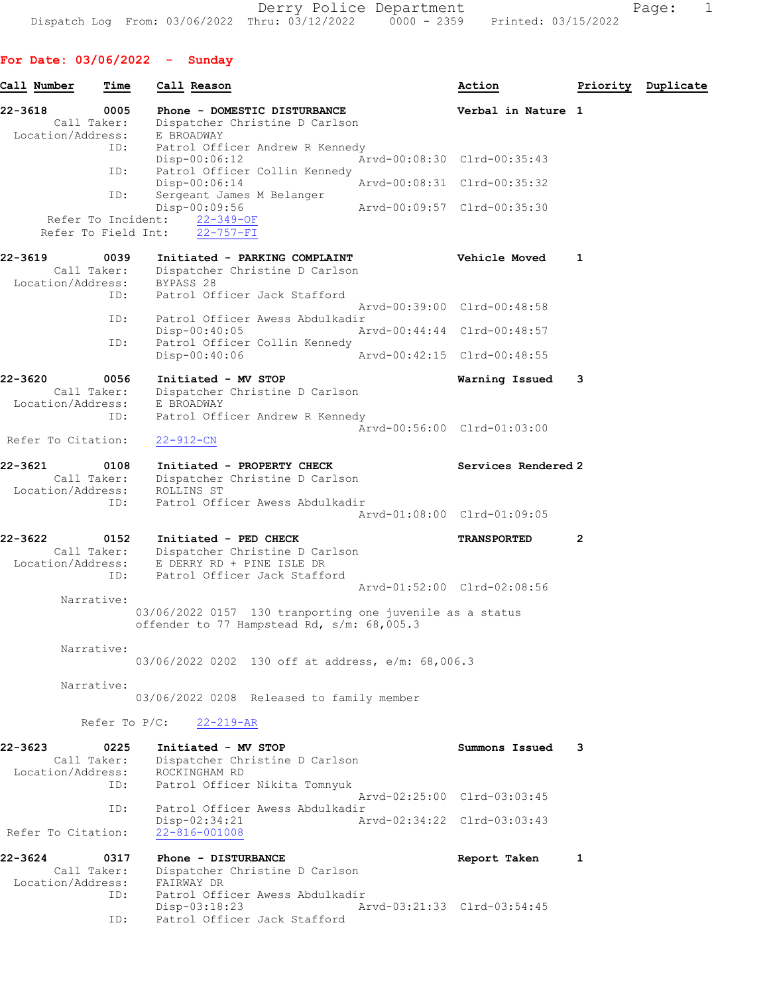# For Date: 03/06/2022 - Sunday

| Call Number                  | Time                                             | Call Reason                                                                                             | Action                      | Priority       | Duplicate |
|------------------------------|--------------------------------------------------|---------------------------------------------------------------------------------------------------------|-----------------------------|----------------|-----------|
| 22-3618<br>Location/Address: | 0005<br>Call Taker:                              | Phone - DOMESTIC DISTURBANCE<br>Dispatcher Christine D Carlson<br>E BROADWAY                            | Verbal in Nature 1          |                |           |
|                              | ID:                                              | Patrol Officer Andrew R Kennedy<br>Disp-00:06:12                                                        | Arvd-00:08:30 Clrd-00:35:43 |                |           |
|                              | ID:                                              | Patrol Officer Collin Kennedy<br>$Disp-00:06:14$                                                        | Arvd-00:08:31 Clrd-00:35:32 |                |           |
|                              | ID:<br>Refer To Incident:<br>Refer To Field Int: | Sergeant James M Belanger<br>Disp-00:09:56<br>$22 - 349 - OF$<br>$22 - 757 - FI$                        | Arvd-00:09:57 Clrd-00:35:30 |                |           |
| 22-3619                      | 0039<br>Call Taker:                              | Initiated - PARKING COMPLAINT<br>Dispatcher Christine D Carlson                                         | Vehicle Moved               | 1              |           |
| Location/Address:            | ID:                                              | BYPASS 28<br>Patrol Officer Jack Stafford                                                               | Arvd-00:39:00 Clrd-00:48:58 |                |           |
|                              | ID:                                              | Patrol Officer Awess Abdulkadir<br>Disp-00:40:05                                                        | Arvd-00:44:44 Clrd-00:48:57 |                |           |
|                              | ID:                                              | Patrol Officer Collin Kennedy<br>Disp-00:40:06                                                          | Arvd-00:42:15 Clrd-00:48:55 |                |           |
| 22-3620<br>Location/Address: | 0056<br>Call Taker:                              | Initiated - MV STOP<br>Dispatcher Christine D Carlson<br>E BROADWAY                                     | Warning Issued              | 3              |           |
| Refer To Citation:           | ID:                                              | Patrol Officer Andrew R Kennedy<br>$22 - 912 - CN$                                                      | Arvd-00:56:00 Clrd-01:03:00 |                |           |
| 22-3621<br>Location/Address: | 0108<br>Call Taker:                              | Initiated - PROPERTY CHECK<br>Dispatcher Christine D Carlson<br>ROLLINS ST                              | Services Rendered 2         |                |           |
|                              | ID:                                              | Patrol Officer Awess Abdulkadir                                                                         | Arvd-01:08:00 Clrd-01:09:05 |                |           |
| 22-3622<br>Location/Address: | 0152<br>Call Taker:                              | Initiated - PED CHECK<br>Dispatcher Christine D Carlson<br>E DERRY RD + PINE ISLE DR                    | <b>TRANSPORTED</b>          | $\overline{2}$ |           |
|                              | ID:                                              | Patrol Officer Jack Stafford                                                                            | Arvd-01:52:00 Clrd-02:08:56 |                |           |
|                              | Narrative:                                       | 03/06/2022 0157 130 tranporting one juvenile as a status<br>offender to 77 Hampstead Rd, s/m: 68,005.3  |                             |                |           |
|                              | Narrative:                                       | 03/06/2022 0202 130 off at address, e/m: 68,006.3                                                       |                             |                |           |
|                              | Narrative:                                       | 03/06/2022 0208 Released to family member                                                               |                             |                |           |
|                              | Refer To $P/C$ :                                 | $22 - 219 - AR$                                                                                         |                             |                |           |
| 22-3623<br>Location/Address: | 0225<br>Call Taker:<br>ID:                       | Initiated - MV STOP<br>Dispatcher Christine D Carlson<br>ROCKINGHAM RD<br>Patrol Officer Nikita Tomnyuk | Summons Issued              | 3              |           |
|                              | ID:                                              | Patrol Officer Awess Abdulkadir                                                                         | Arvd-02:25:00 Clrd-03:03:45 |                |           |
| Refer To Citation:           |                                                  | Disp-02:34:21<br>$22 - 816 - 001008$                                                                    | Arvd-02:34:22 Clrd-03:03:43 |                |           |
| 22-3624<br>Location/Address: | 0317<br>Call Taker:<br>ID:                       | Phone - DISTURBANCE<br>Dispatcher Christine D Carlson<br>FAIRWAY DR<br>Patrol Officer Awess Abdulkadir  | Report Taken                | 1              |           |
|                              | ID:                                              | Disp-03:18:23<br>Patrol Officer Jack Stafford                                                           | Arvd-03:21:33 Clrd-03:54:45 |                |           |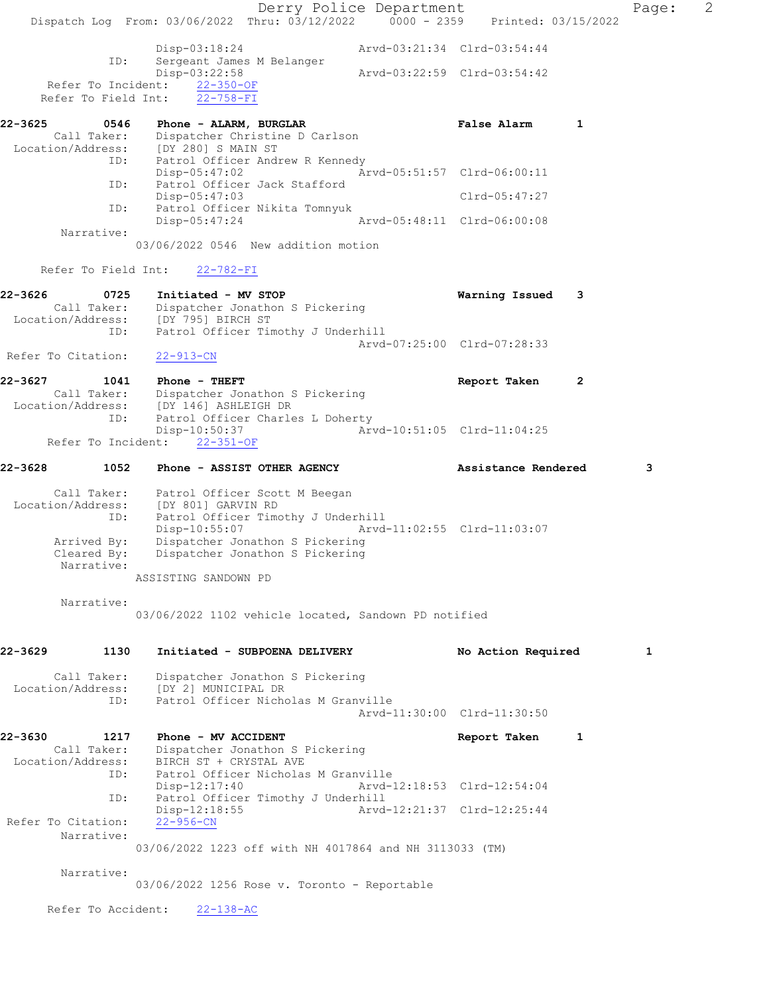Derry Police Department Fage: 2 Dispatch Log From: 03/06/2022 Thru: 03/12/2022 0000 - 2359 Printed: 03/15/2022 Disp-03:18:24 Arvd-03:21:34 Clrd-03:54:44 ID: Sergeant James M Belanger Disp-03:22:58 Arvd-03:22:59 Clrd-03:54:42 Refer To Incident: 22-350-OF Refer To Field Int: 22-758-FI 22-3625 0546 Phone - ALARM, BURGLAR False Alarm 1 Call Taker: Dispatcher Christine D Carlson Location/Address: [DY 280] S MAIN ST ID: Patrol Officer Andrew R Kennedy<br>Disp-05:47:02 Ar Disp-05:47:02 Arvd-05:51:57 Clrd-06:00:11 Patrol Officer Jack Stafford ID: Patrol Officer Jack Stafford<br>Disp-05:47:03 Clrd-05:47:27 ID: Patrol Officer Nikita Tomnyuk<br>Disp-05:47:24 Arvd-05:48:11 Clrd-06:00:08 Disp-05:47:24 Narrative: 03/06/2022 0546 New addition motion Refer To Field Int: 22-782-FI 22-3626 0725 Initiated - MV STOP Warning Issued 3 Call Taker: Dispatcher Jonathon S Pickering Location/Address: [DY 795] BIRCH ST ID: Patrol Officer Timothy J Underhill Arvd-07:25:00 Clrd-07:28:33<br>22-913-CN Refer To Citation: 22-3627 1041 Phone - THEFT Report Taken 2 Call Taker: Dispatcher Jonathon S Pickering Location/Address: [DY 146] ASHLEIGH DR<br>ID: Patrol Officer Charle Patrol Officer Charles L Doherty<br>Disp-10:50:37 Art Disp-10:50:37 Arvd-10:51:05 Clrd-11:04:25 Refer To Incident: 22-351-OF 22-3628 1052 Phone - ASSIST OTHER AGENCY Assistance Rendered 3 Call Taker: Patrol Officer Scott M Beegan Location/Address: [DY 801] GARVIN RD ID: Patrol Officer Timothy J Underhill Disp-10:55:07 Arvd-11:02:55 Clrd-11:03:07 Arrived By: Dispatcher Jonathon S Pickering Cleared By: Dispatcher Jonathon S Pickering Narrative: ASSISTING SANDOWN PD Narrative: 03/06/2022 1102 vehicle located, Sandown PD notified 22-3629 1130 Initiated - SUBPOENA DELIVERY No Action Required 1 Call Taker: Dispatcher Jonathon S Pickering Location/Address: [DY 2] MUNICIPAL DR ID: Patrol Officer Nicholas M Granville Arvd-11:30:00 Clrd-11:30:50 22-3630 1217 Phone - MV ACCIDENT Report Taken 1 Call Taker: Dispatcher Jonathon S Pickering Location/Address: BIRCH ST + CRYSTAL AVE ID: Patrol Officer Nicholas M Granville Disp-12:17:40 Arvd-12:18:53 Clrd-12:54:04 ID: Patrol Officer Timothy J Underhill Disp-12:18:55 Arvd-12:21:37 Clrd-12:25:44 Refer To Citation: 22-956-CN Narrative: 03/06/2022 1223 off with NH 4017864 and NH 3113033 (TM) Narrative: 03/06/2022 1256 Rose v. Toronto - Reportable Refer To Accident: 22-138-AC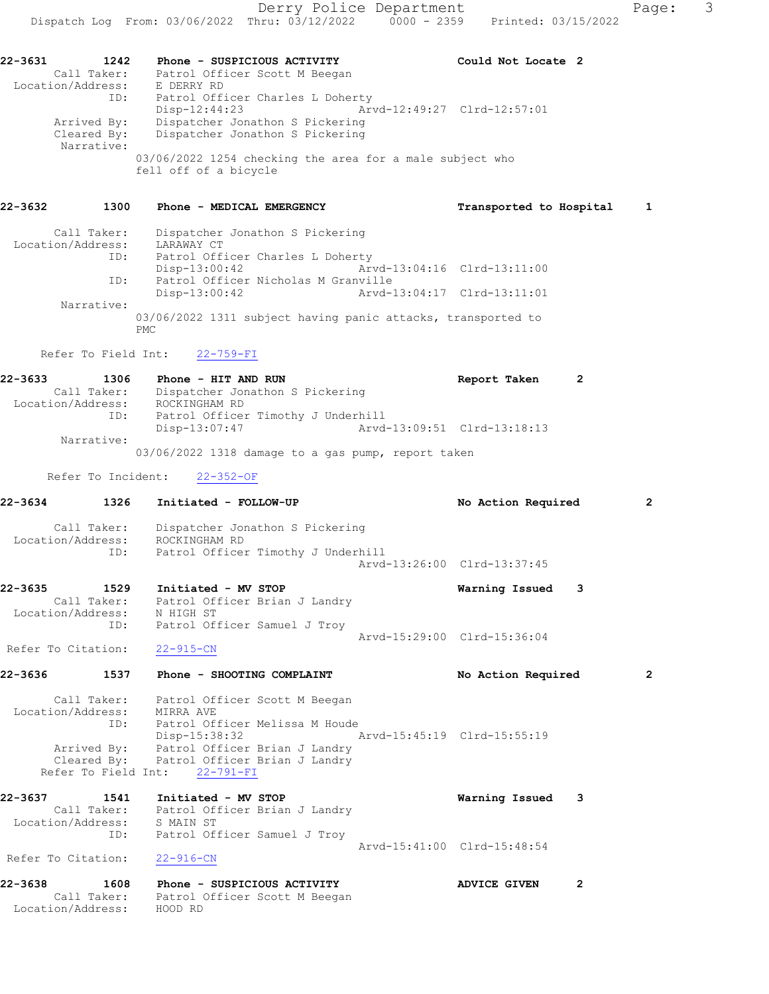22-3631 1242 Phone - SUSPICIOUS ACTIVITY Could Not Locate 2 Call Taker: Patrol Officer Scott M Beegan Location/Address: E DERRY RD ID: Patrol Officer Charles L Doherty Disp-12:44:23 Arvd-12:49:27 Clrd-12:57:01 Arrived By: Dispatcher Jonathon S Pickering Cleared By: Dispatcher Jonathon S Pickering Narrative: 03/06/2022 1254 checking the area for a male subject who fell off of a bicycle 22-3632 1300 Phone - MEDICAL EMERGENCY Transported to Hospital 1

| Call Taker:       | Dispatcher Jonathon S Pickering                                      |                             |  |
|-------------------|----------------------------------------------------------------------|-----------------------------|--|
| Location/Address: | LARAWAY CT                                                           |                             |  |
| ID:               | Patrol Officer Charles L Doherty                                     |                             |  |
|                   | Disp-13:00:42                                                        | Arvd-13:04:16 Clrd-13:11:00 |  |
| ID:               | Patrol Officer Nicholas M Granville                                  |                             |  |
|                   | Disp-13:00:42                                                        | Arvd-13:04:17 Clrd-13:11:01 |  |
| Narrative:        |                                                                      |                             |  |
|                   | 03/06/2022 1311 subject having panic attacks, transported to<br>PMC. |                             |  |

#### Refer To Field Int: 22-759-FI

22-3633 1306 Phone - HIT AND RUN Report Taken 2 Call Taker: Dispatcher Jonathon S Pickering Location/Address: ROCKINGHAM RD ID: Patrol Officer Timothy J Underhill Disp-13:07:47 Arvd-13:09:51 Clrd-13:18:13 Narrative: 03/06/2022 1318 damage to a gas pump, report taken

Refer To Incident: 22-352-OF

| 22-3634           | 1326 | Initiated - FOLLOW-UP                                                          |                             | No Action Required          |                | $\overline{2}$ |
|-------------------|------|--------------------------------------------------------------------------------|-----------------------------|-----------------------------|----------------|----------------|
|                   |      | Call Taker: Dispatcher Jonathon S Pickering<br>Location/Address: ROCKINGHAM RD |                             |                             |                |                |
|                   | ID:  | Patrol Officer Timothy J Underhill                                             |                             |                             |                |                |
|                   |      |                                                                                |                             | Arvd-13:26:00 Clrd-13:37:45 |                |                |
| 22-3635           | 1529 | Initiated - MV STOP                                                            |                             | Warning Issued 3            |                |                |
|                   |      | Call Taker: Patrol Officer Brian J Landry                                      |                             |                             |                |                |
|                   |      | Location/Address: N HIGH ST                                                    |                             |                             |                |                |
|                   | ID:  | Patrol Officer Samuel J Troy                                                   |                             |                             |                |                |
|                   |      |                                                                                |                             | Arvd-15:29:00 Clrd-15:36:04 |                |                |
|                   |      | Refer To Citation: 22-915-CN                                                   |                             |                             |                |                |
| 22-3636           | 1537 | Phone - SHOOTING COMPLAINT                                                     |                             | No Action Required          |                | $\overline{2}$ |
|                   |      | Call Taker: Patrol Officer Scott M Beegan                                      |                             |                             |                |                |
|                   |      | Location/Address: MIRRA AVE                                                    |                             |                             |                |                |
|                   |      | ID: Patrol Officer Melissa M Houde                                             |                             |                             |                |                |
|                   |      | Disp-15:38:32                                                                  | Arvd-15:45:19 Clrd-15:55:19 |                             |                |                |
|                   |      | Arrived By: Patrol Officer Brian J Landry                                      |                             |                             |                |                |
|                   |      | Cleared By: Patrol Officer Brian J Landry                                      |                             |                             |                |                |
|                   |      | Refer To Field Int: 22-791-FI                                                  |                             |                             |                |                |
| $22 - 3637$       |      | 1541 Initiated - MV STOP                                                       |                             | Warning Issued 3            |                |                |
|                   |      | Call Taker: Patrol Officer Brian J Landry                                      |                             |                             |                |                |
|                   |      | Location/Address: S MAIN ST                                                    |                             |                             |                |                |
|                   |      | ID: Patrol Officer Samuel J Troy                                               |                             |                             |                |                |
|                   |      |                                                                                |                             | Arvd-15:41:00 Clrd-15:48:54 |                |                |
|                   |      | Refer To Citation: 22-916-CN                                                   |                             |                             |                |                |
| 22-3638           |      | 1608 Phone - SUSPICIOUS ACTIVITY                                               |                             | <b>ADVICE GIVEN</b>         | $\overline{2}$ |                |
|                   |      | Call Taker: Patrol Officer Scott M Beegan                                      |                             |                             |                |                |
| Location/Address: |      | HOOD RD                                                                        |                             |                             |                |                |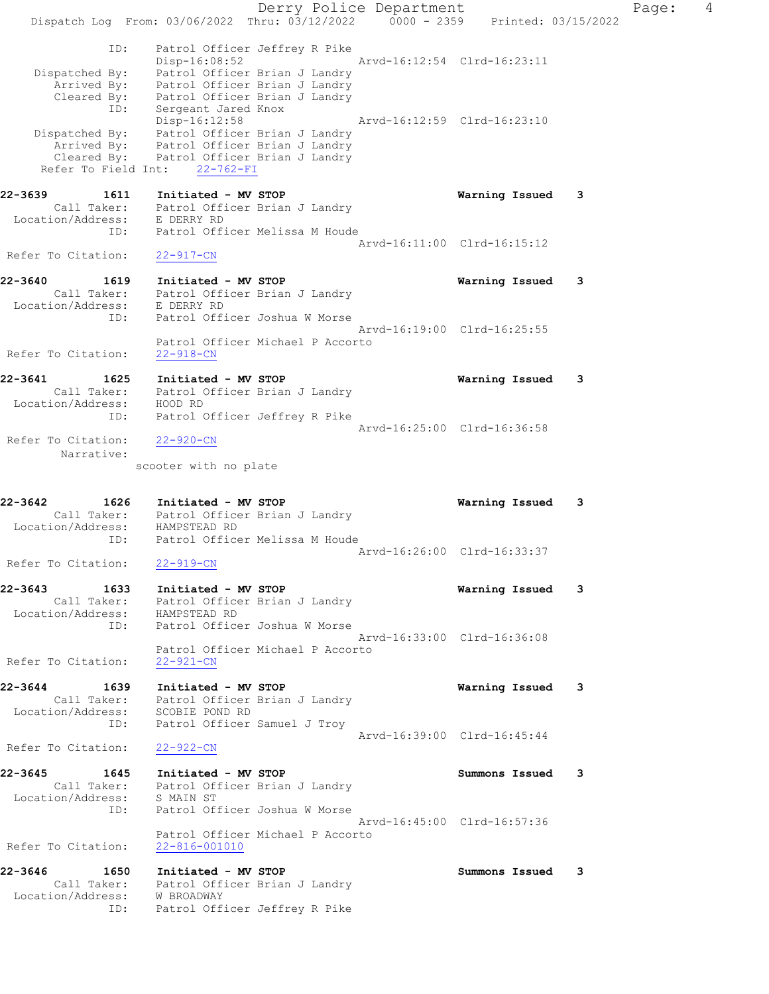Derry Police Department Controller Page: 4 Dispatch Log From: 03/06/2022 Thru: 03/12/2022 0000 - 2359 Printed: 03/15/2022 ID: Patrol Officer Jeffrey R Pike Disp-16:08:52 Arvd-16:12:54 Clrd-16:23:11 Dispatched By: Patrol Officer Brian J Landry Arrived By: Patrol Officer Brian J Landry Cleared By: Patrol Officer Brian J Landry ID: Sergeant Jared Knox Disp-16:12:58 Arvd-16:12:59 Clrd-16:23:10 Dispatched By: Patrol Officer Brian J Landry Arrived By: Patrol Officer Brian J Landry Cleared By: Patrol Officer Brian J Landry Refer To Field Int: 22-762-FI 22-3639 1611 Initiated - MV STOP Warning Issued 3 Call Taker: Patrol Officer Brian J Landry Location/Address: E DERRY RD ID: Patrol Officer Melissa M Houde Arvd-16:11:00 Clrd-16:15:12 Refer To Citation: 22-917-CN 22-3640 1619 Initiated - MV STOP Warning Issued 3 Call Taker: Patrol Officer Brian J Landry Location/Address: E DERRY RD ID: Patrol Officer Joshua W Morse Arvd-16:19:00 Clrd-16:25:55 Patrol Officer Michael P Accorto Refer To Citation: 22-918-CN 22-3641 1625 Initiated - MV STOP Warning Issued 3 Call Taker: Patrol Officer Brian J Landry Location/Address: HOOD RD ID: Patrol Officer Jeffrey R Pike Arvd-16:25:00 Clrd-16:36:58 Refer To Citation: 22-920-CN Narrative: scooter with no plate 22-3642 1626 Initiated - MV STOP Warning Issued 3 Call Taker: Patrol Officer Brian J Landry Location/Address: HAMPSTEAD RD ID: Patrol Officer Melissa M Houde Arvd-16:26:00 Clrd-16:33:37 Refer To Citation: 22-919-CN 22-3643 1633 Initiated - MV STOP Warning Issued 3 Call Taker: Patrol Officer Brian J Landry Location/Address: HAMPSTEAD RD ID: Patrol Officer Joshua W Morse Arvd-16:33:00 Clrd-16:36:08 Patrol Officer Michael P Accorto Refer To Citation: 22-921-CN 22-3644 1639 Initiated - MV STOP Warning Issued 3 Call Taker: Patrol Officer Brian J Landry Location/Address: SCOBIE POND RD ID: Patrol Officer Samuel J Troy Arvd-16:39:00 Clrd-16:45:44 Refer To Citation: 22-922-CN 22-3645 1645 Initiated - MV STOP Summons Issued 3 Call Taker: Patrol Officer Brian J Landry Location/Address: S MAIN ST ID: Patrol Officer Joshua W Morse Arvd-16:45:00 Clrd-16:57:36 Patrol Officer Michael P Accorto Refer To Citation: 22-816-001010 22-3646 1650 Initiated - MV STOP Summons Issued 3 Call Taker: Patrol Officer Brian J Landry Location/Address: W BROADWAY ID: Patrol Officer Jeffrey R Pike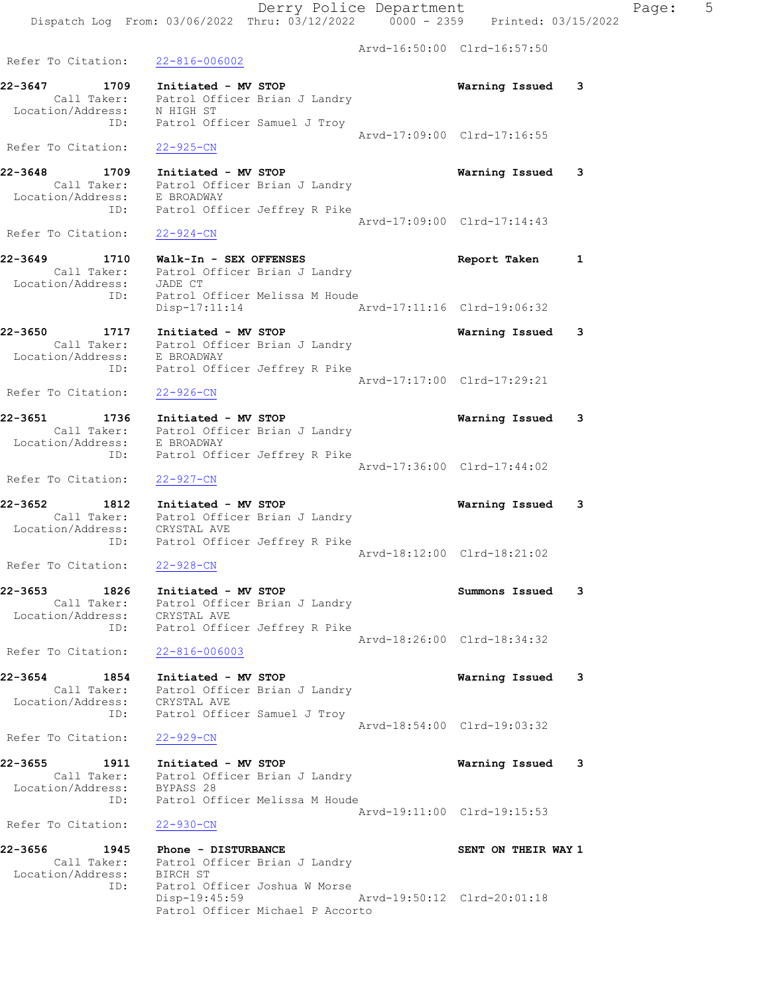Derry Police Department Fage: 5 Dispatch Log From: 03/06/2022 Thru: 03/12/2022 0000 - 2359 Printed: 03/15/2022 Arvd-16:50:00 Clrd-16:57:50 Refer To Citation: 22-816-006002 22-3647 1709 Initiated - MV STOP Warning Issued 3 Call Taker: Patrol Officer Brian J Landry Location/Address: N HIGH ST ID: Patrol Officer Samuel J Troy Arvd-17:09:00 Clrd-17:16:55 Refer To Citation: 22-925-CN 22-3648 1709 Initiated - MV STOP Warning Issued 3 Call Taker: Patrol Officer Brian J Landry Location/Address: E BROADWAY ID: Patrol Officer Jeffrey R Pike Arvd-17:09:00 Clrd-17:14:43 Refer To Citation: 22-924-CN 22-3649 1710 Walk-In - SEX OFFENSES Report Taken 1 Call Taker: Patrol Officer Brian J Landry Location/Address: JADE CT ID: Patrol Officer Melissa M Houde Disp-17:11:14 Arvd-17:11:16 Clrd-19:06:32 22-3650 1717 Initiated - MV STOP Warning Issued 3 Call Taker: Patrol Officer Brian J Landry Location/Address: E BROADWAY ID: Patrol Officer Jeffrey R Pike Arvd-17:17:00 Clrd-17:29:21 Refer To Citation: 22-926-CN 22-3651 1736 Initiated - MV STOP Warning Issued 3 Call Taker: Patrol Officer Brian J Landry Location/Address: E BROADWAY ID: Patrol Officer Jeffrey R Pike Arvd-17:36:00 Clrd-17:44:02 Refer To Citation: 22-927-CN 22-3652 1812 Initiated - MV STOP Warning Issued 3 Call Taker: Patrol Officer Brian J Landry Location/Address: CRYSTAL AVE ID: Patrol Officer Jeffrey R Pike Arvd-18:12:00 Clrd-18:21:02 Refer To Citation: 22-928-CN 22-3653 1826 Initiated - MV STOP Summons Issued 3 Call Taker: Patrol Officer Brian J Landry Location/Address: CRYSTAL AVE ID: Patrol Officer Jeffrey R Pike Arvd-18:26:00 Clrd-18:34:32 Refer To Citation: 22-816-006003 22-3654 1854 Initiated - MV STOP Warning Issued 3 Call Taker: Patrol Officer Brian J Landry Location/Address: CRYSTAL AVE ID: Patrol Officer Samuel J Troy Arvd-18:54:00 Clrd-19:03:32 Refer To Citation: 22-929-CN 22-3655 1911 Initiated - MV STOP Warning Issued 3 Call Taker: Patrol Officer Brian J Landry Location/Address: BYPASS 28 ID: Patrol Officer Melissa M Houde Arvd-19:11:00 Clrd-19:15:53 Refer To Citation: 22-930-CN 22-3656 1945 Phone - DISTURBANCE SENT ON THEIR WAY 1 Call Taker: Patrol Officer Brian J Landry Location/Address: BIRCH ST ID: Patrol Officer Joshua W Morse Disp-19:45:59 Arvd-19:50:12 Clrd-20:01:18 Patrol Officer Michael P Accorto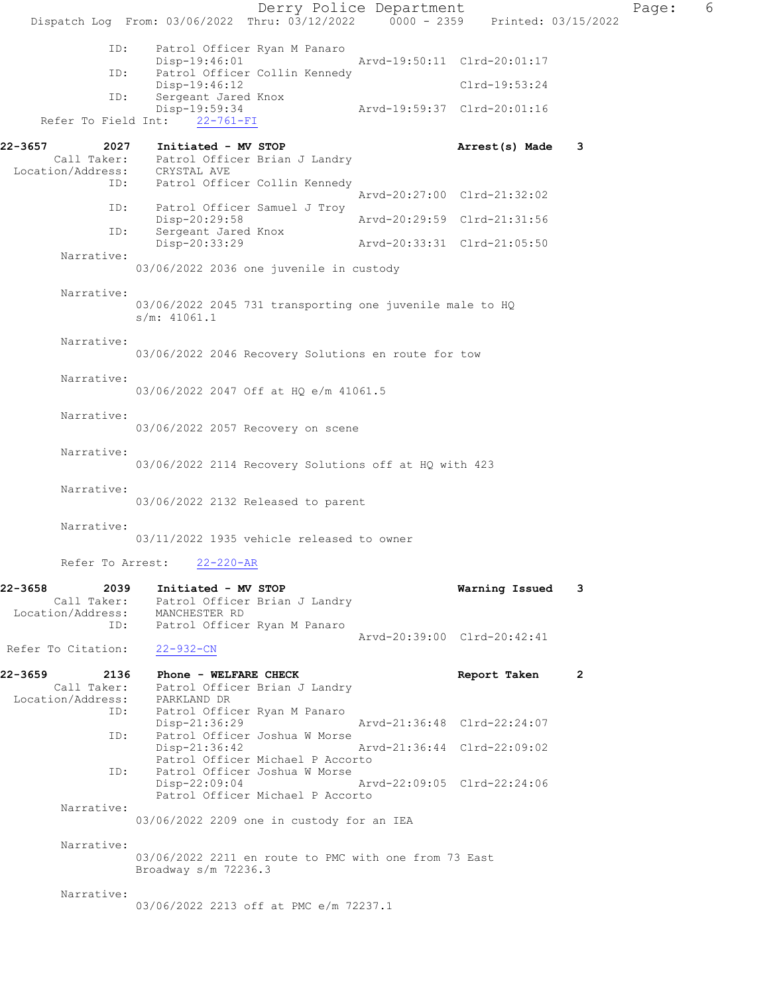Derry Police Department Fage: 6 Dispatch Log From: 03/06/2022 Thru: 03/12/2022 0000 - 2359 Printed: 03/15/2022 ID: Patrol Officer Ryan M Panaro Disp-19:46:01 Arvd-19:50:11 Clrd-20:01:17 ID: Patrol Officer Collin Kennedy Disp-19:46:12 Clrd-19:53:24 ID: Sergeant Jared Knox<br>Disp-19:59:34 Disp-19:59:34 Arvd-19:59:37 Clrd-20:01:16 Refer To Field Int: 22-761-FI 22-3657 2027 Initiated - MV STOP Arrest(s) Made 3 Call Taker: Patrol Officer Brian J Landry Location/Address: CRYSTAL AVE ID: Patrol Officer Collin Kennedy Arvd-20:27:00 Clrd-21:32:02 ID: Patrol Officer Samuel J Troy Disp-20:29:58 Arvd-20:29:59 Clrd-21:31:56 ID: Sergeant Jared Knox<br>Disp-20:33:29 Disp-20:33:29 Arvd-20:33:31 Clrd-21:05:50 Narrative: 03/06/2022 2036 one juvenile in custody Narrative: 03/06/2022 2045 731 transporting one juvenile male to HQ s/m: 41061.1 Narrative: 03/06/2022 2046 Recovery Solutions en route for tow Narrative: 03/06/2022 2047 Off at HQ e/m 41061.5 Narrative: 03/06/2022 2057 Recovery on scene Narrative: 03/06/2022 2114 Recovery Solutions off at HQ with 423 Narrative: 03/06/2022 2132 Released to parent Narrative: 03/11/2022 1935 vehicle released to owner Refer To Arrest: 22-220-AR 22-3658 2039 Initiated - MV STOP Warning Issued 3 Call Taker: Patrol Officer Brian J Landry Location/Address: MANCHESTER RD ID: Patrol Officer Ryan M Panaro Arvd-20:39:00 Clrd-20:42:41 Refer To Citation: 22-932-CN 22-3659 2136 Phone - WELFARE CHECK 2 Report Taken 2 Call Taker: Patrol Officer Brian J Landry Location/Address: PARKLAND DR ID: Patrol Officer Ryan M Panaro Disp-21:36:29 Arvd-21:36:48 Clrd-22:24:07 ID: Patrol Officer Joshua W Morse Disp-21:36:42 Arvd-21:36:44 Clrd-22:09:02 Patrol Officer Michael P Accorto<br>The Patrol Officer Joshua W Morse Patrol Officer Joshua W Morse<br>Disp-22:09:04 Disp-22:09:04 Arvd-22:09:05 Clrd-22:24:06 Patrol Officer Michael P Accorto Narrative: 03/06/2022 2209 one in custody for an IEA Narrative: 03/06/2022 2211 en route to PMC with one from 73 East Broadway s/m 72236.3 Narrative: 03/06/2022 2213 off at PMC e/m 72237.1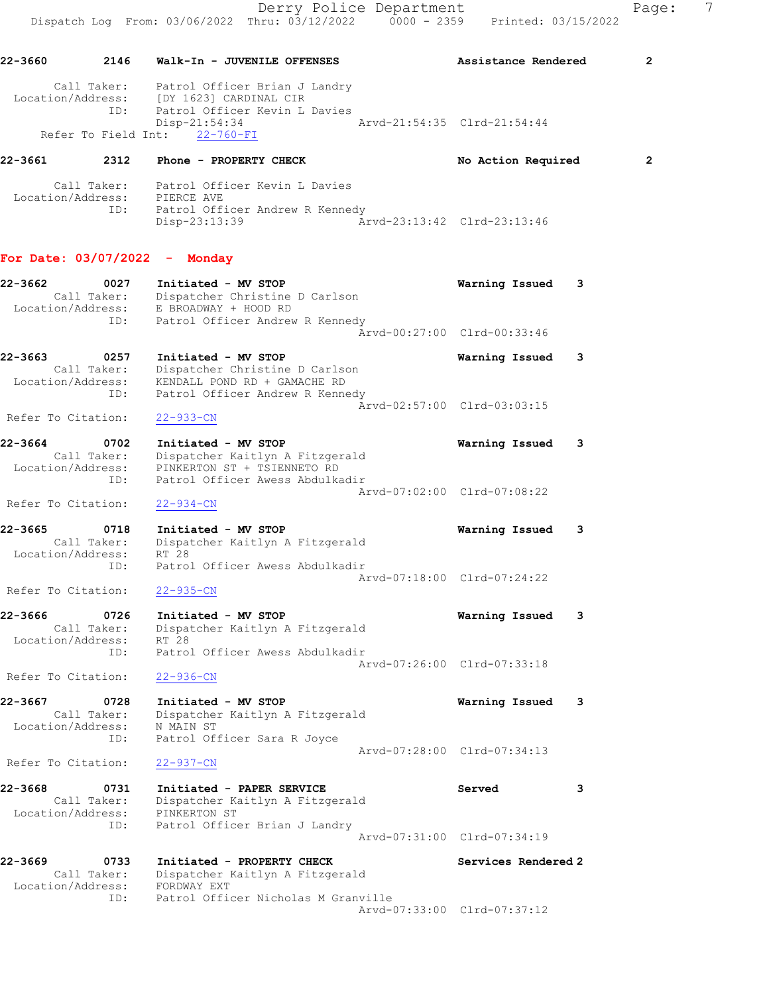Call Taker: Patrol Officer Kevin L Davies Location/Address: PIERCE AVE ID: Patrol Officer Andrew R Kennedy Disp-23:13:39 Arvd-23:13:42 Clrd-23:13:46

## For Date: 03/07/2022 - Monday

| 22-3662<br>Location/Address: | 0027<br>Call Taker:<br>ID: | Initiated - MV STOP<br>Dispatcher Christine D Carlson<br>E BROADWAY + HOOD RD<br>Patrol Officer Andrew R Kennedy         | Warning Issued              | 3 |
|------------------------------|----------------------------|--------------------------------------------------------------------------------------------------------------------------|-----------------------------|---|
|                              |                            |                                                                                                                          | Arvd-00:27:00 Clrd-00:33:46 |   |
| 22-3663<br>Location/Address: | 0257<br>Call Taker:<br>ID: | Initiated - MV STOP<br>Dispatcher Christine D Carlson<br>KENDALL POND RD + GAMACHE RD<br>Patrol Officer Andrew R Kennedy | Warning Issued              |   |
| Refer To Citation:           |                            | $22 - 933 - CN$                                                                                                          | Arvd-02:57:00 Clrd-03:03:15 |   |
| 22-3664                      | 0702                       | Initiated - MV STOP                                                                                                      | Warning Issued              |   |

 Call Taker: Dispatcher Kaitlyn A Fitzgerald Location/Address: PINKERTON ST + TSIENNETO RD ID: Patrol Officer Awess Abdulkadir Arvd-07:02:00 Clrd-07:08:22 Refer To Citation: 22-934-CN

22-3665 0718 Initiated - MV STOP Warning Issued 3 Call Taker: Dispatcher Kaitlyn A Fitzgerald Location/Address: RT 28 ID: Patrol Officer Awess Abdulkadir Arvd-07:18:00 Clrd-07:24:22

Refer To Citation: 22-935-CN 22-3666 0726 Initiated - MV STOP Warning Issued 3 Call Taker: Dispatcher Kaitlyn A Fitzgerald Location/Address: RT 28

 ID: Patrol Officer Awess Abdulkadir Arvd-07:26:00 Clrd-07:33:18 Refer To Citation: 22-936-CN

22-3667 0728 Initiated - MV STOP Warning Issued 3 Call Taker: Dispatcher Kaitlyn A Fitzgerald Location/Address: N MAIN ST ID: Patrol Officer Sara R Joyce Arvd-07:28:00 Clrd-07:34:13

Refer To Citation: 22-937-CN

22-3668 0731 Initiated - PAPER SERVICE Served 3 Call Taker: Dispatcher Kaitlyn A Fitzgerald Location/Address: PINKERTON ST ID: Patrol Officer Brian J Landry Arvd-07:31:00 Clrd-07:34:19

22-3669 0733 Initiated - PROPERTY CHECK Services Rendered 2 Call Taker: Dispatcher Kaitlyn A Fitzgerald Location/Address: FORDWAY EXT ID: Patrol Officer Nicholas M Granville Arvd-07:33:00 Clrd-07:37:12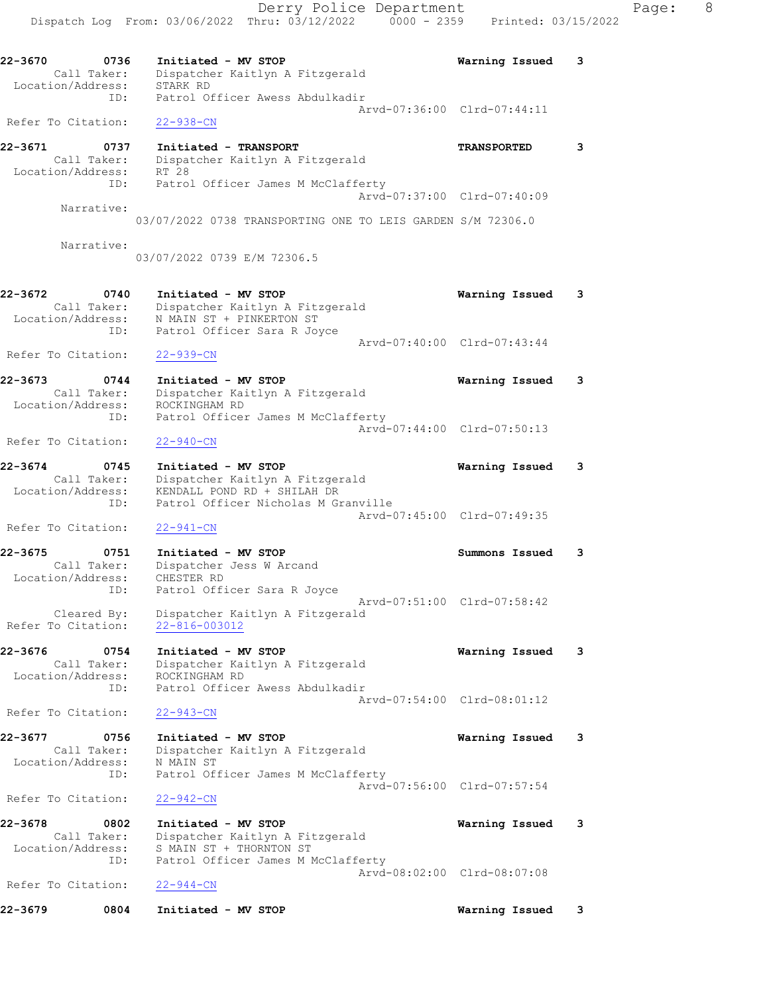Derry Police Department Fage: 8 Dispatch Log From: 03/06/2022 Thru: 03/12/2022 0000 - 2359 Printed: 03/15/2022 22-3670 0736 Initiated - MV STOP Warning Issued 3 Call Taker: Dispatcher Kaitlyn A Fitzgerald Location/Address: STARK RD ID: Patrol Officer Awess Abdulkadir Arvd-07:36:00 Clrd-07:44:11 Refer To Citation: 22-938-CN 22-3671 0737 Initiated - TRANSPORT TRANSPORTED 3 Call Taker: Dispatcher Kaitlyn A Fitzgerald Location/Address: RT 28 ID: Patrol Officer James M McClafferty Arvd-07:37:00 Clrd-07:40:09 Narrative: 03/07/2022 0738 TRANSPORTING ONE TO LEIS GARDEN S/M 72306.0 Narrative: 03/07/2022 0739 E/M 72306.5 22-3672 0740 Initiated - MV STOP Warning Issued 3 Call Taker: Dispatcher Kaitlyn A Fitzgerald Location/Address: N MAIN ST + PINKERTON ST ID: Patrol Officer Sara R Joyce Arvd-07:40:00 Clrd-07:43:44 Refer To Citation: 22-939-CN 22-3673 0744 Initiated - MV STOP Warning Issued 3 Call Taker: Dispatcher Kaitlyn A Fitzgerald Location/Address: ROCKINGHAM RD ID: Patrol Officer James M McClafferty Arvd-07:44:00 Clrd-07:50:13 Refer To Citation: 22-940-CN 22-3674 0745 Initiated - MV STOP Warning Issued 3 Call Taker: Dispatcher Kaitlyn A Fitzgerald Location/Address: KENDALL POND RD + SHILAH DR ID: Patrol Officer Nicholas M Granville Arvd-07:45:00 Clrd-07:49:35 Refer To Citation: 22-941-CN 22-3675 0751 Initiated - MV STOP Summons Issued 3 Call Taker: Dispatcher Jess W Arcand Location/Address: CHESTER RD ID: Patrol Officer Sara R Joyce Arvd-07:51:00 Clrd-07:58:42 Cleared By: Dispatcher Kaitlyn A Fitzgerald Refer To Citation: 22-816-003012 22-3676 0754 Initiated - MV STOP Warning Issued 3 Call Taker: Dispatcher Kaitlyn A Fitzgerald Location/Address: ROCKINGHAM RD ID: Patrol Officer Awess Abdulkadir Arvd-07:54:00 Clrd-08:01:12 Refer To Citation: 22-943-CN 22-3677 0756 Initiated - MV STOP Warning Issued 3 Call Taker: Dispatcher Kaitlyn A Fitzgerald Location/Address: N MAIN ST ID: Patrol Officer James M McClafferty Arvd-07:56:00 Clrd-07:57:54 Refer To Citation: 22-942-CN 22-3678 0802 Initiated - MV STOP Warning Issued 3 Call Taker: Dispatcher Kaitlyn A Fitzgerald Location/Address: S MAIN ST + THORNTON ST ID: Patrol Officer James M McClafferty Arvd-08:02:00 Clrd-08:07:08 Refer To Citation: 22-944-CN 22-3679 0804 Initiated - MV STOP Warning Issued 3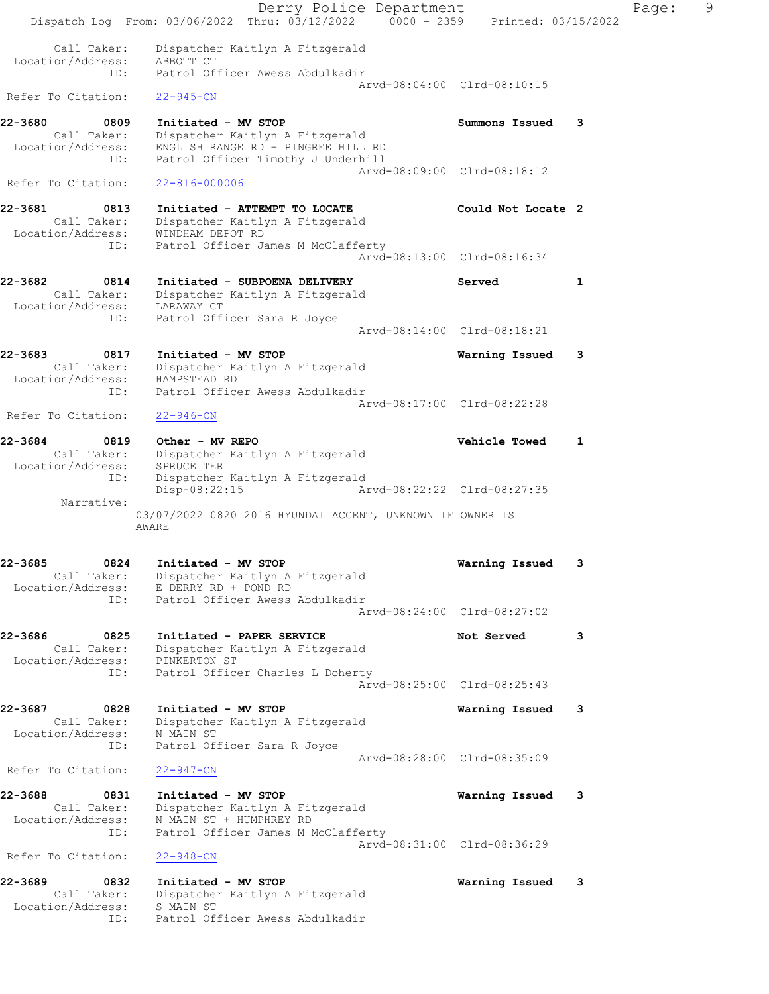Derry Police Department Page: 9 Dispatch Log From: 03/06/2022 Thru: 03/12/2022 0000 - 2359 Printed: 03/15/2022 Call Taker: Dispatcher Kaitlyn A Fitzgerald Location/Address: ABBOTT CT ID: Patrol Officer Awess Abdulkadir Arvd-08:04:00 Clrd-08:10:15 Refer To Citation: 22-945-CN 22-3680 0809 Initiated - MV STOP Summons Issued 3 Call Taker: Dispatcher Kaitlyn A Fitzgerald Location/Address: ENGLISH RANGE RD + PINGREE HILL RD ID: Patrol Officer Timothy J Underhill Arvd-08:09:00 Clrd-08:18:12 Refer To Citation: 22-816-000006 22-3681 0813 Initiated - ATTEMPT TO LOCATE Could Not Locate 2 Call Taker: Dispatcher Kaitlyn A Fitzgerald Location/Address: WINDHAM DEPOT RD ID: Patrol Officer James M McClafferty Arvd-08:13:00 Clrd-08:16:34 22-3682 0814 Initiated - SUBPOENA DELIVERY Served 1 Call Taker: Dispatcher Kaitlyn A Fitzgerald Location/Address: LARAWAY CT ID: Patrol Officer Sara R Joyce Arvd-08:14:00 Clrd-08:18:21 22-3683 0817 Initiated - MV STOP Warning Issued 3 Call Taker: Dispatcher Kaitlyn A Fitzgerald Location/Address: HAMPSTEAD RD ID: Patrol Officer Awess Abdulkadir Arvd-08:17:00 Clrd-08:22:28 Refer To Citation: 22-946-CN 22-3684 0819 Other - MV REPO Vehicle Towed 1 Call Taker: Dispatcher Kaitlyn A Fitzgerald Location/Address: SPRUCE TER ID: Dispatcher Kaitlyn A Fitzgerald Disp-08:22:15 Arvd-08:22:22 Clrd-08:27:35 Narrative: 03/07/2022 0820 2016 HYUNDAI ACCENT, UNKNOWN IF OWNER IS AWARE 22-3685 0824 Initiated - MV STOP Warning Issued 3 Call Taker: Dispatcher Kaitlyn A Fitzgerald Location/Address: E DERRY RD + POND RD ID: Patrol Officer Awess Abdulkadir Arvd-08:24:00 Clrd-08:27:02 22-3686 0825 Initiated - PAPER SERVICE Not Served 3 Call Taker: Dispatcher Kaitlyn A Fitzgerald Location/Address: PINKERTON ST ID: Patrol Officer Charles L Doherty Arvd-08:25:00 Clrd-08:25:43 22-3687 0828 Initiated - MV STOP Warning Issued 3 Call Taker: Dispatcher Kaitlyn A Fitzgerald Location/Address: N MAIN ST ID: Patrol Officer Sara R Joyce Arvd-08:28:00 Clrd-08:35:09 Refer To Citation: 22-947-CN 22-3688 0831 Initiated - MV STOP Warning Issued 3 Call Taker: Dispatcher Kaitlyn A Fitzgerald Location/Address: N MAIN ST + HUMPHREY RD ID: Patrol Officer James M McClafferty Arvd-08:31:00 Clrd-08:36:29 Refer To Citation: 22-948-CN 22-3689 0832 Initiated - MV STOP Warning Issued 3 Call Taker: Dispatcher Kaitlyn A Fitzgerald Location/Address: S MAIN ST ID: Patrol Officer Awess Abdulkadir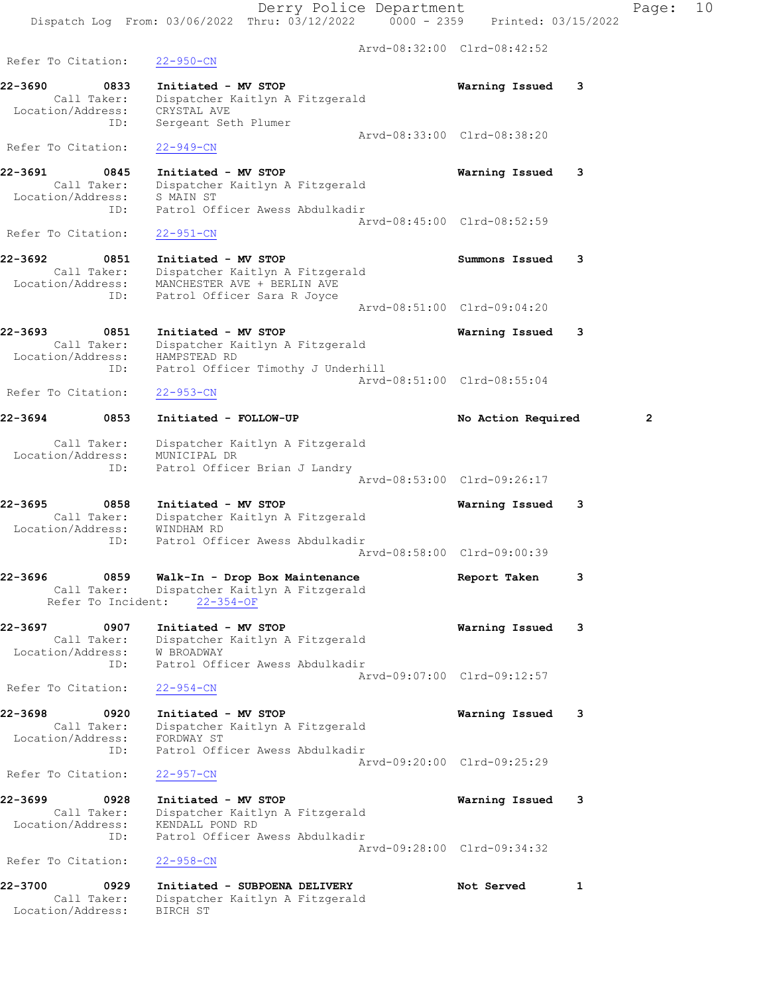|                                                            | Derry Police Department<br>Dispatch Log From: 03/06/2022 Thru: 03/12/2022 0000 - 2359                                | Printed: 03/15/2022         | Pac            |
|------------------------------------------------------------|----------------------------------------------------------------------------------------------------------------------|-----------------------------|----------------|
|                                                            |                                                                                                                      | Arvd-08:32:00 Clrd-08:42:52 |                |
| Refer To Citation:                                         | $22 - 950 - CN$                                                                                                      |                             |                |
| 22-3690<br>0833<br>Call Taker:                             | Initiated - MV STOP<br>Dispatcher Kaitlyn A Fitzgerald                                                               | 3<br>Warning Issued         |                |
| Location/Address:<br>ID:                                   | CRYSTAL AVE<br>Sergeant Seth Plumer                                                                                  | Arvd-08:33:00 Clrd-08:38:20 |                |
| Refer To Citation:                                         | $22 - 949 - CN$                                                                                                      |                             |                |
| 22-3691<br>0845<br>Call Taker:                             | Initiated - MV STOP<br>Dispatcher Kaitlyn A Fitzgerald                                                               | Warning Issued<br>3         |                |
| Location/Address:<br>ID:                                   | S MAIN ST<br>Patrol Officer Awess Abdulkadir                                                                         | Arvd-08:45:00 Clrd-08:52:59 |                |
| Refer To Citation:                                         | $22 - 951 - CN$                                                                                                      |                             |                |
| 22-3692<br>0851<br>Call Taker:<br>Location/Address:<br>ID: | Initiated - MV STOP<br>Dispatcher Kaitlyn A Fitzgerald<br>MANCHESTER AVE + BERLIN AVE<br>Patrol Officer Sara R Joyce | Summons Issued<br>3         |                |
|                                                            |                                                                                                                      | Arvd-08:51:00 Clrd-09:04:20 |                |
| 22-3693<br>0851<br>Call Taker:<br>Location/Address:        | Initiated - MV STOP<br>Dispatcher Kaitlyn A Fitzgerald<br>HAMPSTEAD RD                                               | Warning Issued<br>3         |                |
| ID:<br>Refer To Citation:                                  | Patrol Officer Timothy J Underhill<br>$22 - 953 - CN$                                                                | Arvd-08:51:00 Clrd-08:55:04 |                |
| 22-3694<br>0853                                            | Initiated - FOLLOW-UP                                                                                                | No Action Required          | $\overline{2}$ |
| Call Taker:<br>Location/Address:<br>ID:                    | Dispatcher Kaitlyn A Fitzgerald<br>MUNICIPAL DR<br>Patrol Officer Brian J Landry                                     |                             |                |
|                                                            |                                                                                                                      | Arvd-08:53:00 Clrd-09:26:17 |                |
| 22-3695<br>0858<br>Call Taker:<br>Location/Address:        | Initiated - MV STOP<br>Dispatcher Kaitlyn A Fitzgerald<br>WINDHAM RD                                                 | 3<br>Warning Issued         |                |
| ID:                                                        | Patrol Officer Awess Abdulkadir                                                                                      | Arvd-08:58:00 Clrd-09:00:39 |                |
| 22-3696<br>0859<br>Call Taker:<br>Refer To Incident:       | Walk-In - Drop Box Maintenance<br>Dispatcher Kaitlyn A Fitzgerald<br>$22 - 354 - OF$                                 | 3<br>Report Taken           |                |
| 22-3697<br>0907<br>Call Taker:                             | Initiated - MV STOP<br>Dispatcher Kaitlyn A Fitzgerald                                                               | Warning Issued<br>3         |                |
| Location/Address:<br>ID:                                   | <b>W BROADWAY</b><br>Patrol Officer Awess Abdulkadir                                                                 | Arvd-09:07:00 Clrd-09:12:57 |                |
| Refer To Citation:                                         | $22 - 954 - CN$                                                                                                      |                             |                |
| 22-3698<br>0920<br>Call Taker:<br>Location/Address:        | Initiated - MV STOP<br>Dispatcher Kaitlyn A Fitzgerald<br>FORDWAY ST                                                 | Warning Issued<br>3         |                |
| ID:<br>Refer To Citation:                                  | Patrol Officer Awess Abdulkadir<br>$22 - 957 - CN$                                                                   | Arvd-09:20:00 Clrd-09:25:29 |                |
| 22-3699<br>0928                                            | Initiated - MV STOP                                                                                                  | 3<br>Warning Issued         |                |
| Call Taker:<br>Location/Address:<br>ID:                    | Dispatcher Kaitlyn A Fitzgerald<br>KENDALL POND RD<br>Patrol Officer Awess Abdulkadir                                |                             |                |
| Refer To Citation:                                         | $22 - 958 - CN$                                                                                                      | Arvd-09:28:00 Clrd-09:34:32 |                |
| 22-3700<br>0929<br>Call Taker:<br>Location/Address:        | Initiated - SUBPOENA DELIVERY<br>Dispatcher Kaitlyn A Fitzgerald<br>BIRCH ST                                         | Not Served<br>1             |                |

age: 10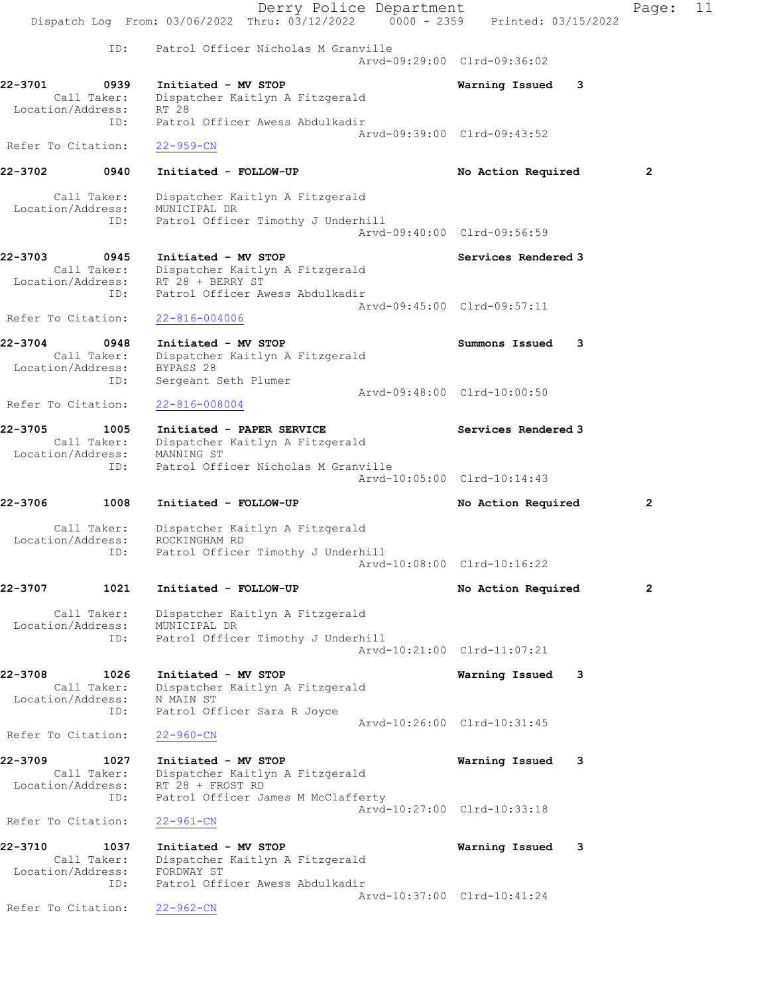|                              |                            | Derry Police Department                                                                                       |                             | Page:          | 11 |
|------------------------------|----------------------------|---------------------------------------------------------------------------------------------------------------|-----------------------------|----------------|----|
|                              |                            | Dispatch Log From: 03/06/2022 Thru: 03/12/2022 0000 - 2359 Printed: 03/15/2022                                |                             |                |    |
|                              | ID:                        | Patrol Officer Nicholas M Granville                                                                           | Arvd-09:29:00 Clrd-09:36:02 |                |    |
| 22-3701<br>Location/Address: | 0939<br>Call Taker:<br>ID: | Initiated - MV STOP<br>Dispatcher Kaitlyn A Fitzgerald<br>RT 28<br>Patrol Officer Awess Abdulkadir            | Warning Issued<br>3         |                |    |
| Refer To Citation:           |                            | $22 - 959 - CN$                                                                                               | Arvd-09:39:00 Clrd-09:43:52 |                |    |
| 22-3702                      | 0940                       | Initiated - FOLLOW-UP                                                                                         | No Action Required          | 2              |    |
| Location/Address:            | Call Taker:<br>ID:         | Dispatcher Kaitlyn A Fitzgerald<br>MUNICIPAL DR<br>Patrol Officer Timothy J Underhill                         | Arvd-09:40:00 Clrd-09:56:59 |                |    |
|                              |                            |                                                                                                               |                             |                |    |
| 22-3703<br>Location/Address: | 0945<br>Call Taker:<br>ID: | Initiated - MV STOP<br>Dispatcher Kaitlyn A Fitzgerald<br>RT 28 + BERRY ST<br>Patrol Officer Awess Abdulkadir | Services Rendered 3         |                |    |
| Refer To Citation:           |                            | $22 - 816 - 004006$                                                                                           | Arvd-09:45:00 Clrd-09:57:11 |                |    |
| 22-3704<br>Location/Address: | 0948<br>Call Taker:<br>ID: | Initiated - MV STOP<br>Dispatcher Kaitlyn A Fitzgerald<br>BYPASS 28<br>Sergeant Seth Plumer                   | Summons Issued<br>3         |                |    |
| Refer To Citation:           |                            | $22 - 816 - 008004$                                                                                           | Arvd-09:48:00 Clrd-10:00:50 |                |    |
| 22-3705<br>Location/Address: | 1005<br>Call Taker:        | Initiated - PAPER SERVICE<br>Dispatcher Kaitlyn A Fitzgerald<br>MANNING ST                                    | Services Rendered 3         |                |    |
|                              | ID:                        | Patrol Officer Nicholas M Granville                                                                           | Arvd-10:05:00 Clrd-10:14:43 |                |    |
| 22-3706                      | 1008                       | Initiated - FOLLOW-UP                                                                                         | No Action Required          | $\overline{2}$ |    |
|                              | Call Taker:                | Dispatcher Kaitlyn A Fitzgerald                                                                               |                             |                |    |
| Location/Address:            | ID:                        | ROCKINGHAM RD<br>Patrol Officer Timothy J Underhill                                                           | Arvd-10:08:00 Clrd-10:16:22 |                |    |
| 22-3707                      | 1021                       | Initiated - FOLLOW-UP                                                                                         | No Action Required          | $\overline{2}$ |    |
| Location/Address:            | Call Taker:                | Dispatcher Kaitlyn A Fitzgerald<br>MUNICIPAL DR                                                               |                             |                |    |
|                              | ID:                        | Patrol Officer Timothy J Underhill                                                                            | Arvd-10:21:00 Clrd-11:07:21 |                |    |
| 22-3708<br>Location/Address: | 1026<br>Call Taker:<br>ID: | Initiated - MV STOP<br>Dispatcher Kaitlyn A Fitzgerald<br>N MAIN ST<br>Patrol Officer Sara R Joyce            | Warning Issued<br>3         |                |    |
| Refer To Citation:           |                            | $22 - 960 - CN$                                                                                               | Arvd-10:26:00 Clrd-10:31:45 |                |    |
| 22-3709<br>Location/Address: | 1027<br>Call Taker:        | Initiated - MV STOP<br>Dispatcher Kaitlyn A Fitzgerald<br>RT 28 + FROST RD                                    | Warning Issued<br>-3        |                |    |
| Refer To Citation:           | ID:                        | Patrol Officer James M McClafferty<br>$22 - 961 - CN$                                                         | Arvd-10:27:00 Clrd-10:33:18 |                |    |
|                              |                            |                                                                                                               |                             |                |    |
| 22-3710<br>Location/Address: | 1037<br>Call Taker:<br>ID: | Initiated - MV STOP<br>Dispatcher Kaitlyn A Fitzgerald<br>FORDWAY ST<br>Patrol Officer Awess Abdulkadir       | Warning Issued<br>3         |                |    |
| Refer To Citation:           |                            | $22 - 962 - CN$                                                                                               | Arvd-10:37:00 Clrd-10:41:24 |                |    |
|                              |                            |                                                                                                               |                             |                |    |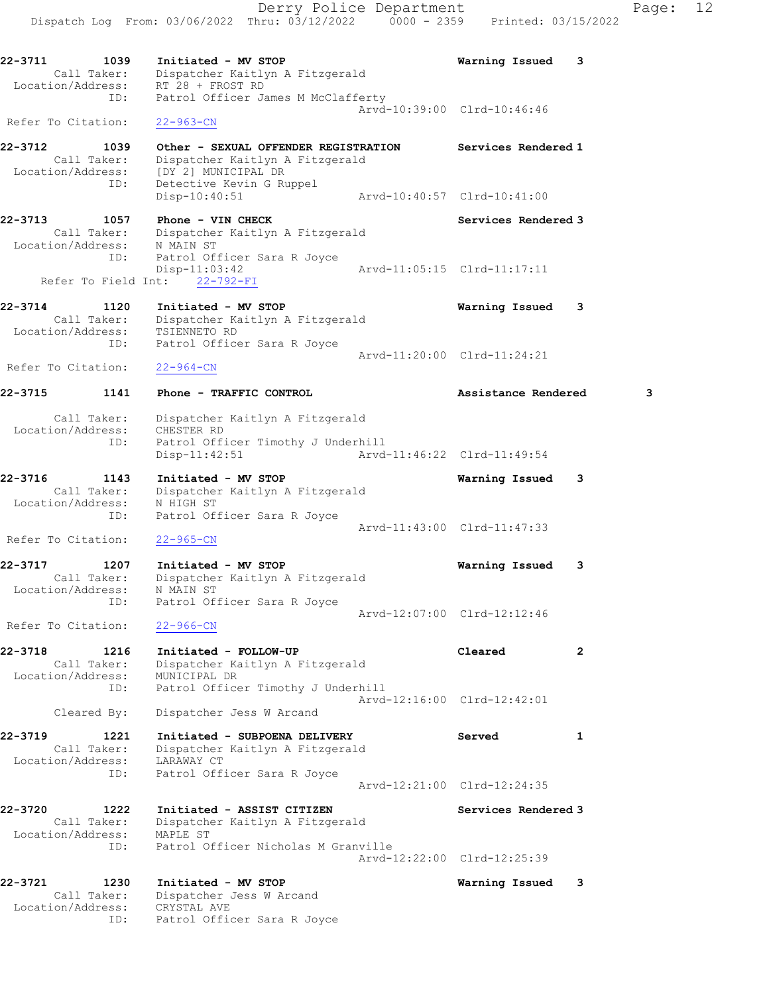Dispatch Log From: 03/06/2022 Thru: 03/12/2022 0000 - 2359 Printed: 03/15/2022 22-3711 1039 Initiated - MV STOP Warning Issued 3 Call Taker: Dispatcher Kaitlyn A Fitzgerald Location/Address: RT 28 + FROST RD ID: Patrol Officer James M McClafferty Arvd-10:39:00 Clrd-10:46:46 Refer To Citation: 22-963-CN 22-3712 1039 Other - SEXUAL OFFENDER REGISTRATION Services Rendered 1 Call Taker: Dispatcher Kaitlyn A Fitzgerald Location/Address: [DY 2] MUNICIPAL DR ID: Detective Kevin G Ruppel Disp-10:40:51 Arvd-10:40:57 Clrd-10:41:00 22-3713 1057 Phone - VIN CHECK North Services Rendered 3 Call Taker: Dispatcher Kaitlyn A Fitzgerald Location/Address: N MAIN ST ID: Patrol Officer Sara R Joyce Disp-11:03:42 Arvd-11:05:15 Clrd-11:17:11 Refer To Field Int: 22-792-FI 22-3714 1120 Initiated - MV STOP Warning Issued 3 Call Taker: Dispatcher Kaitlyn A Fitzgerald Location/Address: TSIENNETO RD ID: Patrol Officer Sara R Joyce Arvd-11:20:00 Clrd-11:24:21 Refer To Citation: 22-964-CN 22-3715 1141 Phone - TRAFFIC CONTROL Assistance Rendered 3 Call Taker: Dispatcher Kaitlyn A Fitzgerald Location/Address: CHESTER RD ID: Patrol Officer Timothy J Underhill Disp-11:42:51 Arvd-11:46:22 Clrd-11:49:54 22-3716 1143 Initiated - MV STOP Warning Issued 3 Call Taker: Dispatcher Kaitlyn A Fitzgerald Location/Address: N HIGH ST ID: Patrol Officer Sara R Joyce Arvd-11:43:00 Clrd-11:47:33 Refer To Citation: 22-965-CN 22-3717 1207 Initiated - MV STOP Warning Issued 3 Call Taker: Dispatcher Kaitlyn A Fitzgerald Location/Address: N MAIN ST ID: Patrol Officer Sara R Joyce Arvd-12:07:00 Clrd-12:12:46 Refer To Citation: 22-966-CN 22-3718 1216 Initiated - FOLLOW-UP Cleared 2 Call Taker: Dispatcher Kaitlyn A Fitzgerald Location/Address: MUNICIPAL DR ID: Patrol Officer Timothy J Underhill Arvd-12:16:00 Clrd-12:42:01 Cleared By: Dispatcher Jess W Arcand 22-3719 1221 Initiated - SUBPOENA DELIVERY Served 1 Call Taker: Dispatcher Kaitlyn A Fitzgerald Location/Address: LARAWAY CT ID: Patrol Officer Sara R Joyce Arvd-12:21:00 Clrd-12:24:35 22-3720 1222 Initiated - ASSIST CITIZEN Services Rendered 3 Call Taker: Dispatcher Kaitlyn A Fitzgerald Location/Address: MAPLE ST ID: Patrol Officer Nicholas M Granville Arvd-12:22:00 Clrd-12:25:39 22-3721 1230 Initiated - MV STOP Warning Issued 3 Call Taker: Dispatcher Jess W Arcand Location/Address: CRYSTAL AVE

ID: Patrol Officer Sara R Joyce

Derry Police Department Fage: 12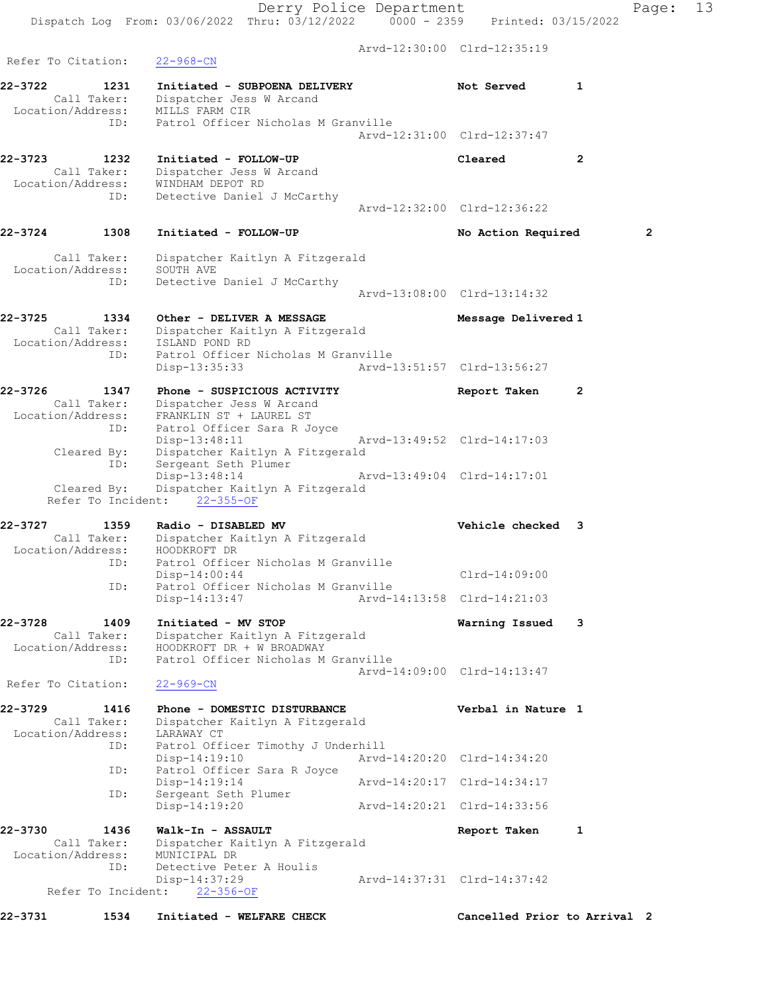|                                                            | Dispatch Log From: 03/06/2022 Thru: 03/12/2022 0000 - 2359 Printed: 03/15/2022                       | Derry Police Department     |                             |              | Page: | 13 |
|------------------------------------------------------------|------------------------------------------------------------------------------------------------------|-----------------------------|-----------------------------|--------------|-------|----|
| Refer To Citation:                                         | $22 - 968 - CN$                                                                                      |                             | Arvd-12:30:00 Clrd-12:35:19 |              |       |    |
| 22-3722<br>1231<br>Call Taker:<br>Location/Address:        | Initiated - SUBPOENA DELIVERY<br>Dispatcher Jess W Arcand<br>MILLS FARM CIR                          |                             | Not Served                  | 1            |       |    |
| ID:                                                        | Patrol Officer Nicholas M Granville                                                                  |                             | Arvd-12:31:00 Clrd-12:37:47 |              |       |    |
| 22-3723<br>1232<br>Call Taker:<br>Location/Address:<br>ID: | Initiated - FOLLOW-UP<br>Dispatcher Jess W Arcand<br>WINDHAM DEPOT RD<br>Detective Daniel J McCarthy |                             | Cleared                     | $\mathbf{2}$ |       |    |
|                                                            |                                                                                                      |                             | Arvd-12:32:00 Clrd-12:36:22 |              |       |    |
| 22-3724<br>1308                                            | Initiated - FOLLOW-UP                                                                                |                             | No Action Required          |              | 2     |    |
| Call Taker:<br>Location/Address:                           | Dispatcher Kaitlyn A Fitzgerald<br>SOUTH AVE                                                         |                             |                             |              |       |    |
| ID:                                                        | Detective Daniel J McCarthy                                                                          |                             | Arvd-13:08:00 Clrd-13:14:32 |              |       |    |
| 22-3725<br>1334<br>Call Taker:                             | Other - DELIVER A MESSAGE<br>Dispatcher Kaitlyn A Fitzgerald                                         |                             | Message Delivered 1         |              |       |    |
| Location/Address:<br>ID:                                   | ISLAND POND RD<br>Patrol Officer Nicholas M Granville<br>Disp-13:35:33                               | Arvd-13:51:57 Clrd-13:56:27 |                             |              |       |    |
| 22-3726<br>1347                                            | Phone - SUSPICIOUS ACTIVITY                                                                          |                             | Report Taken                | $\mathbf{2}$ |       |    |
| Call Taker:<br>Location/Address:<br>ID:                    | Dispatcher Jess W Arcand<br>FRANKLIN ST + LAUREL ST<br>Patrol Officer Sara R Joyce                   |                             |                             |              |       |    |
| Cleared By:<br>ID:                                         | $Disp-13:48:11$<br>Dispatcher Kaitlyn A Fitzgerald<br>Sergeant Seth Plumer                           |                             | Arvd-13:49:52 Clrd-14:17:03 |              |       |    |
| Cleared By:                                                | Disp-13:48:14<br>Dispatcher Kaitlyn A Fitzgerald<br>Refer To Incident: 22-355-OF                     |                             | Arvd-13:49:04 Clrd-14:17:01 |              |       |    |
| 22-3727<br>1359<br>Call Taker:                             | Radio - DISABLED MV<br>Dispatcher Kaitlyn A Fitzgerald                                               |                             | Vehicle checked 3           |              |       |    |
| Location/Address:<br>ID:                                   | HOODKROFT DR<br>Patrol Officer Nicholas M Granville                                                  |                             |                             |              |       |    |
| ID:                                                        | $Disp-14:00:44$<br>Patrol Officer Nicholas M Granville                                               |                             | Clrd-14:09:00               |              |       |    |
|                                                            | $Disp-14:13:47$                                                                                      |                             | Arvd-14:13:58 Clrd-14:21:03 |              |       |    |
| 22-3728<br>1409<br>Call Taker:<br>Location/Address:        | Initiated - MV STOP<br>Dispatcher Kaitlyn A Fitzgerald<br>HOODKROFT DR + W BROADWAY                  |                             | Warning Issued              | 3            |       |    |
| ID:                                                        | Patrol Officer Nicholas M Granville                                                                  |                             | Arvd-14:09:00 Clrd-14:13:47 |              |       |    |
| Refer To Citation:                                         | $22 - 969 - CN$                                                                                      |                             |                             |              |       |    |
| 22-3729<br>1416<br>Call Taker:<br>Location/Address:        | Phone - DOMESTIC DISTURBANCE<br>Dispatcher Kaitlyn A Fitzgerald<br>LARAWAY CT                        |                             | Verbal in Nature 1          |              |       |    |
| ID:                                                        | Patrol Officer Timothy J Underhill<br>$Disp-14:19:10$                                                |                             | Arvd-14:20:20 Clrd-14:34:20 |              |       |    |
| ID:                                                        | Patrol Officer Sara R Joyce<br>$Disp-14:19:14$                                                       |                             | Arvd-14:20:17 Clrd-14:34:17 |              |       |    |
| ID:                                                        | Sergeant Seth Plumer<br>$Disp-14:19:20$                                                              |                             | Arvd-14:20:21 Clrd-14:33:56 |              |       |    |
| 22-3730<br>1436<br>Call Taker:<br>Location/Address:        | Walk-In - ASSAULT<br>Dispatcher Kaitlyn A Fitzgerald<br>MUNICIPAL DR                                 |                             | Report Taken                | 1            |       |    |
| ID:                                                        | Detective Peter A Houlis<br>Disp-14:37:29<br>Refer To Incident: 22-356-OF                            |                             | Arvd-14:37:31 Clrd-14:37:42 |              |       |    |

22-3731 1534 Initiated - WELFARE CHECK CHECT Cancelled Prior to Arrival 2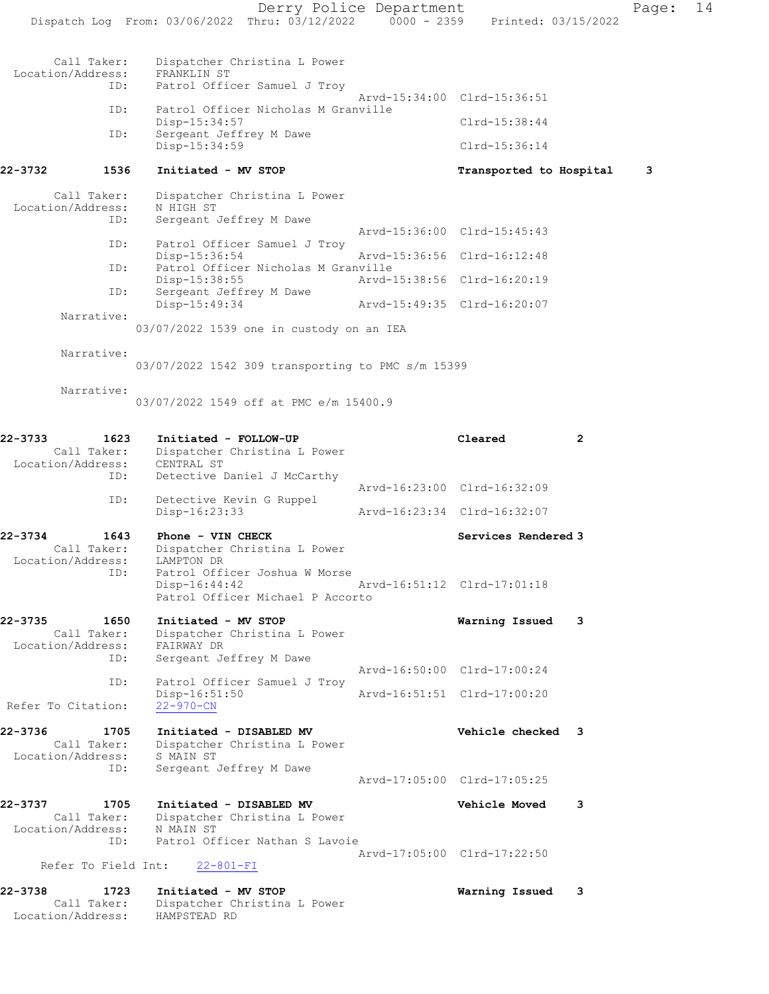|                                                            | Dispatch Log From: 03/06/2022 Thru: 03/12/2022 0000 - 2359 Printed: 03/15/2022                   | Derry Police Department |                             |   | Page: | 14 |
|------------------------------------------------------------|--------------------------------------------------------------------------------------------------|-------------------------|-----------------------------|---|-------|----|
|                                                            |                                                                                                  |                         |                             |   |       |    |
| Call Taker:<br>Location/Address:<br>ID:                    | Dispatcher Christina L Power<br>FRANKLIN ST<br>Patrol Officer Samuel J Troy                      |                         |                             |   |       |    |
|                                                            |                                                                                                  |                         | Arvd-15:34:00 Clrd-15:36:51 |   |       |    |
| ID:                                                        | Patrol Officer Nicholas M Granville<br>Disp-15:34:57                                             |                         | $Clrd-15:38:44$             |   |       |    |
| ID:                                                        | Sergeant Jeffrey M Dawe<br>$Disp-15:34:59$                                                       |                         | Clrd-15:36:14               |   |       |    |
| 22-3732<br>1536                                            | Initiated - MV STOP                                                                              |                         | Transported to Hospital     |   | 3     |    |
| Call Taker:<br>Location/Address:                           | Dispatcher Christina L Power<br>N HIGH ST                                                        |                         |                             |   |       |    |
| ID:                                                        | Sergeant Jeffrey M Dawe                                                                          |                         | Arvd-15:36:00 Clrd-15:45:43 |   |       |    |
| ID:                                                        | Patrol Officer Samuel J Troy<br>Disp-15:36:54                                                    |                         | Arvd-15:36:56 Clrd-16:12:48 |   |       |    |
| ID:                                                        | Patrol Officer Nicholas M Granville<br>Disp-15:38:55                                             |                         | Arvd-15:38:56 Clrd-16:20:19 |   |       |    |
| ID:                                                        | Sergeant Jeffrey M Dawe<br>$Disp-15:49:34$                                                       |                         | Arvd-15:49:35 Clrd-16:20:07 |   |       |    |
| Narrative:                                                 | 03/07/2022 1539 one in custody on an IEA                                                         |                         |                             |   |       |    |
| Narrative:                                                 |                                                                                                  |                         |                             |   |       |    |
|                                                            | 03/07/2022 1542 309 transporting to PMC s/m 15399                                                |                         |                             |   |       |    |
| Narrative:                                                 |                                                                                                  |                         |                             |   |       |    |
|                                                            | 03/07/2022 1549 off at PMC e/m 15400.9                                                           |                         |                             |   |       |    |
| 22-3733<br>1623<br>Call Taker:<br>Location/Address:        | Initiated - FOLLOW-UP<br>Dispatcher Christina L Power<br>CENTRAL ST                              |                         | Cleared                     | 2 |       |    |
| ID:                                                        | Detective Daniel J McCarthy                                                                      |                         | Arvd-16:23:00 Clrd-16:32:09 |   |       |    |
| ID:                                                        | Detective Kevin G Ruppel<br>Disp-16:23:33                                                        |                         | Arvd-16:23:34 Clrd-16:32:07 |   |       |    |
| 22-3734<br>1643<br>Call Taker:                             | Phone - VIN CHECK<br>Dispatcher Christina L Power                                                |                         | Services Rendered 3         |   |       |    |
| Location/Address:<br>ID:                                   | LAMPTON DR<br>Patrol Officer Joshua W Morse<br>Disp-16:44:42<br>Patrol Officer Michael P Accorto |                         | Arvd-16:51:12 Clrd-17:01:18 |   |       |    |
| 22-3735<br>1650<br>Call Taker:<br>Location/Address:<br>ID: | Initiated - MV STOP<br>Dispatcher Christina L Power<br>FAIRWAY DR<br>Sergeant Jeffrey M Dawe     |                         | Warning Issued              | 3 |       |    |
|                                                            |                                                                                                  |                         | Arvd-16:50:00 Clrd-17:00:24 |   |       |    |
| ID:<br>Refer To Citation:                                  | Patrol Officer Samuel J Troy<br>Disp-16:51:50<br>$22 - 970 - CN$                                 |                         | Arvd-16:51:51 Clrd-17:00:20 |   |       |    |
| 22-3736<br>1705<br>Call Taker:<br>Location/Address:        | Initiated - DISABLED MV<br>Dispatcher Christina L Power<br>S MAIN ST                             |                         | Vehicle checked 3           |   |       |    |
| ID:                                                        | Sergeant Jeffrey M Dawe                                                                          |                         | Arvd-17:05:00 Clrd-17:05:25 |   |       |    |
| 22-3737<br>1705<br>Call Taker:                             | Initiated - DISABLED MV<br>Dispatcher Christina L Power                                          |                         | <b>Vehicle Moved</b>        | 3 |       |    |
| Location/Address:<br>ID:                                   | N MAIN ST<br>Patrol Officer Nathan S Lavoie                                                      |                         |                             |   |       |    |
| Refer To Field Int:                                        | $22 - 801 - FI$                                                                                  |                         | Arvd-17:05:00 Clrd-17:22:50 |   |       |    |
|                                                            |                                                                                                  |                         |                             |   |       |    |
| 22-3738<br>1723<br>Call Taker:<br>Location/Address:        | Initiated - MV STOP<br>Dispatcher Christina L Power<br>HAMPSTEAD RD                              |                         | Warning Issued              | 3 |       |    |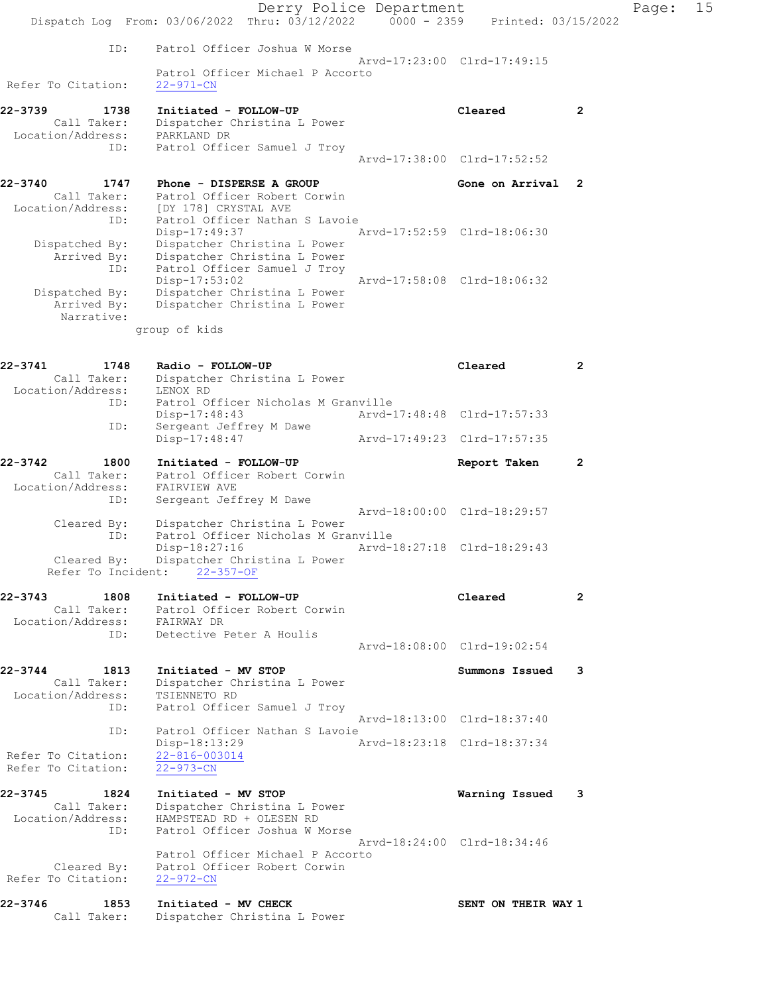|                                          | Dispatch Log From: 03/06/2022 Thru: 03/12/2022 0000 - 2359 Printed: 03/15/2022 | Derry Police Department |                             |                | Page: | 15 |
|------------------------------------------|--------------------------------------------------------------------------------|-------------------------|-----------------------------|----------------|-------|----|
|                                          |                                                                                |                         |                             |                |       |    |
| ID:                                      | Patrol Officer Joshua W Morse                                                  |                         | Arvd-17:23:00 Clrd-17:49:15 |                |       |    |
| Refer To Citation:                       | Patrol Officer Michael P Accorto<br>$22 - 971 - CN$                            |                         |                             |                |       |    |
| 22-3739<br>1738                          | Initiated - FOLLOW-UP                                                          |                         | Cleared                     | $\overline{2}$ |       |    |
| Call Taker:<br>Location/Address:         | Dispatcher Christina L Power<br>PARKLAND DR                                    |                         |                             |                |       |    |
| ID:                                      | Patrol Officer Samuel J Troy                                                   |                         |                             |                |       |    |
|                                          |                                                                                |                         | Arvd-17:38:00 Clrd-17:52:52 |                |       |    |
| 22-3740<br>1747                          | Phone - DISPERSE A GROUP                                                       |                         | Gone on Arrival 2           |                |       |    |
| Call Taker:<br>Location/Address:         | Patrol Officer Robert Corwin<br>[DY 178] CRYSTAL AVE                           |                         |                             |                |       |    |
| ID:                                      | Patrol Officer Nathan S Lavoie                                                 |                         |                             |                |       |    |
| Dispatched By:                           | $Disp-17:49:37$<br>Dispatcher Christina L Power                                |                         | Arvd-17:52:59 Clrd-18:06:30 |                |       |    |
| Arrived By:                              | Dispatcher Christina L Power                                                   |                         |                             |                |       |    |
| ID:                                      | Patrol Officer Samuel J Troy<br>Disp-17:53:02                                  |                         | Arvd-17:58:08 Clrd-18:06:32 |                |       |    |
| Dispatched By:                           | Dispatcher Christina L Power                                                   |                         |                             |                |       |    |
| Arrived By:<br>Narrative:                | Dispatcher Christina L Power                                                   |                         |                             |                |       |    |
|                                          | group of kids                                                                  |                         |                             |                |       |    |
|                                          |                                                                                |                         |                             |                |       |    |
| 22-3741<br>1748                          | Radio - FOLLOW-UP                                                              |                         | Cleared                     | $\overline{2}$ |       |    |
| Call Taker:<br>Location/Address:         | Dispatcher Christina L Power<br>LENOX RD                                       |                         |                             |                |       |    |
| ID:                                      | Patrol Officer Nicholas M Granville                                            |                         |                             |                |       |    |
| ID:                                      | $Disp-17:48:43$<br>Sergeant Jeffrey M Dawe                                     |                         | Arvd-17:48:48 Clrd-17:57:33 |                |       |    |
|                                          | Disp-17:48:47                                                                  |                         | Arvd-17:49:23 Clrd-17:57:35 |                |       |    |
| 22-3742<br>1800                          | Initiated - FOLLOW-UP                                                          |                         | Report Taken                | $\overline{2}$ |       |    |
| Location/Address:                        | Patrol Officer Robert Corwin                                                   |                         |                             |                |       |    |
| ID:                                      | FAIRVIEW AVE<br>Sergeant Jeffrey M Dawe                                        |                         |                             |                |       |    |
|                                          |                                                                                |                         | Arvd-18:00:00 Clrd-18:29:57 |                |       |    |
| Cleared By:<br>ID:                       | Dispatcher Christina L Power<br>Patrol Officer Nicholas M Granville            |                         |                             |                |       |    |
|                                          | $Disp-18:27:16$                                                                |                         | Arvd-18:27:18 Clrd-18:29:43 |                |       |    |
| Cleared By:<br>Refer To Incident:        | Dispatcher Christina L Power<br>$22 - 357 - OF$                                |                         |                             |                |       |    |
| 22-3743<br>1808                          | Initiated - FOLLOW-UP                                                          |                         | Cleared                     | 2              |       |    |
| Call Taker:<br>Location/Address:         | Patrol Officer Robert Corwin<br>FAIRWAY DR                                     |                         |                             |                |       |    |
| ID:                                      | Detective Peter A Houlis                                                       |                         |                             |                |       |    |
|                                          |                                                                                |                         | Arvd-18:08:00 Clrd-19:02:54 |                |       |    |
| 22-3744<br>1813                          | Initiated - MV STOP                                                            |                         | Summons Issued              | 3              |       |    |
| Call Taker:<br>Location/Address:         | Dispatcher Christina L Power<br>TSIENNETO RD                                   |                         |                             |                |       |    |
| ID:                                      | Patrol Officer Samuel J Troy                                                   |                         |                             |                |       |    |
| ID:                                      | Patrol Officer Nathan S Lavoie                                                 |                         | Arvd-18:13:00 Clrd-18:37:40 |                |       |    |
|                                          | Disp-18:13:29                                                                  |                         | Arvd-18:23:18 Clrd-18:37:34 |                |       |    |
| Refer To Citation:<br>Refer To Citation: | $22 - 816 - 003014$<br>$22 - 973 - CN$                                         |                         |                             |                |       |    |
|                                          |                                                                                |                         |                             |                |       |    |
| 22-3745<br>1824                          | Initiated - MV STOP                                                            |                         | Warning Issued              | 3              |       |    |
| Call Taker:<br>Location/Address:         | Dispatcher Christina L Power<br>HAMPSTEAD RD + OLESEN RD                       |                         |                             |                |       |    |
| ID:                                      | Patrol Officer Joshua W Morse                                                  |                         | Arvd-18:24:00 Clrd-18:34:46 |                |       |    |
|                                          | Patrol Officer Michael P Accorto                                               |                         |                             |                |       |    |
| Cleared By:                              | Patrol Officer Robert Corwin                                                   |                         |                             |                |       |    |
| Refer To Citation:                       | $22 - 972 - CN$                                                                |                         |                             |                |       |    |
| 22-3746<br>1853                          | Initiated - MV CHECK                                                           |                         | SENT ON THEIR WAY 1         |                |       |    |
| Call Taker:                              | Dispatcher Christina L Power                                                   |                         |                             |                |       |    |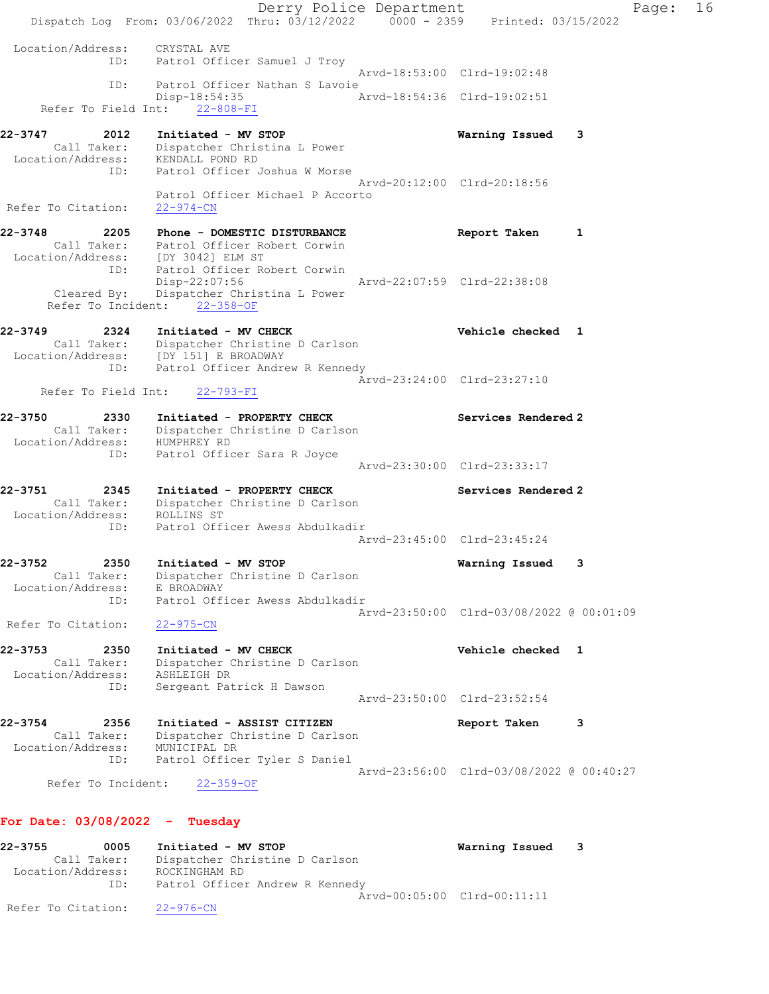Derry Police Department Fage: 16 Dispatch Log From: 03/06/2022 Thru: 03/12/2022 0000 - 2359 Printed: 03/15/2022 Location/Address: CRYSTAL AVE ID: Patrol Officer Samuel J Troy Arvd-18:53:00 Clrd-19:02:48 ID: Patrol Officer Nathan S Lavoie Disp-18:54:35 Arvd-18:54:36 Clrd-19:02:51 Refer To Field Int: 22-808-FI 22-3747 2012 Initiated - MV STOP Warning Issued 3 Call Taker: Dispatcher Christina L Power Location/Address: KENDALL POND RD ID: Patrol Officer Joshua W Morse Arvd-20:12:00 Clrd-20:18:56 Patrol Officer Michael P Accorto Refer To Citation: 22-974-CN 22-3748 2205 Phone - DOMESTIC DISTURBANCE Report Taken 1 Call Taker: Patrol Officer Robert Corwin Location/Address: [DY 3042] ELM ST ID: Patrol Officer Robert Corwin Disp-22:07:56 Arvd-22:07:59 Clrd-22:38:08 Cleared By: Dispatcher Christina L Power Refer To Incident: 22-358-OF 22-3749 2324 Initiated - MV CHECK Vehicle checked 1 Call Taker: Dispatcher Christine D Carlson Location/Address: [DY 151] E BROADWAY ID: Patrol Officer Andrew R Kennedy Arvd-23:24:00 Clrd-23:27:10 Refer To Field Int: 22-793-FI 22-3750 2330 Initiated - PROPERTY CHECK Services Rendered 2 Call Taker: Dispatcher Christine D Carlson Location/Address: HUMPHREY RD ID: Patrol Officer Sara R Joyce Arvd-23:30:00 Clrd-23:33:17 22-3751 2345 Initiated - PROPERTY CHECK Services Rendered 2 Call Taker: Dispatcher Christine D Carlson Location/Address: ROLLINS ST ID: Patrol Officer Awess Abdulkadir Arvd-23:45:00 Clrd-23:45:24 22-3752 2350 Initiated - MV STOP Warning Issued 3 Call Taker: Dispatcher Christine D Carlson Location/Address: E BROADWAY ID: Patrol Officer Awess Abdulkadir Arvd-23:50:00 Clrd-03/08/2022 @ 00:01:09 Refer To Citation: 22-975-CN 22-3753 2350 Initiated - MV CHECK Vehicle checked 1 Call Taker: Dispatcher Christine D Carlson Location/Address: ASHLEIGH DR ess: Adminiton International Patrick H Dawson Arvd-23:50:00 Clrd-23:52:54 22-3754 2356 Initiated - ASSIST CITIZEN Report Taken 3 Call Taker: Dispatcher Christine D Carlson Location/Address: MUNICIPAL DR ID: Patrol Officer Tyler S Daniel Arvd-23:56:00 Clrd-03/08/2022 @ 00:40:27 Refer To Incident: 22-359-OF

# For Date: 03/08/2022 - Tuesday

22-3755 0005 Initiated - MV STOP Warning Issued 3 Call Taker: Dispatcher Christine D Carlson Location/Address: ROCKINGHAM RD ID: Patrol Officer Andrew R Kennedy Arvd-00:05:00 Clrd-00:11:11 Refer To Citation: 22-976-CN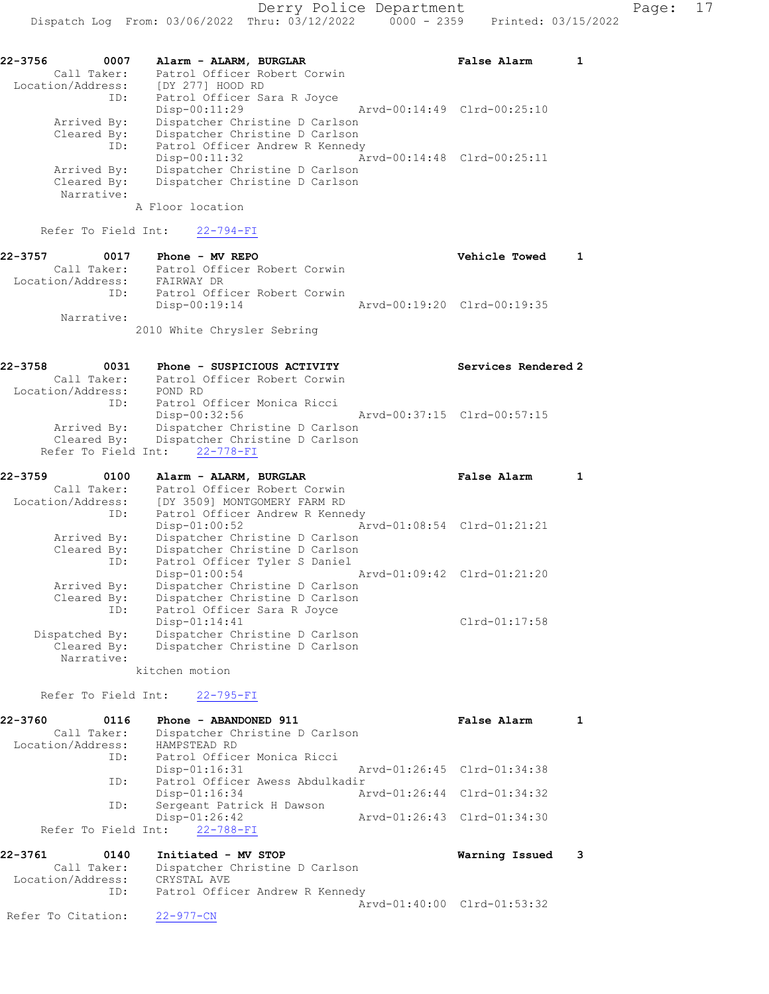| 0007                      |                  | False Alarm                                                                                                                                                                                                                                                      |                                                            |
|---------------------------|------------------|------------------------------------------------------------------------------------------------------------------------------------------------------------------------------------------------------------------------------------------------------------------|------------------------------------------------------------|
| Call Taker:               |                  |                                                                                                                                                                                                                                                                  |                                                            |
| Location/Address:         | [DY 277] HOOD RD |                                                                                                                                                                                                                                                                  |                                                            |
| ID:                       |                  |                                                                                                                                                                                                                                                                  |                                                            |
|                           | $Disp-00:11:29$  |                                                                                                                                                                                                                                                                  |                                                            |
| Arrived By:               |                  |                                                                                                                                                                                                                                                                  |                                                            |
| Cleared By:               |                  |                                                                                                                                                                                                                                                                  |                                                            |
| ID:                       |                  |                                                                                                                                                                                                                                                                  |                                                            |
|                           | $Disp-00:11:32$  |                                                                                                                                                                                                                                                                  |                                                            |
| Arrived By:               |                  |                                                                                                                                                                                                                                                                  |                                                            |
| Cleared By:<br>Narrative: |                  |                                                                                                                                                                                                                                                                  |                                                            |
|                           |                  | Alarm - ALARM, BURGLAR<br>Patrol Officer Robert Corwin<br>Patrol Officer Sara R Joyce<br>Dispatcher Christine D Carlson<br>Dispatcher Christine D Carlson<br>Patrol Officer Andrew R Kennedy<br>Dispatcher Christine D Carlson<br>Dispatcher Christine D Carlson | Arvd-00:14:49 Clrd-00:25:10<br>Arvd-00:14:48 Clrd-00:25:11 |

A Floor location

Refer To Field Int: 22-794-FI

| 22-3757           | 0017        | $Phone - MV$ REPO            | Vehicle Towed               |  |
|-------------------|-------------|------------------------------|-----------------------------|--|
|                   | Call Taker: | Patrol Officer Robert Corwin |                             |  |
| Location/Address: |             | FAIRWAY DR                   |                             |  |
|                   | ID:         | Patrol Officer Robert Corwin |                             |  |
|                   |             | Disp-00:19:14                | Arvd-00:19:20 Clrd-00:19:35 |  |
|                   | Narrative:  |                              |                             |  |
|                   |             | 2010 White Chrysler Sebring  |                             |  |

| 22-3758<br>0031   | Phone - SUSPICIOUS ACTIVITY    |                             | Services Rendered 2 |
|-------------------|--------------------------------|-----------------------------|---------------------|
| Call Taker:       | Patrol Officer Robert Corwin   |                             |                     |
| Location/Address: | POND RD                        |                             |                     |
| ID:               | Patrol Officer Monica Ricci    |                             |                     |
|                   | Disp-00:32:56                  | Arvd-00:37:15 Clrd-00:57:15 |                     |
| Arrived By:       | Dispatcher Christine D Carlson |                             |                     |
| Cleared By:       | Dispatcher Christine D Carlson |                             |                     |
|                   | Refer To Field Int: 22-778-FI  |                             |                     |

| 22-3759           | 0100 | Alarm - ALARM, BURGLAR                                                                                                                                                                                                         |  | False Alarm                 |  |
|-------------------|------|--------------------------------------------------------------------------------------------------------------------------------------------------------------------------------------------------------------------------------|--|-----------------------------|--|
| Call Taker:       |      | Patrol Officer Robert Corwin                                                                                                                                                                                                   |  |                             |  |
| Location/Address: |      | [DY 3509] MONTGOMERY FARM RD                                                                                                                                                                                                   |  |                             |  |
|                   | ID:  | Patrol Officer Andrew R Kennedy                                                                                                                                                                                                |  |                             |  |
|                   |      | $Disp-01:00:52$                                                                                                                                                                                                                |  | Arvd-01:08:54 Clrd-01:21:21 |  |
| Arrived By:       |      | Dispatcher Christine D Carlson                                                                                                                                                                                                 |  |                             |  |
| Cleared By:       |      | Dispatcher Christine D Carlson                                                                                                                                                                                                 |  |                             |  |
|                   | ID:  | Patrol Officer Tyler S Daniel                                                                                                                                                                                                  |  |                             |  |
|                   |      | $Disp-01:00:54$                                                                                                                                                                                                                |  | Arvd-01:09:42 Clrd-01:21:20 |  |
| Arrived By:       |      | Dispatcher Christine D Carlson                                                                                                                                                                                                 |  |                             |  |
| Cleared By:       |      | Dispatcher Christine D Carlson                                                                                                                                                                                                 |  |                             |  |
|                   | ID:  | Patrol Officer Sara R Joyce                                                                                                                                                                                                    |  |                             |  |
|                   |      | $Disp-01:14:41$                                                                                                                                                                                                                |  | Clrd-01:17:58               |  |
| Dispatched By:    |      | Dispatcher Christine D Carlson                                                                                                                                                                                                 |  |                             |  |
| Cleared By:       |      | Dispatcher Christine D Carlson                                                                                                                                                                                                 |  |                             |  |
| Narrative:        |      |                                                                                                                                                                                                                                |  |                             |  |
|                   |      | the state of the state of the state of the state of the state of the state of the state of the state of the state of the state of the state of the state of the state of the state of the state of the state of the state of t |  |                             |  |

kitchen motion

Refer To Field Int: 22-795-FI

| 22-3760           | 0116        | Phone - ABANDONED 911           |                             | False Alarm                 |  |
|-------------------|-------------|---------------------------------|-----------------------------|-----------------------------|--|
|                   | Call Taker: | Dispatcher Christine D Carlson  |                             |                             |  |
| Location/Address: |             | HAMPSTEAD RD                    |                             |                             |  |
|                   | ID:         | Patrol Officer Monica Ricci     |                             |                             |  |
|                   |             | $Disp-01:16:31$                 | Arvd-01:26:45 Clrd-01:34:38 |                             |  |
|                   | ID:         | Patrol Officer Awess Abdulkadir |                             |                             |  |
|                   |             | $Disp-01:16:34$                 |                             | Arvd-01:26:44 Clrd-01:34:32 |  |
|                   | ID:         | Sergeant Patrick H Dawson       |                             |                             |  |
|                   |             | $Disp-01:26:42$                 |                             | Arvd-01:26:43 Clrd-01:34:30 |  |
|                   |             | Refer To Field Int: 22-788-FI   |                             |                             |  |

| 22-3761<br>0140<br>Call Taker: | Initiated - MV STOP<br>Dispatcher Christine D Carlson | Warning Issued 3            |  |
|--------------------------------|-------------------------------------------------------|-----------------------------|--|
| Location/Address:              | CRYSTAL AVE                                           |                             |  |
| ID:                            | Patrol Officer Andrew R Kennedy                       |                             |  |
|                                |                                                       | Aryd-01:40:00 Clrd-01:53:32 |  |
| Refer To Citation:             | $22 - 977 - CN$                                       |                             |  |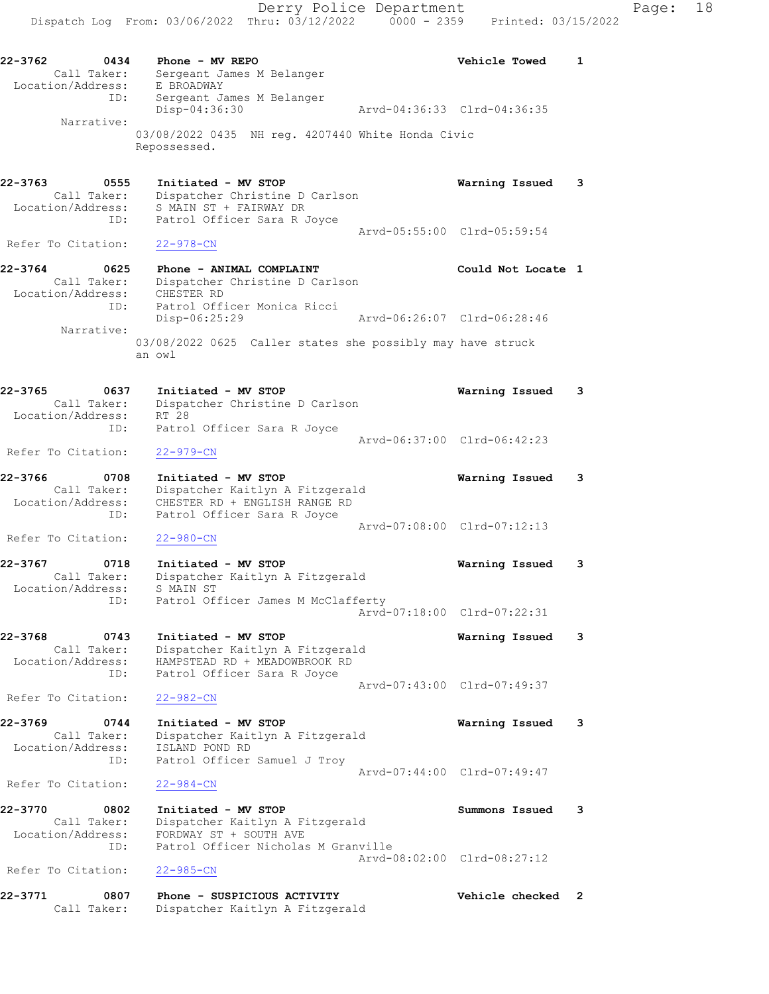22-3762 0434 Phone - MV REPO Vehicle Towed 1 Call Taker: Sergeant James M Belanger Location/Address: E BROADWAY ID: Sergeant James M Belanger Disp-04:36:30 Arvd-04:36:33 Clrd-04:36:35 Narrative: 03/08/2022 0435 NH reg. 4207440 White Honda Civic Repossessed.

22-3763 0555 Initiated - MV STOP Warning Issued 3 Call Taker: Dispatcher Christine D Carlson Location/Address: S MAIN ST + FAIRWAY DR ID: Patrol Officer Sara R Joyce Arvd-05:55:00 Clrd-05:59:54

22-3764 0625 Phone - ANIMAL COMPLAINT Could Not Locate 1 Call Taker: Dispatcher Christine D Carlson Location/Address: CHESTER RD ID: Patrol Officer Monica Ricci Disp-06:25:29 Arvd-06:26:07 Clrd-06:28:46 Narrative: 03/08/2022 0625 Caller states she possibly may have struck an owl

22-3765 0637 Initiated - MV STOP Warning Issued 3 Call Taker: Dispatcher Christine D Carlson Location/Address: RT 28 ID: Patrol Officer Sara R Joyce Arvd-06:37:00 Clrd-06:42:23

Refer To Citation: 22-979-CN 22-3766 0708 Initiated - MV STOP Warning Issued 3 Call Taker: Dispatcher Kaitlyn A Fitzgerald

Refer To Citation: 22-978-CN

 Location/Address: CHESTER RD + ENGLISH RANGE RD ID: Patrol Officer Sara R Joyce Arvd-07:08:00 Clrd-07:12:13 Refer To Citation: 22-980-CN

22-3767 0718 Initiated - MV STOP Warning Issued 3 Call Taker: Dispatcher Kaitlyn A Fitzgerald Location/Address: S MAIN ST ID: Patrol Officer James M McClafferty Arvd-07:18:00 Clrd-07:22:31

22-3768 0743 Initiated - MV STOP Warning Issued 3 Call Taker: Dispatcher Kaitlyn A Fitzgerald Location/Address: HAMPSTEAD RD + MEADOWBROOK RD ID: Patrol Officer Sara R Joyce Arvd-07:43:00 Clrd-07:49:37 Refer To Citation: 22-982-CN

22-3769 0744 Initiated - MV STOP Warning Issued 3 Call Taker: Dispatcher Kaitlyn A Fitzgerald Location/Address: ISLAND POND RD ID: Patrol Officer Samuel J Troy Arvd-07:44:00 Clrd-07:49:47

Refer To Citation: 22-984-CN

22-3770 0802 Initiated - MV STOP Summons Issued 3 Call Taker: Dispatcher Kaitlyn A Fitzgerald Location/Address: FORDWAY ST + SOUTH AVE ID: Patrol Officer Nicholas M Granville Arvd-08:02:00 Clrd-08:27:12 Refer To Citation: 22-985-CN

22-3771 0807 Phone - SUSPICIOUS ACTIVITY Vehicle checked 2 Call Taker: Dispatcher Kaitlyn A Fitzgerald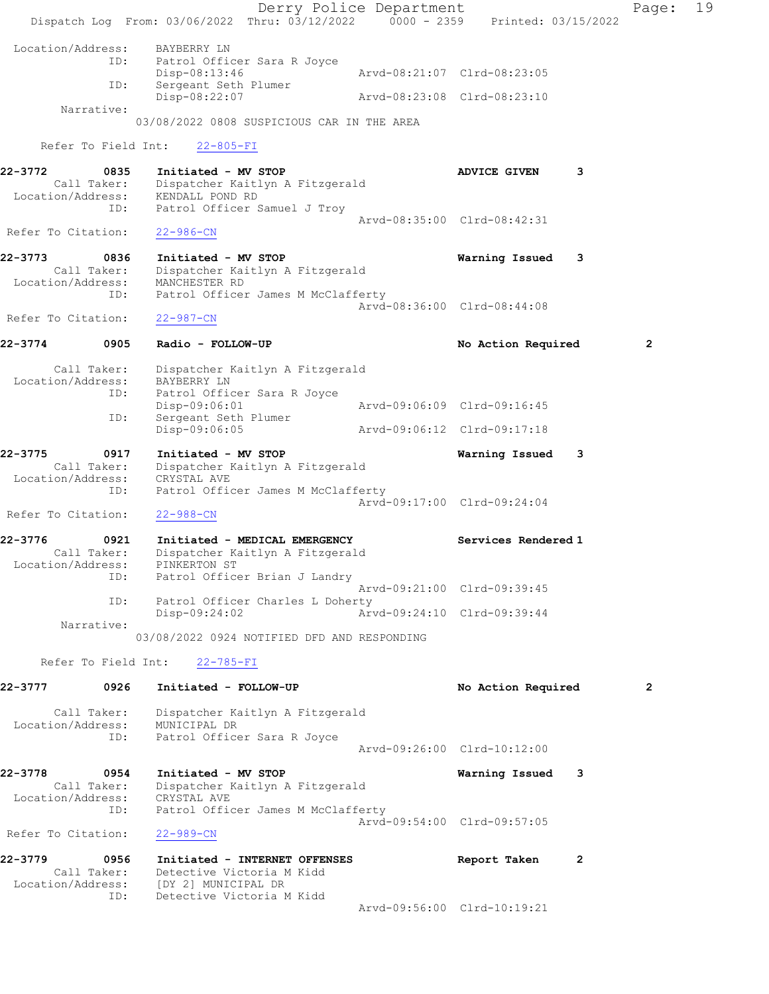Derry Police Department Fage: 19 Dispatch Log From: 03/06/2022 Thru: 03/12/2022 0000 - 2359 Printed: 03/15/2022 Location/Address: BAYBERRY LN ID: Patrol Officer Sara R Joyce Disp-08:13:46 Arvd-08:21:07 Clrd-08:23:05 ID: Sergeant Seth Plumer Disp-08:22:07 Arvd-08:23:08 Clrd-08:23:10 Narrative: 03/08/2022 0808 SUSPICIOUS CAR IN THE AREA Refer To Field Int: 22-805-FI 22-3772 0835 Initiated - MV STOP ADVICE GIVEN 3 Call Taker: Dispatcher Kaitlyn A Fitzgerald Location/Address: KENDALL POND RD ID: Patrol Officer Samuel J Troy Arvd-08:35:00 Clrd-08:42:31 Refer To Citation: 22-986-CN 22-3773 0836 Initiated - MV STOP Warning Issued 3 Call Taker: Dispatcher Kaitlyn A Fitzgerald Location/Address: MANCHESTER RD ID: Patrol Officer James M McClafferty Arvd-08:36:00 Clrd-08:44:08 Refer To Citation: 22-987-CN 22-3774 0905 Radio - FOLLOW-UP **No Action Required** 2 Call Taker: Dispatcher Kaitlyn A Fitzgerald Location/Address: BAYBERRY LN ID: Patrol Officer Sara R Joyce Disp-09:06:01 Arvd-09:06:09 Clrd-09:16:45 ID: Sergeant Seth Plumer Disp-09:06:05 Arvd-09:06:12 Clrd-09:17:18 22-3775 0917 Initiated - MV STOP Warning Issued 3 Call Taker: Dispatcher Kaitlyn A Fitzgerald Location/Address: CRYSTAL AVE ID: Patrol Officer James M McClafferty Arvd-09:17:00 Clrd-09:24:04 Refer To Citation: 22-988-CN 22-3776 0921 Initiated - MEDICAL EMERGENCY Services Rendered 1 Call Taker: Dispatcher Kaitlyn A Fitzgerald Location/Address: PINKERTON ST ID: Patrol Officer Brian J Landry Arvd-09:21:00 Clrd-09:39:45 ID: Patrol Officer Charles L Doherty Disp-09:24:02 Arvd-09:24:10 Clrd-09:39:44 Narrative: 03/08/2022 0924 NOTIFIED DFD AND RESPONDING Refer To Field Int: 22-785-FI 22-3777 0926 Initiated - FOLLOW-UP No Action Required 2 Call Taker: Dispatcher Kaitlyn A Fitzgerald Location/Address: MUNICIPAL DR ID: Patrol Officer Sara R Joyce Arvd-09:26:00 Clrd-10:12:00 22-3778 0954 Initiated - MV STOP Warning Issued 3 Call Taker: Dispatcher Kaitlyn A Fitzgerald Location/Address: CRYSTAL AVE ID: Patrol Officer James M McClafferty Arvd-09:54:00 Clrd-09:57:05 Refer To Citation: 22-989-CN 22-3779 0956 Initiated - INTERNET OFFENSES Report Taken 2 Call Taker: Detective Victoria M Kidd Location/Address: [DY 2] MUNICIPAL DR ID: Detective Victoria M Kidd Arvd-09:56:00 Clrd-10:19:21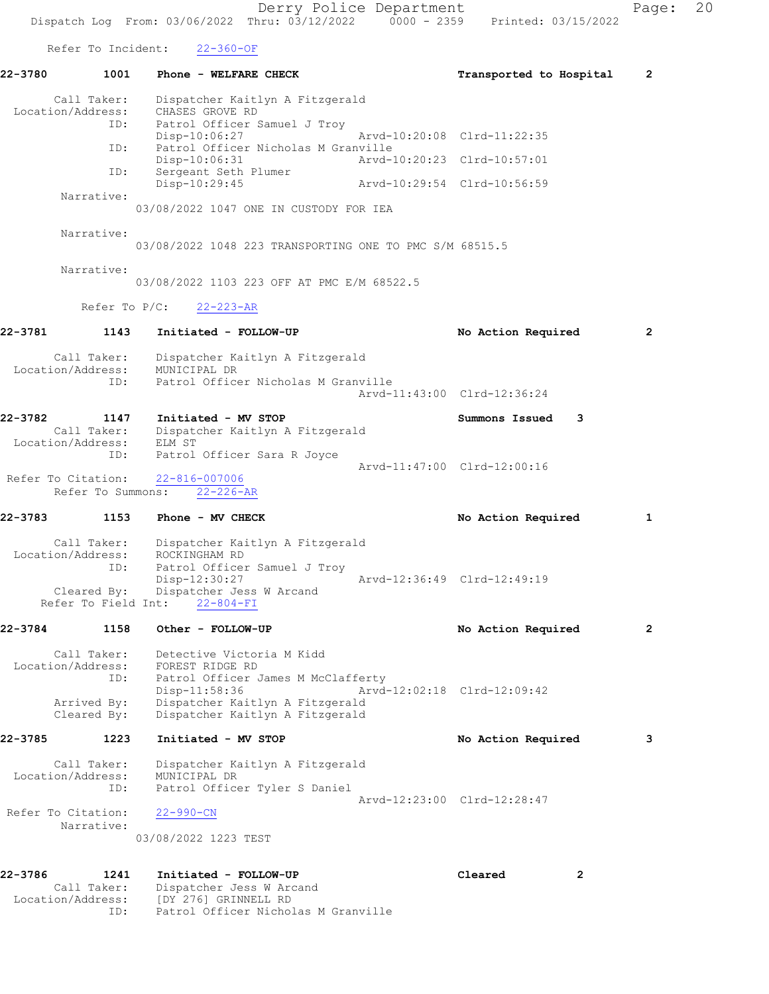Derry Police Department Fage: 20 Dispatch Log From:  $03/06/2022$  Thru:  $03/12/2022$  0000 - 2359 Printed: 03/15/2022 Refer To Incident: 22-360-OF 22-3780 1001 Phone - WELFARE CHECK TRANSPORTED Transported to Hospital 2 Call Taker: Dispatcher Kaitlyn A Fitzgerald Location/Address: CHASES GROVE RD ID: Patrol Officer Samuel J Troy Disp-10:06:27 Arvd-10:20:08 Clrd-11:22:35 ID: Patrol Officer Nicholas M Granville Disp-10:06:31 Arvd-10:20:23 Clrd-10:57:01 ID: Sergeant Seth Plumer Disp-10:29:45 Arvd-10:29:54 Clrd-10:56:59 Narrative: 03/08/2022 1047 ONE IN CUSTODY FOR IEA Narrative: 03/08/2022 1048 223 TRANSPORTING ONE TO PMC S/M 68515.5 Narrative: 03/08/2022 1103 223 OFF AT PMC E/M 68522.5 Refer To P/C: 22-223-AR 22-3781 1143 Initiated - FOLLOW-UP 12 No Action Required 2 Call Taker: Dispatcher Kaitlyn A Fitzgerald Location/Address: MUNICIPAL DR ID: Patrol Officer Nicholas M Granville Arvd-11:43:00 Clrd-12:36:24 22-3782 1147 Initiated - MV STOP Summons Issued 3 Call Taker: Dispatcher Kaitlyn A Fitzgerald Location/Address: ELM ST ID: Patrol Officer Sara R Joyce Arvd-11:47:00 Clrd-12:00:16 Refer To Citation: 22-816-007006 Refer To Summons: 22-226-AR 22-3783 1153 Phone - MV CHECK 1 No Action Required 1 Call Taker: Dispatcher Kaitlyn A Fitzgerald Location/Address: ROCKINGHAM RD ID: Patrol Officer Samuel J Troy Disp-12:30:27 Arvd-12:36:49 Clrd-12:49:19 Cleared By: Dispatcher Jess W Arcand Refer To Field Int: 22-804-FI 22-3784 1158 Other - FOLLOW-UP No Action Required 2 Call Taker: Detective Victoria M Kidd Location/Address: FOREST RIDGE RD ID: Patrol Officer James M McClafferty Disp-11:58:36 Arvd-12:02:18 Clrd-12:09:42 Arrived By: Dispatcher Kaitlyn A Fitzgerald Cleared By: Dispatcher Kaitlyn A Fitzgerald 22-3785 1223 Initiated - MV STOP No No Action Required 3 Call Taker: Dispatcher Kaitlyn A Fitzgerald Location/Address: MUNICIPAL DR ID: Patrol Officer Tyler S Daniel Arvd-12:23:00 Clrd-12:28:47 Refer To Citation: 22-990-CN Narrative: 03/08/2022 1223 TEST 22-3786 1241 Initiated - FOLLOW-UP Cleared 2

 Call Taker: Dispatcher Jess W Arcand Location/Address: [DY 276] GRINNELL RD ID: Patrol Officer Nicholas M Granville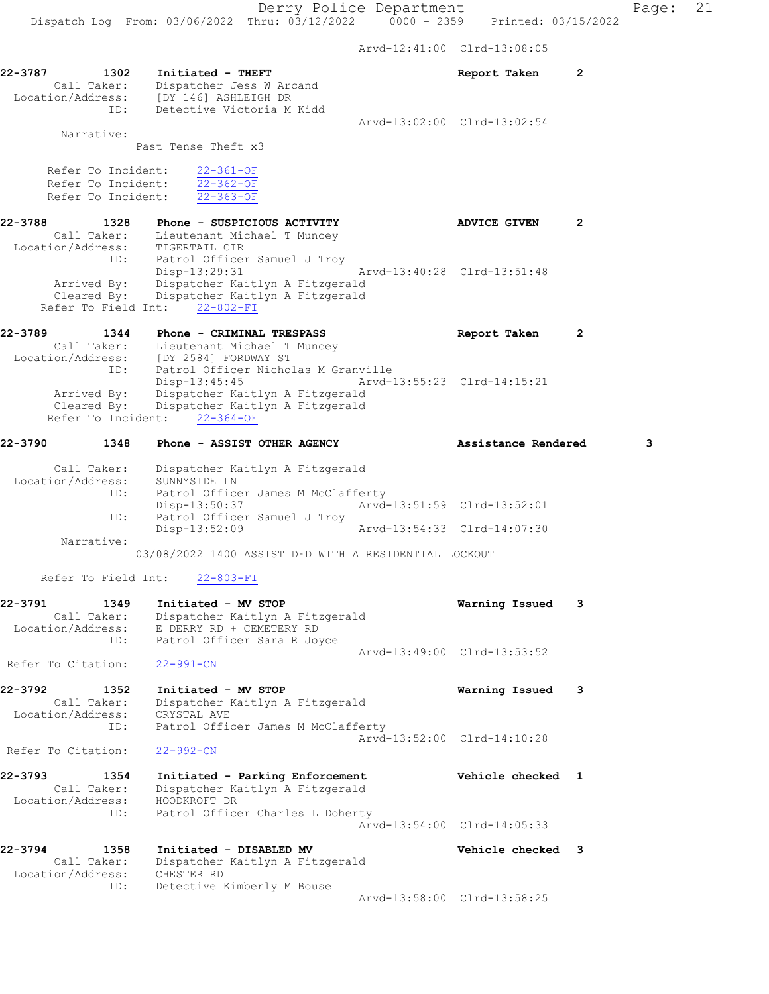Arvd-12:41:00 Clrd-13:08:05

| 22-3787<br>1302                                                | Initiated - THEFT<br>Dispatcher Jess W Arcand<br>Call Taker: Dispatcher Jess W Are<br>Location/Address: [DY 146] ASHLEIGH DR                                            | Report Taken                | 2 |   |
|----------------------------------------------------------------|-------------------------------------------------------------------------------------------------------------------------------------------------------------------------|-----------------------------|---|---|
| ID:                                                            | Detective Victoria M Kidd                                                                                                                                               | Arvd-13:02:00 Clrd-13:02:54 |   |   |
| Narrative:                                                     | Past Tense Theft x3                                                                                                                                                     |                             |   |   |
| Refer To Incident:<br>Refer To Incident:<br>Refer To Incident: | $22 - 361 - OF$<br>$22 - 362 - OF$<br>$22 - 363 - OF$                                                                                                                   |                             |   |   |
| 22-3788<br>1328                                                | Phone - SUSPICIOUS ACTIVITY                                                                                                                                             | <b>ADVICE GIVEN</b>         | 2 |   |
| ID:                                                            | Call Taker: Lieutenant Michael T Muncey<br>Location/Address: TIGERTAIL CIR<br>Patrol Officer Samuel J Troy<br>Disp-13:29:31                                             | Arvd-13:40:28 Clrd-13:51:48 |   |   |
| Arrived By:<br>Cleared By:<br>Refer To Field Int:              | Dispatcher Kaitlyn A Fitzgerald<br>Dispatcher Kaitlyn A Fitzgerald<br>22-802-FI                                                                                         |                             |   |   |
| 22-3789<br>1344                                                | Phone - CRIMINAL TRESPASS<br>Call Taker: Lieutenant Michael T Muncey<br>Location/Address: [DY 2584] FORDWAY ST                                                          | Report Taken                | 2 |   |
| ID:<br>Refer To Incident:                                      | Patrol Officer Nicholas M Granville<br>$Disp-13:45:45$<br>Arrived By: Dispatcher Kaitlyn A Fitzgerald<br>Cleared By: Dispatcher Kaitlyn A Fitzgerald<br>$22 - 364 - OF$ | Arvd-13:55:23 Clrd-14:15:21 |   |   |
| 1348<br>22-3790                                                | Phone - ASSIST OTHER AGENCY                                                                                                                                             | Assistance Rendered         |   | 3 |
| Call Taker:<br>Location/Address:<br>ID:                        | Dispatcher Kaitlyn A Fitzgerald<br>SUNNYSIDE LN<br>Patrol Officer James M McClafferty                                                                                   |                             |   |   |
| ID:                                                            | Disp-13:50:37<br>Patrol Officer Samuel J Troy                                                                                                                           | Arvd-13:51:59 Clrd-13:52:01 |   |   |
| Narrative:                                                     | Disp-13:52:09                                                                                                                                                           | Arvd-13:54:33 Clrd-14:07:30 |   |   |
|                                                                | 03/08/2022 1400 ASSIST DFD WITH A RESIDENTIAL LOCKOUT                                                                                                                   |                             |   |   |
| Refer To Field Int:                                            | $22 - 803 - F1$                                                                                                                                                         |                             |   |   |
| 22-3791<br>1349<br>Call Taker:<br>Location/Address:<br>ID:     | Initiated - MV STOP<br>Dispatcher Kaitlyn A Fitzgerald<br>E DERRY RD + CEMETERY RD<br>Patrol Officer Sara R Joyce                                                       | Warning Issued              | 3 |   |
| Refer To Citation:                                             | $22 - 991 - CN$                                                                                                                                                         | Arvd-13:49:00 Clrd-13:53:52 |   |   |
| 22-3792<br>1352<br>Call Taker:<br>Location/Address:            | Initiated - MV STOP<br>Dispatcher Kaitlyn A Fitzgerald<br>CRYSTAL AVE                                                                                                   | Warning Issued              | 3 |   |
| ID:<br>Refer To Citation:                                      | Patrol Officer James M McClafferty<br>$22 - 992 - CN$                                                                                                                   | Arvd-13:52:00 Clrd-14:10:28 |   |   |
| 22-3793<br>1354                                                | Initiated - Parking Enforcement                                                                                                                                         | Vehicle checked 1           |   |   |
| Call Taker:<br>Location/Address:<br>ID:                        | Dispatcher Kaitlyn A Fitzgerald<br>HOODKROFT DR<br>Patrol Officer Charles L Doherty                                                                                     |                             |   |   |
|                                                                |                                                                                                                                                                         | Arvd-13:54:00 Clrd-14:05:33 |   |   |
| 22-3794<br>1358<br>Call Taker:<br>Location/Address:            | Initiated - DISABLED MV<br>Dispatcher Kaitlyn A Fitzgerald<br>CHESTER RD                                                                                                | Vehicle checked             | 3 |   |
| ID:                                                            | Detective Kimberly M Bouse                                                                                                                                              | Arvd-13:58:00 Clrd-13:58:25 |   |   |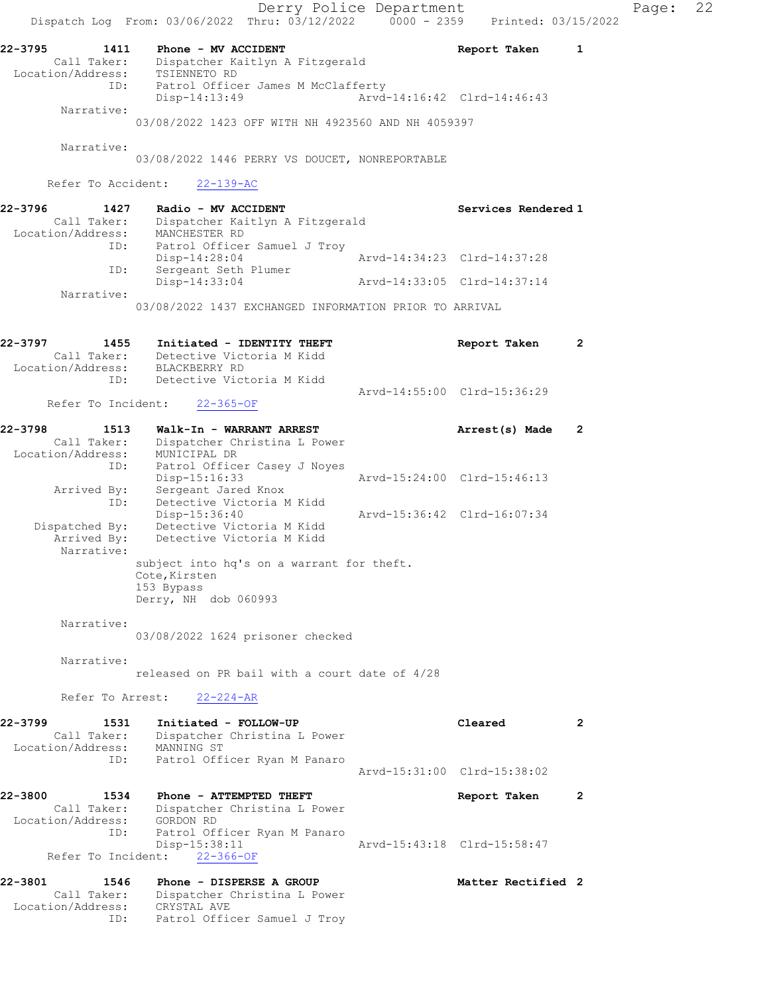Derry Police Department Fage: 22 Dispatch Log From:  $03/06/2022$  Thru:  $03/12/2022$  0000 - 2359 Printed: 03/15/2022 22-3795 1411 Phone - MV ACCIDENT Report Taken 1 Call Taker: Dispatcher Kaitlyn A Fitzgerald Location/Address: TSIENNETO RD ID: Patrol Officer James M McClafferty Disp-14:13:49 Arvd-14:16:42 Clrd-14:46:43 Narrative: 03/08/2022 1423 OFF WITH NH 4923560 AND NH 4059397 Narrative: 03/08/2022 1446 PERRY VS DOUCET, NONREPORTABLE Refer To Accident: 22-139-AC 22-3796 1427 Radio - MV ACCIDENT Services Rendered 1 Call Taker: Dispatcher Kaitlyn A Fitzgerald Location/Address: MANCHESTER RD ID: Patrol Officer Samuel J Troy Disp-14:28:04 Arvd-14:34:23 Clrd-14:37:28 ID: Sergeant Seth Plumer Disp-14:33:04 Arvd-14:33:05 Clrd-14:37:14 Narrative: 03/08/2022 1437 EXCHANGED INFORMATION PRIOR TO ARRIVAL 22-3797 1455 Initiated - IDENTITY THEFT The Report Taken 2 Call Taker: Detective Victoria M Kidd Location/Address: BLACKBERRY RD ID: Detective Victoria M Kidd Arvd-14:55:00 Clrd-15:36:29 Refer To Incident: 22-365-OF 22-3798 1513 Walk-In - WARRANT ARREST Arrest(s) Made 2 Call Taker: Dispatcher Christina L Power Location/Address: MUNICIPAL DR ID: Patrol Officer Casey J Noyes Disp-15:16:33 Arvd-15:24:00 Clrd-15:46:13 Arrived By: Sergeant Jared Knox ID: Detective Victoria M Kidd Disp-15:36:40 Arvd-15:36:42 Clrd-16:07:34 Dispatched By: Detective Victoria M Kidd Arrived By: Detective Victoria M Kidd Narrative: subject into hq's on a warrant for theft. Cote, Kirsten 153 Bypass Derry, NH dob 060993 Narrative: 03/08/2022 1624 prisoner checked Narrative: released on PR bail with a court date of 4/28 Refer To Arrest: 22-224-AR 22-3799 1531 Initiated - FOLLOW-UP Cleared 2 Call Taker: Dispatcher Christina L Power Location/Address: MANNING ST ID: Patrol Officer Ryan M Panaro Arvd-15:31:00 Clrd-15:38:02 22-3800 1534 Phone - ATTEMPTED THEFT Report Taken 2 Call Taker: Dispatcher Christina L Power Location/Address: GORDON RD ID: Patrol Officer Ryan M Panaro Disp-15:38:11 Arvd-15:43:18 Clrd-15:58:47 Refer To Incident: 22-366-OF 22-3801 1546 Phone - DISPERSE A GROUP Matter Rectified 2 Call Taker: Dispatcher Christina L Power Location/Address: CRYSTAL AVE ID: Patrol Officer Samuel J Troy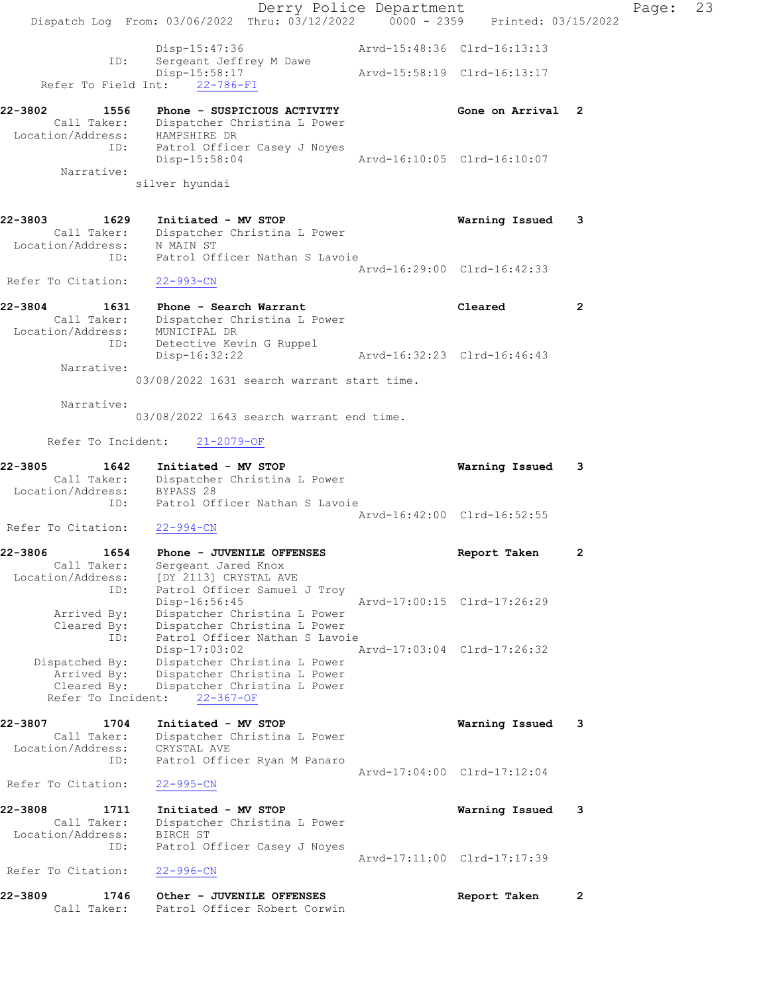|                                  | Dispatch Log From: 03/06/2022 Thru: 03/12/2022 0000 - 2359 Printed: 03/15/2022  | Derry Police Department |                             |                | Page: | 23 |
|----------------------------------|---------------------------------------------------------------------------------|-------------------------|-----------------------------|----------------|-------|----|
|                                  |                                                                                 |                         |                             |                |       |    |
| ID:                              | Disp-15:47:36<br>Sergeant Jeffrey M Dawe                                        |                         | Arvd-15:48:36 Clrd-16:13:13 |                |       |    |
| Refer To Field Int:              | Disp-15:58:17<br>22-786-FI                                                      |                         | Arvd-15:58:19 Clrd-16:13:17 |                |       |    |
| 22-3802<br>1556                  | Phone - SUSPICIOUS ACTIVITY                                                     |                         | Gone on Arrival 2           |                |       |    |
| Location/Address:                | Call Taker: Dispatcher Christina L Power<br>HAMPSHIRE DR                        |                         |                             |                |       |    |
| ID:                              | Patrol Officer Casey J Noyes<br>Disp-15:58:04                                   |                         | Arvd-16:10:05 Clrd-16:10:07 |                |       |    |
| Narrative:                       | silver hyundai                                                                  |                         |                             |                |       |    |
| 22-3803<br>1629                  | Initiated - MV STOP                                                             |                         | Warning Issued 3            |                |       |    |
|                                  | Call Taker: Dispatcher Christina L Power<br>Location/Address: N MAIN ST         |                         |                             |                |       |    |
| ID:                              | Patrol Officer Nathan S Lavoie                                                  |                         | Arvd-16:29:00 Clrd-16:42:33 |                |       |    |
| Refer To Citation:               | $22 - 993 - CN$                                                                 |                         |                             |                |       |    |
| 22-3804<br>1631                  | Phone - Search Warrant<br>Call Taker: Dispatcher Christina L Power              |                         | Cleared                     | $\overline{2}$ |       |    |
|                                  | Location/Address: MUNICIPAL DR<br>ID: Detective Kevin G Ruppel<br>Disp-16:32:22 |                         | Arvd-16:32:23 Clrd-16:46:43 |                |       |    |
| Narrative:                       |                                                                                 |                         |                             |                |       |    |
|                                  | 03/08/2022 1631 search warrant start time.                                      |                         |                             |                |       |    |
| Narrative:                       | 03/08/2022 1643 search warrant end time.                                        |                         |                             |                |       |    |
| Refer To Incident:               | $21 - 2079 - OF$                                                                |                         |                             |                |       |    |
| 22-3805<br>1642                  | Initiated - MV STOP                                                             |                         | Warning Issued              | 3              |       |    |
| Location/Address:                | Call Taker: Dispatcher Christina L Power<br>BYPASS 28                           |                         |                             |                |       |    |
| ID:                              | Patrol Officer Nathan S Lavoie                                                  |                         | Arvd-16:42:00 Clrd-16:52:55 |                |       |    |
| Refer To Citation:               | $22 - 994 - CN$                                                                 |                         |                             |                |       |    |
| 22-3806<br>1654                  | Phone - JUVENILE OFFENSES                                                       |                         | Report Taken                | $\mathbf{2}$   |       |    |
| Call Taker:<br>Location/Address: | Sergeant Jared Knox<br>[DY 2113] CRYSTAL AVE                                    |                         |                             |                |       |    |
| ID:                              | Patrol Officer Samuel J Troy<br>Disp-16:56:45                                   |                         | Arvd-17:00:15 Clrd-17:26:29 |                |       |    |
| Arrived By:                      | Dispatcher Christina L Power                                                    |                         |                             |                |       |    |
| Cleared By:<br>ID:               | Dispatcher Christina L Power<br>Patrol Officer Nathan S Lavoie                  |                         |                             |                |       |    |
| Dispatched By:                   | Disp-17:03:02<br>Dispatcher Christina L Power                                   |                         | Arvd-17:03:04 Clrd-17:26:32 |                |       |    |
| Arrived By:<br>Cleared By:       | Dispatcher Christina L Power<br>Dispatcher Christina L Power                    |                         |                             |                |       |    |
| Refer To Incident:               | $22 - 367 - OF$                                                                 |                         |                             |                |       |    |
| 22-3807<br>1704                  | Initiated - MV STOP                                                             |                         | Warning Issued              | -3             |       |    |
| Call Taker:<br>Location/Address: | Dispatcher Christina L Power<br>CRYSTAL AVE                                     |                         |                             |                |       |    |
| ID:                              | Patrol Officer Ryan M Panaro                                                    |                         | Arvd-17:04:00 Clrd-17:12:04 |                |       |    |
| Refer To Citation:               | $22 - 995 - CN$                                                                 |                         |                             |                |       |    |
| 22-3808<br>1711                  | Initiated - MV STOP                                                             |                         | Warning Issued              | 3              |       |    |
| Call Taker:<br>Location/Address: | Dispatcher Christina L Power<br>BIRCH ST                                        |                         |                             |                |       |    |
| ID:                              | Patrol Officer Casey J Noyes                                                    |                         | Arvd-17:11:00 Clrd-17:17:39 |                |       |    |
| Refer To Citation:               | $22 - 996 - CN$                                                                 |                         |                             |                |       |    |
| 22-3809<br>1746<br>Call Taker:   | Other - JUVENILE OFFENSES<br>Patrol Officer Robert Corwin                       |                         | Report Taken                | $\overline{2}$ |       |    |
|                                  |                                                                                 |                         |                             |                |       |    |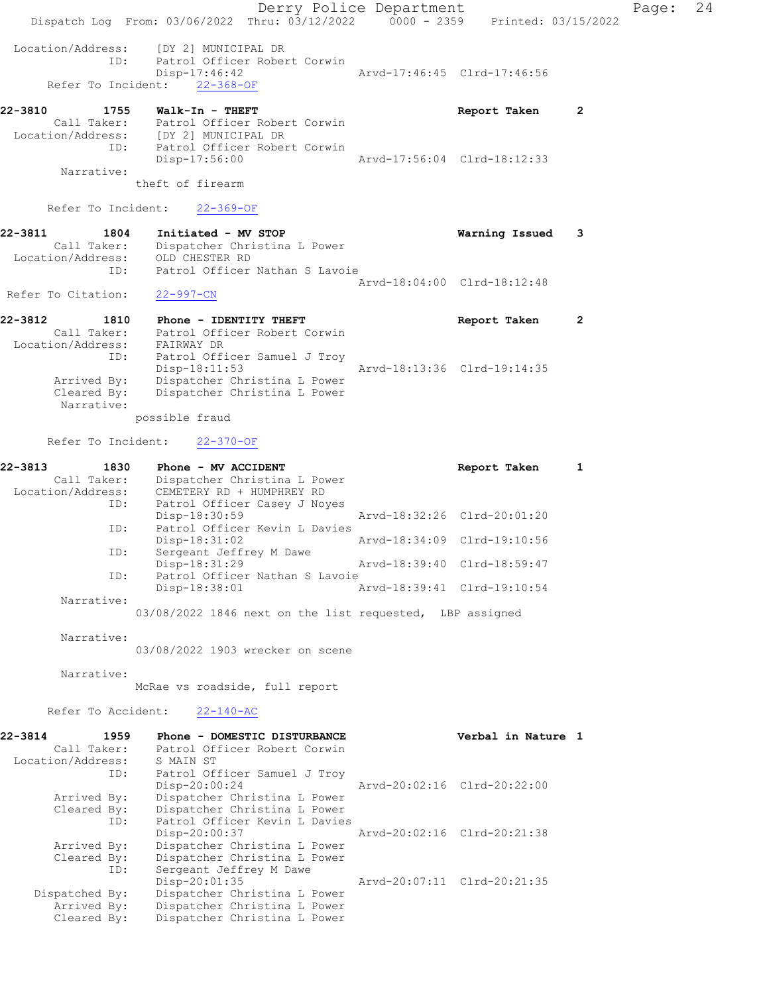Derry Police Department Form Page: 24 Dispatch Log From: 03/06/2022 Thru: 03/12/2022 0000 - 2359 Printed: 03/15/2022 Location/Address: [DY 2] MUNICIPAL DR<br>ID: Patrol Officer Rober Patrol Officer Robert Corwin<br>Disp-17:46:42 Arvd-17:46:45 Clrd-17:46:56 Refer To Incident: 22-368-OF 22-3810 1755 Walk-In - THEFT Report Taken 2 Call Taker: Patrol Officer Robert Corwin Location/Address: [DY 2] MUNICIPAL DR ID: Patrol Officer Robert Corwin Disp-17:56:00 Arvd-17:56:04 Clrd-18:12:33 Narrative: theft of firearm Refer To Incident: 22-369-OF 22-3811 1804 Initiated - MV STOP Warning Issued 3 Call Taker: Dispatcher Christina L Power Location/Address: OLD CHESTER RD ID: Patrol Officer Nathan S Lavoie Arvd-18:04:00 Clrd-18:12:48 Refer To Citation: 22-997-CN 22-3812 1810 Phone - IDENTITY THEFT CHERET Report Taken 2 Call Taker: Patrol Officer Robert Corwin Location/Address: FAIRWAY DR ID: Patrol Officer Samuel J Troy Disp-18:11:53 Arvd-18:13:36 Clrd-19:14:35 Arrived By: Dispatcher Christina L Power Cleared By: Dispatcher Christina L Power Narrative: possible fraud Refer To Incident: 22-370-OF 22-3813 1830 Phone - MV ACCIDENT **Report Taken** 1 Call Taker: Dispatcher Christina L Power Location/Address: CEMETERY RD + HUMPHREY RD<br>ID: Patrol Officer Casey J Noy Patrol Officer Casey J Noyes<br>Disp-18:30:59 Disp-18:30:59 Arvd-18:32:26 Clrd-20:01:20 ID: Patrol Officer Kevin L Davies<br>Disp-18:31:02 Disp-18:31:02 Arvd-18:34:09 Clrd-19:10:56 ID: Sergeant Jeffrey M Dawe<br>Disp-18:31:29 Disp-18:31:29 Arvd-18:39:40 Clrd-18:59:47<br>ID: Patrol Officer Nathan S Lavoie Patrol Officer Nathan S Lavoie Disp-18:38:01 Arvd-18:39:41 Clrd-19:10:54 Narrative: 03/08/2022 1846 next on the list requested, LBP assigned Narrative: 03/08/2022 1903 wrecker on scene Narrative: McRae vs roadside, full report Refer To Accident: 22-140-AC 22-3814 1959 Phone - DOMESTIC DISTURBANCE Verbal in Nature 1 Call Taker: Patrol Officer Robert Corwin Location/Address: S MAIN ST ID: Patrol Officer Samuel J Troy Disp-20:00:24 Arvd-20:02:16 Clrd-20:22:00 Arrived By: Dispatcher Christina L Power Cleared By: Dispatcher Christina L Power ID: Patrol Officer Kevin L Davies Disp-20:00:37 Arvd-20:02:16 Clrd-20:21:38 Arrived By: Dispatcher Christina L Power Cleared By: Dispatcher Christina L Power ID: Sergeant Jeffrey M Dawe<br>Disp-20:01:35 Disp-20:01:35 Arvd-20:07:11 Clrd-20:21:35 Dispatched By: Dispatcher Christina L Power Arrived By: Dispatcher Christina L Power Cleared By: Dispatcher Christina L Power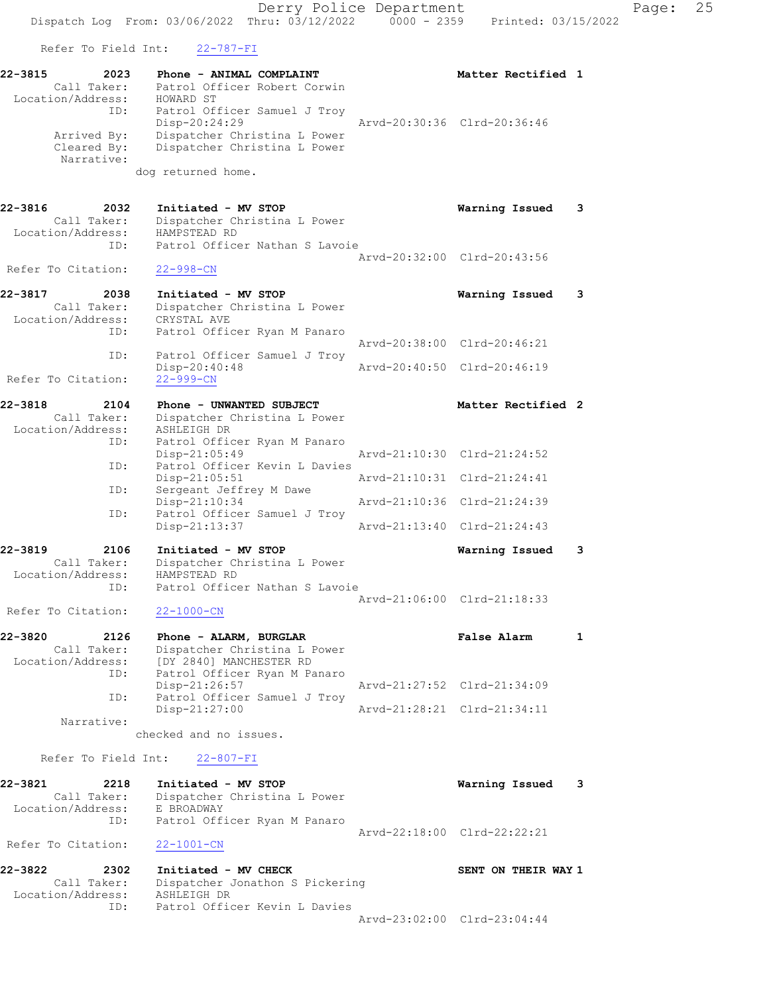Refer To Field Int: 22-787-FI

| 22-3815<br>2023   | Phone - ANIMAL COMPLAINT     | Matter Rectified 1          |  |
|-------------------|------------------------------|-----------------------------|--|
| Call Taker:       | Patrol Officer Robert Corwin |                             |  |
| Location/Address: | HOWARD ST                    |                             |  |
| ID:               | Patrol Officer Samuel J Troy |                             |  |
|                   | Disp-20:24:29                | Arvd-20:30:36 Clrd-20:36:46 |  |
| Arrived By:       | Dispatcher Christina L Power |                             |  |
| Cleared By:       | Dispatcher Christina L Power |                             |  |
| Narrative:        |                              |                             |  |
|                   | dog returned home.           |                             |  |

22-3816 2032 Initiated - MV STOP Warning Issued 3 Call Taker: Dispatcher Christina L Power Location/Address: HAMPSTEAD RD ID: Patrol Officer Nathan S Lavoie Arvd-20:32:00 Clrd-20:43:56 Refer To Citation: 22-998-CN 22-3817 2038 Initiated - MV STOP Warning Issued 3

| Call Taker:        | Dispatcher Christina L Power |                             |                             |
|--------------------|------------------------------|-----------------------------|-----------------------------|
| Location/Address:  | CRYSTAL AVE                  |                             |                             |
| ID:                | Patrol Officer Ryan M Panaro |                             |                             |
|                    |                              |                             | Arvd-20:38:00 Clrd-20:46:21 |
| ID:                | Patrol Officer Samuel J Troy |                             |                             |
|                    | Disp-20:40:48                | Arvd-20:40:50 Clrd-20:46:19 |                             |
| Refer To Citation: | $22 - 999 - CN$              |                             |                             |

| 22-3818           | 2104        | Phone - UNWANTED SUBJECT      | Matter Rectified 2          |  |
|-------------------|-------------|-------------------------------|-----------------------------|--|
|                   | Call Taker: | Dispatcher Christina L Power  |                             |  |
| Location/Address: |             | ASHLEIGH DR                   |                             |  |
|                   | ID:         | Patrol Officer Ryan M Panaro  |                             |  |
|                   |             | $Disp-21:05:49$               | Arvd-21:10:30 Clrd-21:24:52 |  |
|                   | ID:         | Patrol Officer Kevin L Davies |                             |  |
|                   |             | $Disp-21:05:51$               | Arvd-21:10:31 Clrd-21:24:41 |  |
|                   | ID:         | Sergeant Jeffrey M Dawe       |                             |  |
|                   |             | $Disp-21:10:34$               | Arvd-21:10:36 Clrd-21:24:39 |  |
|                   | ID:         | Patrol Officer Samuel J Troy  |                             |  |
|                   |             | Disp-21:13:37                 | Arvd-21:13:40 Clrd-21:24:43 |  |
| 22-3819           | 2106        | Initiated - MV STOP           | Warning Issued              |  |

#### Call Taker: Dispatcher Christina L Power Location/Address: HAMPSTEAD RD ID: Patrol Officer Nathan S Lavoie Arvd-21:06:00 Clrd-21:18:33 Refer To Citation: 22-1000-CN

| 22-3820           | 2126        | Phone - ALARM, BURGLAR       | False Alarm                 |  |
|-------------------|-------------|------------------------------|-----------------------------|--|
|                   | Call Taker: | Dispatcher Christina L Power |                             |  |
| Location/Address: |             | [DY 2840] MANCHESTER RD      |                             |  |
|                   | ID:         | Patrol Officer Ryan M Panaro |                             |  |
|                   |             | Disp-21:26:57                | Arvd-21:27:52 Clrd-21:34:09 |  |
|                   | ID:         | Patrol Officer Samuel J Troy |                             |  |
|                   |             | $Disp-21:27:00$              | Arvd-21:28:21 Clrd-21:34:11 |  |
|                   | Narrative:  |                              |                             |  |

checked and no issues.

# Refer To Field Int: 22-807-FI

| 22-3821            | 2218              | Initiated - MV STOP          |                             | Warning Issued 3 |  |
|--------------------|-------------------|------------------------------|-----------------------------|------------------|--|
|                    | Call Taker:       | Dispatcher Christina L Power |                             |                  |  |
|                    | Location/Address: | E BROADWAY                   |                             |                  |  |
|                    | ID:               | Patrol Officer Ryan M Panaro |                             |                  |  |
|                    |                   |                              | Aryd-22:18:00 Clrd-22:22:21 |                  |  |
| Refer To Citation: |                   | 22-1001-CN                   |                             |                  |  |

22-3822 2302 Initiated - MV CHECK SENT ON THEIR WAY 1 Call Taker: Dispatcher Jonathon S Pickering Location/Address: ASHLEIGH DR ID: Patrol Officer Kevin L Davies Arvd-23:02:00 Clrd-23:04:44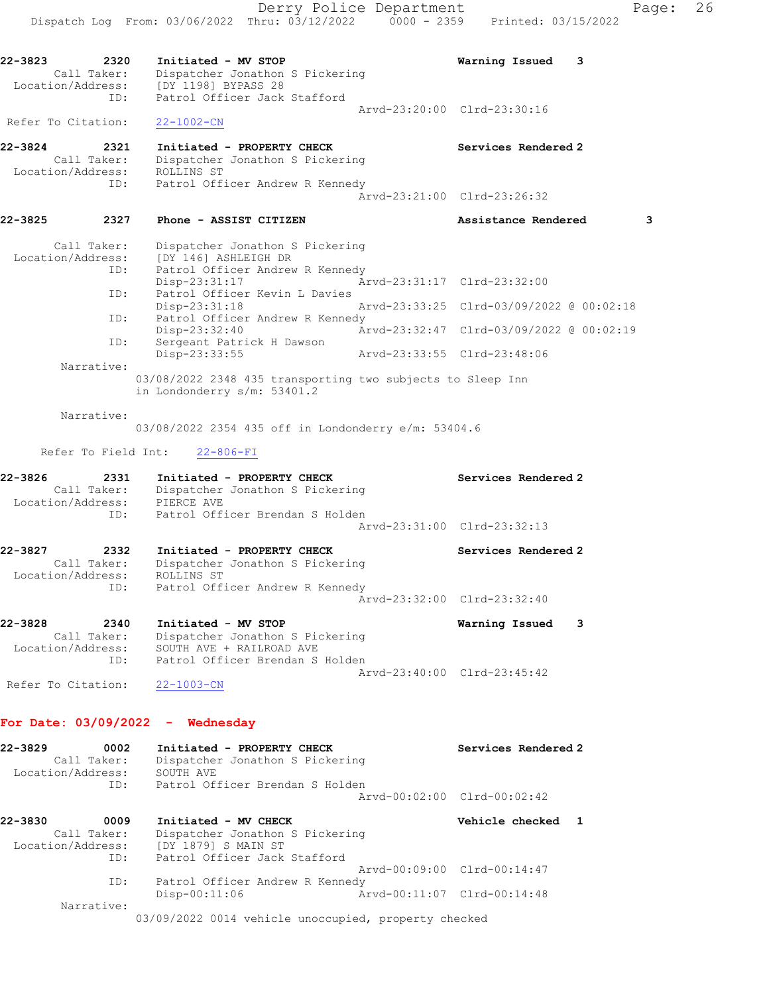Dispatch Log From: 03/06/2022 Thru: 03/12/2022 0000 - 2359 Printed: 03/15/2022 22-3823 2320 Initiated - MV STOP Warning Issued 3 Call Taker: Dispatcher Jonathon S Pickering Location/Address: [DY 1198] BYPASS 28 ID: Patrol Officer Jack Stafford Arvd-23:20:00 Clrd-23:30:16 Refer To Citation: 22-1002-CN 22-3824 2321 Initiated - PROPERTY CHECK Services Rendered 2 Call Taker: Dispatcher Jonathon S Pickering Location/Address: ROLLINS ST ID: Patrol Officer Andrew R Kennedy Arvd-23:21:00 Clrd-23:26:32 22-3825 2327 Phone - ASSIST CITIZEN 22-3825 Assistance Rendered 3 Call Taker: Dispatcher Jonathon S Pickering Location/Address: [DY 146] ASHLEIGH DR ID: Patrol Officer Andrew R Kennedy Disp-23:31:17 Arvd-23:31:17 Clrd-23:32:00 ID: Patrol Officer Kevin L Davies Disp-23:31:18 Arvd-23:33:25 Clrd-03/09/2022 @ 00:02:18<br>ID: Patrol Officer Andrew R Kennedy Patrol Officer Andrew R Kennedy<br>Disp-23:32:40 <br>Arvd-23:32:47 Clrd-03/09/2022 @ 00:02:19 Disp-23:32:40 Arvd-23:32:47 Clrd-03/09/2022 @ 00:02:19 ID: Sergeant Patrick H Dawson Disp-23:33:55 Arvd-23:33:55 Clrd-23:48:06 Narrative: 03/08/2022 2348 435 transporting two subjects to Sleep Inn in Londonderry s/m: 53401.2 Narrative: 03/08/2022 2354 435 off in Londonderry e/m: 53404.6 Refer To Field Int: 22-806-FI 22-3826 2331 Initiated - PROPERTY CHECK Services Rendered 2 Call Taker: Dispatcher Jonathon S Pickering Location/Address: PIERCE AVE ID: Patrol Officer Brendan S Holden Arvd-23:31:00 Clrd-23:32:13 22-3827 2332 Initiated - PROPERTY CHECK Services Rendered 2 Call Taker: Dispatcher Jonathon S Pickering Location/Address: ROLLINS ST ID: Patrol Officer Andrew R Kennedy Arvd-23:32:00 Clrd-23:32:40 22-3828 2340 Initiated - MV STOP Warning Issued 3 Call Taker: Dispatcher Jonathon S Pickering Location/Address: SOUTH AVE + RAILROAD AVE ID: Patrol Officer Brendan S Holden Arvd-23:40:00 Clrd-23:45:42 Refer To Citation: 22-1003-CN For Date: 03/09/2022 - Wednesday 22-3829 0002 Initiated - PROPERTY CHECK Services Rendered 2 Call Taker: Dispatcher Jonathon S Pickering Location/Address: SOUTH AVE ID: Patrol Officer Brendan S Holden Arvd-00:02:00 Clrd-00:02:42 22-3830 0009 Initiated - MV CHECK Vehicle checked 1 Call Taker: Dispatcher Jonathon S Pickering Location/Address: [DY 1879] S MAIN ST ID: Patrol Officer Jack Stafford Arvd-00:09:00 Clrd-00:14:47 ID: Patrol Officer Andrew R Kennedy Disp-00:11:06 Arvd-00:11:07 Clrd-00:14:48 Narrative: 03/09/2022 0014 vehicle unoccupied, property checked

Derry Police Department Fage: 26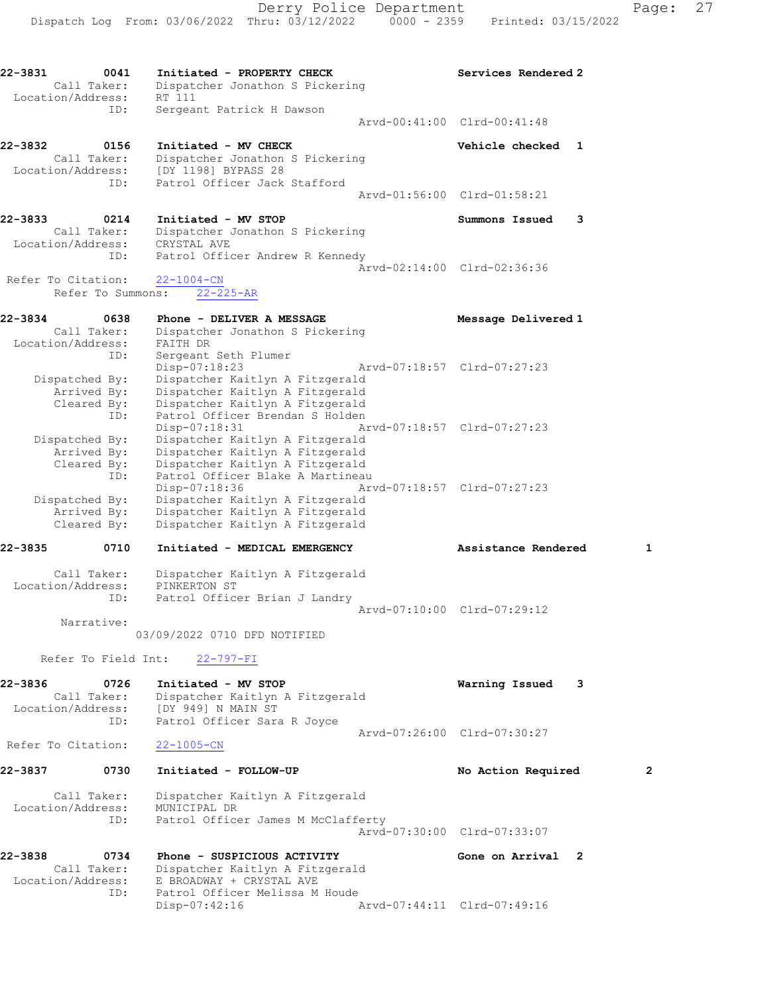22-3831 0041 Initiated - PROPERTY CHECK Services Rendered 2 Call Taker: Dispatcher Jonathon S Pickering Location/Address: RT 111 ID: Sergeant Patrick H Dawson Arvd-00:41:00 Clrd-00:41:48 22-3832 0156 Initiated - MV CHECK Vehicle checked 1 Call Taker: Dispatcher Jonathon S Pickering Location/Address: [DY 1198] BYPASS 28 ID: Patrol Officer Jack Stafford Arvd-01:56:00 Clrd-01:58:21 22-3833 0214 Initiated - MV STOP Summons Issued 3 Call Taker: Dispatcher Jonathon S Pickering Location/Address: CRYSTAL AVE ID: Patrol Officer Andrew R Kennedy Arvd-02:14:00 Clrd-02:36:36 Refer To Citation: 22-1004-CN Refer To Summons: 22-225-AR 22-3834 0638 Phone - DELIVER A MESSAGE Message Delivered 1 Call Taker: Dispatcher Jonathon S Pickering Location/Address: FAITH DR ID: Sergeant Seth Plumer Disp-07:18:23 Arvd-07:18:57 Clrd-07:27:23 Dispatched By: Dispatcher Kaitlyn A Fitzgerald Arrived By: Dispatcher Kaitlyn A Fitzgerald Cleared By: Dispatcher Kaitlyn A Fitzgerald ID: Patrol Officer Brendan S Holden Disp-07:18:31 Arvd-07:18:57 Clrd-07:27:23 Dispatched By: Dispatcher Kaitlyn A Fitzgerald Arrived By: Dispatcher Kaitlyn A Fitzgerald Cleared By: Dispatcher Kaitlyn A Fitzgerald ID: Patrol Officer Blake A Martineau Disp-07:18:36 Arvd-07:18:57 Clrd-07:27:23 Dispatched By: Dispatcher Kaitlyn A Fitzgerald Arrived By: Dispatcher Kaitlyn A Fitzgerald Cleared By: Dispatcher Kaitlyn A Fitzgerald 22-3835 0710 Initiated - MEDICAL EMERGENCY Assistance Rendered 1 Call Taker: Dispatcher Kaitlyn A Fitzgerald Location/Address: PINKERTON ST ID: Patrol Officer Brian J Landry Arvd-07:10:00 Clrd-07:29:12 Narrative: 03/09/2022 0710 DFD NOTIFIED Refer To Field Int: 22-797-FI 22-3836 0726 Initiated - MV STOP Warning Issued 3 Call Taker: Dispatcher Kaitlyn A Fitzgerald Location/Address: [DY 949] N MAIN ST ID: Patrol Officer Sara R Joyce Arvd-07:26:00 Clrd-07:30:27 Refer To Citation: 22-1005-CN 22-3837 0730 Initiated - FOLLOW-UP No Action Required 2 Call Taker: Dispatcher Kaitlyn A Fitzgerald Location/Address: MUNICIPAL DR ID: Patrol Officer James M McClafferty Arvd-07:30:00 Clrd-07:33:07 22-3838 0734 Phone - SUSPICIOUS ACTIVITY Cone on Arrival 2 Call Taker: Dispatcher Kaitlyn A Fitzgerald Location/Address: E BROADWAY + CRYSTAL AVE ID: Patrol Officer Melissa M Houde Disp-07:42:16 Arvd-07:44:11 Clrd-07:49:16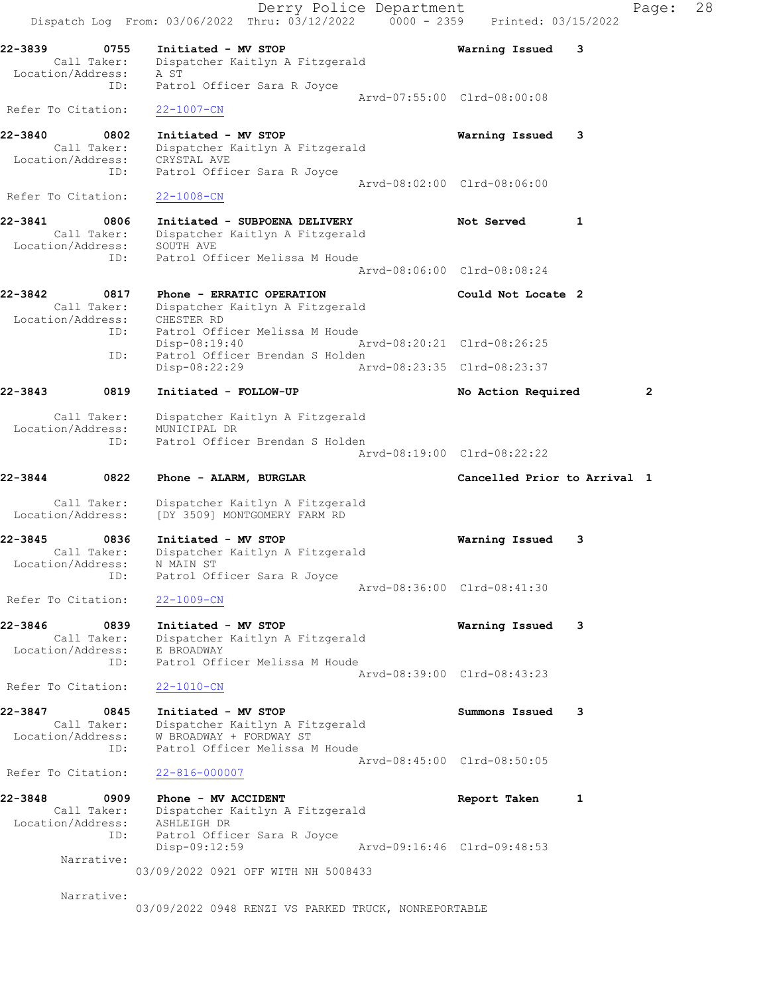|                              |                            | Dispatch Log From: 03/06/2022 Thru: 03/12/2022 0000 - 2359 Printed: 03/15/2022                                      | Derry Police Department |                                             |   | Page:        | 28 |
|------------------------------|----------------------------|---------------------------------------------------------------------------------------------------------------------|-------------------------|---------------------------------------------|---|--------------|----|
| 22-3839<br>Location/Address: | 0755<br>Call Taker:<br>ID: | Initiated - MV STOP<br>Dispatcher Kaitlyn A Fitzgerald<br>A ST<br>Patrol Officer Sara R Joyce                       |                         | Warning Issued                              | 3 |              |    |
| Refer To Citation:           |                            | $22 - 1007 - CN$                                                                                                    |                         | Arvd-07:55:00 Clrd-08:00:08                 |   |              |    |
| 22-3840<br>Location/Address: | 0802<br>Call Taker:<br>ID: | Initiated - MV STOP<br>Dispatcher Kaitlyn A Fitzgerald<br>CRYSTAL AVE                                               |                         | Warning Issued 3                            |   |              |    |
| Refer To Citation:           |                            | Patrol Officer Sara R Joyce<br>$22 - 1008 - CN$                                                                     |                         | Arvd-08:02:00 Clrd-08:06:00                 |   |              |    |
| 22-3841<br>Location/Address: | 0806<br>Call Taker:        | Initiated - SUBPOENA DELIVERY<br>Dispatcher Kaitlyn A Fitzgerald<br>SOUTH AVE                                       |                         | Not Served                                  | 1 |              |    |
|                              | ID:                        | Patrol Officer Melissa M Houde                                                                                      |                         | Arvd-08:06:00 Clrd-08:08:24                 |   |              |    |
| 22-3842                      | 0817<br>Call Taker:        | Phone - ERRATIC OPERATION<br>Dispatcher Kaitlyn A Fitzgerald<br>Location/Address: CHESTER RD                        |                         | Could Not Locate 2                          |   |              |    |
|                              | ID:                        | Patrol Officer Melissa M Houde<br>$Disp-08:19:40$                                                                   |                         | Arvd-08:20:21 Clrd-08:26:25                 |   |              |    |
|                              | ID:                        | Patrol Officer Brendan S Holden<br>Disp-08:22:29                                                                    |                         | Arvd-08:23:35 Clrd-08:23:37                 |   |              |    |
| 22-3843                      | 0819                       | Initiated - FOLLOW-UP                                                                                               |                         | No Action Required                          |   | $\mathbf{2}$ |    |
| Location/Address:            | Call Taker:<br>ID:         | Dispatcher Kaitlyn A Fitzgerald<br>MUNICIPAL DR<br>Patrol Officer Brendan S Holden                                  |                         | Arvd-08:19:00 Clrd-08:22:22                 |   |              |    |
| 22-3844                      | 0822                       | Phone - ALARM, BURGLAR                                                                                              |                         | Cancelled Prior to Arrival 1                |   |              |    |
| Location/Address:            | Call Taker:                | Dispatcher Kaitlyn A Fitzgerald<br>[DY 3509] MONTGOMERY FARM RD                                                     |                         |                                             |   |              |    |
| 22-3845<br>Location/Address: | 0836<br>Call Taker:<br>ID: | Initiated - MV STOP<br>Dispatcher Kaitlyn A Fitzgerald<br>N MAIN ST<br>Patrol Officer Sara R Joyce                  |                         | Warning Issued                              | 3 |              |    |
| Refer To Citation:           |                            | $22 - 1009 - CN$                                                                                                    |                         | Arvd-08:36:00 Clrd-08:41:30                 |   |              |    |
| 22-3846<br>Location/Address: | 0839<br>Call Taker:        | Initiated - MV STOP<br>Dispatcher Kaitlyn A Fitzgerald<br>E BROADWAY                                                |                         | Warning Issued 3                            |   |              |    |
| Refer To Citation:           | ID:                        | Patrol Officer Melissa M Houde<br>$22 - 1010 - CN$                                                                  |                         | Arvd-08:39:00 Clrd-08:43:23                 |   |              |    |
| 22-3847<br>Location/Address: | 0845<br>Call Taker:<br>ID: | Initiated - MV STOP<br>Dispatcher Kaitlyn A Fitzgerald<br>W BROADWAY + FORDWAY ST<br>Patrol Officer Melissa M Houde |                         | Summons Issued 3                            |   |              |    |
| Refer To Citation:           |                            | 22-816-000007                                                                                                       |                         | Arvd-08:45:00 Clrd-08:50:05                 |   |              |    |
| 22-3848<br>Location/Address: | 0909<br>Call Taker:<br>ID: | Phone - MV ACCIDENT<br>Dispatcher Kaitlyn A Fitzgerald<br>ASHLEIGH DR<br>Patrol Officer Sara R Joyce                |                         | Report Taken<br>Arvd-09:16:46 Clrd-09:48:53 | 1 |              |    |
|                              | Narrative:                 | Disp-09:12:59<br>03/09/2022 0921 OFF WITH NH 5008433                                                                |                         |                                             |   |              |    |
|                              | Narrative:                 | 03/09/2022 0948 RENZI VS PARKED TRUCK, NONREPORTABLE                                                                |                         |                                             |   |              |    |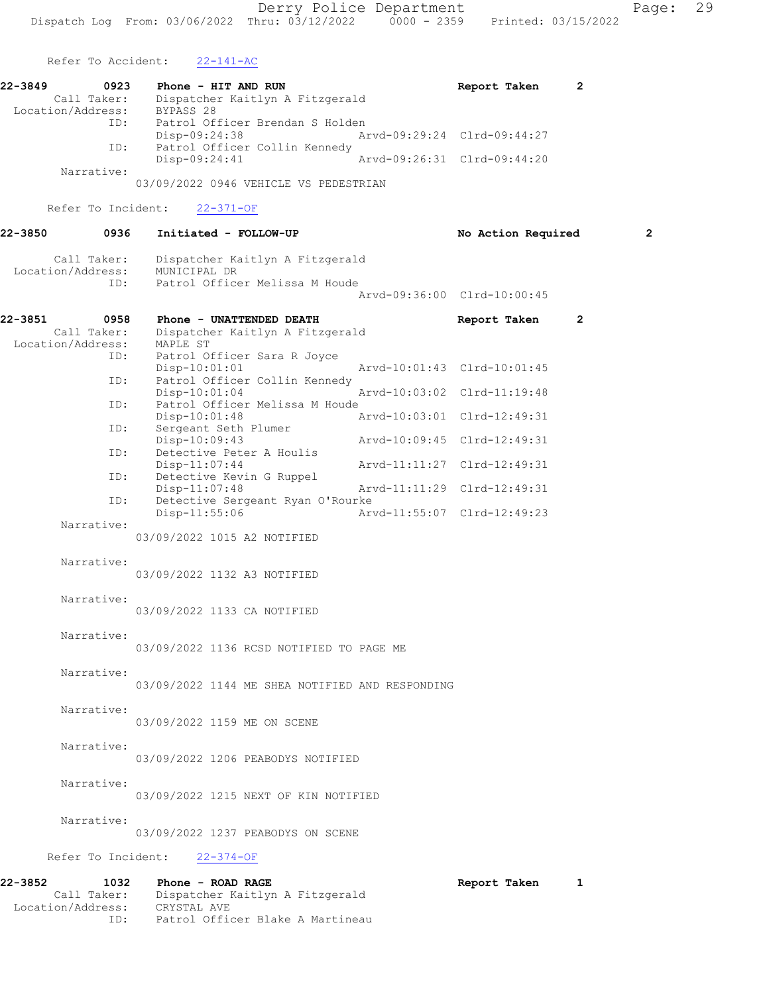Refer To Accident: 22-141-AC

| 22-3849           | 0923        | Phone - HIT AND RUN             |                             | Report Taken                |  |
|-------------------|-------------|---------------------------------|-----------------------------|-----------------------------|--|
|                   | Call Taker: | Dispatcher Kaitlyn A Fitzgerald |                             |                             |  |
| Location/Address: |             | BYPASS 28                       |                             |                             |  |
|                   | ID:         | Patrol Officer Brendan S Holden |                             |                             |  |
|                   |             | Disp-09:24:38                   | Arvd-09:29:24 Clrd-09:44:27 |                             |  |
|                   | ID:         | Patrol Officer Collin Kennedy   |                             |                             |  |
|                   |             | $Disp-09:24:41$                 |                             | Arvd-09:26:31 Clrd-09:44:20 |  |
|                   | Narrative:  |                                 |                             |                             |  |

03/09/2022 0946 VEHICLE VS PEDESTRIAN

Refer To Incident: 22-371-OF

# 22-3850 0936 Initiated - FOLLOW-UP No Action Required 2 Call Taker: Dispatcher Kaitlyn A Fitzgerald Location/Address: MUNICIPAL DR ID: Patrol Officer Melissa M Houde

| 0958              | Phone - UNATTENDED DEATH |                                               | Report Taken                                                                                                                               | $\overline{2}$                                                                                                                                                                                                                                       |
|-------------------|--------------------------|-----------------------------------------------|--------------------------------------------------------------------------------------------------------------------------------------------|------------------------------------------------------------------------------------------------------------------------------------------------------------------------------------------------------------------------------------------------------|
| Call Taker:       |                          |                                               |                                                                                                                                            |                                                                                                                                                                                                                                                      |
| Location/Address: | MAPLE ST                 |                                               |                                                                                                                                            |                                                                                                                                                                                                                                                      |
|                   |                          |                                               |                                                                                                                                            |                                                                                                                                                                                                                                                      |
|                   | Disp-10:01:01            |                                               |                                                                                                                                            |                                                                                                                                                                                                                                                      |
|                   |                          |                                               |                                                                                                                                            |                                                                                                                                                                                                                                                      |
|                   | $Disp-10:01:04$          |                                               |                                                                                                                                            |                                                                                                                                                                                                                                                      |
|                   |                          |                                               |                                                                                                                                            |                                                                                                                                                                                                                                                      |
|                   | Disp-10:01:48            |                                               |                                                                                                                                            |                                                                                                                                                                                                                                                      |
| ID:               | Sergeant Seth Plumer     |                                               |                                                                                                                                            |                                                                                                                                                                                                                                                      |
|                   | Disp-10:09:43            |                                               |                                                                                                                                            |                                                                                                                                                                                                                                                      |
|                   | Detective Peter A Houlis |                                               |                                                                                                                                            |                                                                                                                                                                                                                                                      |
|                   | $Disp-11:07:44$          |                                               |                                                                                                                                            |                                                                                                                                                                                                                                                      |
| ID:               | Detective Kevin G Ruppel |                                               |                                                                                                                                            |                                                                                                                                                                                                                                                      |
|                   | $Disp-11:07:48$          |                                               |                                                                                                                                            |                                                                                                                                                                                                                                                      |
| ID:               |                          |                                               |                                                                                                                                            |                                                                                                                                                                                                                                                      |
|                   | $Disp-11:55:06$          |                                               |                                                                                                                                            |                                                                                                                                                                                                                                                      |
| Narrative:        |                          |                                               |                                                                                                                                            |                                                                                                                                                                                                                                                      |
|                   |                          | ID: Patrol Officer Sara R Joyce<br>ID:<br>ID: | Dispatcher Kaitlyn A Fitzgerald<br>ID: Patrol Officer Collin Kennedy<br>Patrol Officer Melissa M Houde<br>Detective Sergeant Ryan O'Rourke | Arvd-09:36:00 Clrd-10:00:45<br>Arvd-10:01:43 Clrd-10:01:45<br>Arvd-10:03:02 Clrd-11:19:48<br>Arvd-10:03:01 Clrd-12:49:31<br>Arvd-10:09:45 Clrd-12:49:31<br>Arvd-11:11:27 Clrd-12:49:31<br>Arvd-11:11:29 Clrd-12:49:31<br>Arvd-11:55:07 Clrd-12:49:23 |

03/09/2022 1015 A2 NOTIFIED

#### Narrative:

03/09/2022 1132 A3 NOTIFIED

#### Narrative:

03/09/2022 1133 CA NOTIFIED

Narrative:

03/09/2022 1136 RCSD NOTIFIED TO PAGE ME

#### Narrative:

03/09/2022 1144 ME SHEA NOTIFIED AND RESPONDING

# Narrative:

03/09/2022 1159 ME ON SCENE

# Narrative:

03/09/2022 1206 PEABODYS NOTIFIED

# Narrative:

03/09/2022 1215 NEXT OF KIN NOTIFIED

#### Narrative:

03/09/2022 1237 PEABODYS ON SCENE

# Refer To Incident: 22-374-OF

# 22-3852 1032 Phone - ROAD RAGE Report Taken 1 Call Taker: Dispatcher Kaitlyn A Fitzgerald Location/Address: CRYSTAL AVE ID: Patrol Officer Blake A Martineau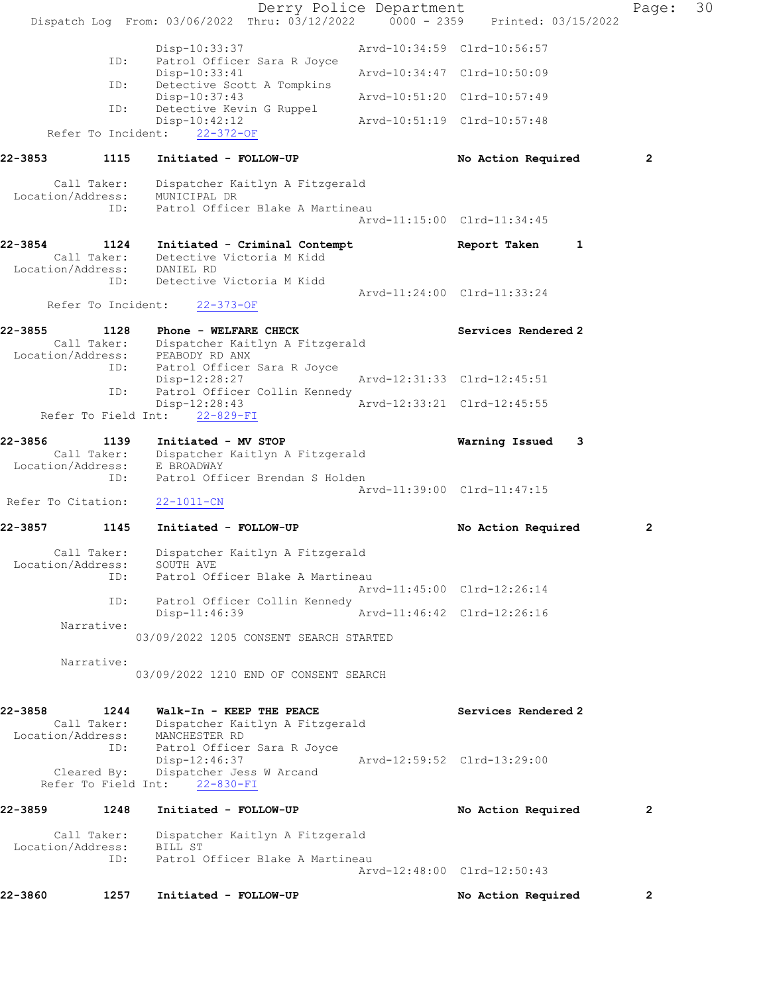|              |                                    | Dispatch Log From: 03/06/2022 Thru: 03/12/2022 0000 - 2359 Printed: 03/15/2022               | Derry Police Department |                             |   | Page:          | 30 |
|--------------|------------------------------------|----------------------------------------------------------------------------------------------|-------------------------|-----------------------------|---|----------------|----|
|              |                                    |                                                                                              |                         |                             |   |                |    |
|              | ID:                                | Disp-10:33:37<br>Patrol Officer Sara R Joyce                                                 |                         | Arvd-10:34:59 Clrd-10:56:57 |   |                |    |
|              | ID:                                | $Disp-10:33:41$<br>Detective Scott A Tompkins                                                |                         | Arvd-10:34:47 Clrd-10:50:09 |   |                |    |
|              | ID:                                | Disp-10:37:43<br>Detective Kevin G Ruppel                                                    |                         | Arvd-10:51:20 Clrd-10:57:49 |   |                |    |
|              |                                    | $Disp-10:42:12$<br>Refer To Incident: 22-372-OF                                              |                         | Arvd-10:51:19 Clrd-10:57:48 |   |                |    |
|              |                                    |                                                                                              |                         |                             |   |                |    |
|              | 22-3853 1115                       | Initiated - FOLLOW-UP                                                                        |                         | No Action Required          |   | 2              |    |
|              | Location/Address:                  | Call Taker: Dispatcher Kaitlyn A Fitzgerald<br>MUNICIPAL DR                                  |                         |                             |   |                |    |
|              | ID:                                | Patrol Officer Blake A Martineau                                                             |                         | Arvd-11:15:00 Clrd-11:34:45 |   |                |    |
|              | Call Taker:                        | 22-3854 1124 Initiated - Criminal Contempt<br>Detective Victoria M Kidd                      |                         | Report Taken                | 1 |                |    |
|              | Location/Address: DANIEL RD<br>ID: | Detective Victoria M Kidd                                                                    |                         |                             |   |                |    |
|              | Refer To Incident:                 | $22 - 373 - OF$                                                                              |                         | Arvd-11:24:00 Clrd-11:33:24 |   |                |    |
| 22-3855      | 1128                               | Phone - WELFARE CHECK<br>Call Taker: Dispatcher Kaitlyn A Fitzgerald                         |                         | Services Rendered 2         |   |                |    |
|              |                                    | Location/Address: PEABODY RD ANX<br>ID: Patrol Officer Sara R Joyce                          |                         |                             |   |                |    |
|              | ID:                                | Disp-12:28:27<br>Patrol Officer Collin Kennedy                                               |                         | Arvd-12:31:33 Clrd-12:45:51 |   |                |    |
|              |                                    | Disp-12:28:43<br>Refer To Field Int: 22-829-FI                                               |                         | Arvd-12:33:21 Clrd-12:45:55 |   |                |    |
| 22-3856      |                                    | 1139 Initiated - MV STOP                                                                     |                         | Warning Issued              | 3 |                |    |
|              | Location/Address:<br>ID:           | Call Taker: Dispatcher Kaitlyn A Fitzgerald<br>E BROADWAY<br>Patrol Officer Brendan S Holden |                         |                             |   |                |    |
|              | Refer To Citation:                 |                                                                                              |                         | Arvd-11:39:00 Clrd-11:47:15 |   |                |    |
|              |                                    | 22-1011-CN                                                                                   |                         |                             |   |                |    |
| 22-3857 2014 | 1145                               | Initiated - FOLLOW-UP                                                                        |                         | No Action Required          |   | 2              |    |
|              | Call Taker:                        | Dispatcher Kaitlyn A Fitzgerald<br>Location/Address: SOUTH AVE                               |                         |                             |   |                |    |
|              | ID:                                | Patrol Officer Blake A Martineau                                                             |                         | Arvd-11:45:00 Clrd-12:26:14 |   |                |    |
|              | ID:                                | Patrol Officer Collin Kennedy<br>$Disp-11:46:39$                                             |                         | Arvd-11:46:42 Clrd-12:26:16 |   |                |    |
|              | Narrative:                         |                                                                                              |                         |                             |   |                |    |
|              |                                    | 03/09/2022 1205 CONSENT SEARCH STARTED                                                       |                         |                             |   |                |    |
|              | Narrative:                         | 03/09/2022 1210 END OF CONSENT SEARCH                                                        |                         |                             |   |                |    |
| 22-3858      | 1244                               | Walk-In - KEEP THE PEACE<br>Call Taker: Dispatcher Kaitlyn A Fitzgerald                      |                         | Services Rendered 2         |   |                |    |
|              | ID:                                | Location/Address: MANCHESTER RD<br>Patrol Officer Sara R Joyce                               |                         |                             |   |                |    |
|              | Cleared By:                        | Disp-12:46:37<br>Dispatcher Jess W Arcand<br>Refer To Field Int: 22-830-FI                   |                         | Arvd-12:59:52 Clrd-13:29:00 |   |                |    |
| 22-3859      | 1248                               | Initiated - FOLLOW-UP                                                                        |                         | No Action Required          |   | $\mathbf{2}$   |    |
|              | Call Taker:                        | Dispatcher Kaitlyn A Fitzgerald                                                              |                         |                             |   |                |    |
|              | Location/Address:<br>ID:           | BILL ST<br>Patrol Officer Blake A Martineau                                                  |                         |                             |   |                |    |
|              |                                    |                                                                                              |                         | Arvd-12:48:00 Clrd-12:50:43 |   |                |    |
| 22-3860      | 1257                               | Initiated - FOLLOW-UP                                                                        |                         | No Action Required          |   | $\overline{2}$ |    |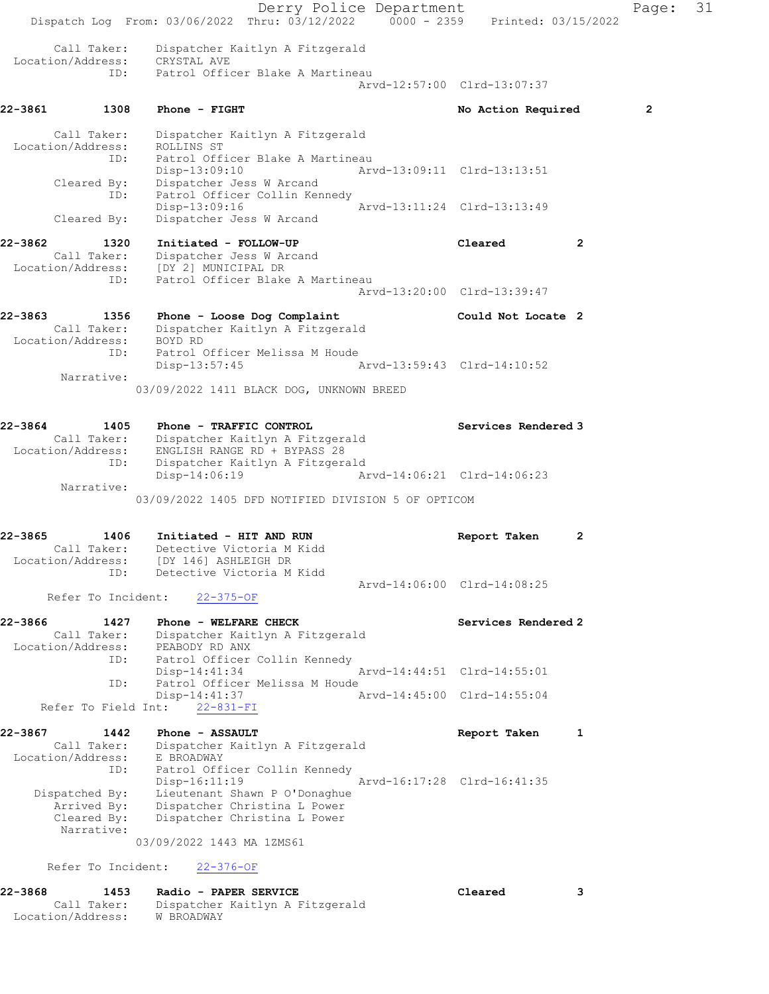Derry Police Department Fage: 31 Dispatch Log From: 03/06/2022 Thru: 03/12/2022 0000 - 2359 Printed: 03/15/2022 Call Taker: Dispatcher Kaitlyn A Fitzgerald Location/Address: CRYSTAL AVE ID: Patrol Officer Blake A Martineau Arvd-12:57:00 Clrd-13:07:37 22-3861 1308 Phone - FIGHT 1200 1200 1200 No Action Required 2 Call Taker: Dispatcher Kaitlyn A Fitzgerald Location/Address: ROLLINS ST ID: Patrol Officer Blake A Martineau Disp-13:09:10 Arvd-13:09:11 Clrd-13:13:51 Disp-13:09:10 Arvd-13:09:11 Clrd-13:13:51<br>Cleared By: Dispatcher Jess W Arcand ID: Patrol Officer Collin Kennedy Disp-13:09:16 Arvd-13:11:24 Clrd-13:13:49 Cleared By: Dispatcher Jess W Arcand 22-3862 1320 Initiated - FOLLOW-UP Cleared 2 Call Taker: Dispatcher Jess W Arcand Location/Address: [DY 2] MUNICIPAL DR ID: Patrol Officer Blake A Martineau Arvd-13:20:00 Clrd-13:39:47 22-3863 1356 Phone - Loose Dog Complaint Could Not Locate 2 Call Taker: Dispatcher Kaitlyn A Fitzgerald Location/Address: BOYD RD ID: Patrol Officer Melissa M Houde<br>Disp-13:57:45 Disp-13:57:45 Arvd-13:59:43 Clrd-14:10:52 Narrative: 03/09/2022 1411 BLACK DOG, UNKNOWN BREED 22-3864 1405 Phone - TRAFFIC CONTROL Services Rendered 3 Call Taker: Dispatcher Kaitlyn A Fitzgerald Location/Address: ENGLISH RANGE RD + BYPASS 28 ID: Dispatcher Kaitlyn A Fitzgerald Disp-14:06:19 Arvd-14:06:21 Clrd-14:06:23 Narrative: 03/09/2022 1405 DFD NOTIFIED DIVISION 5 OF OPTICOM 22-3865 1406 Initiated - HIT AND RUN Report Taken 2 Call Taker: Detective Victoria M Kidd Location/Address: [DY 146] ASHLEIGH DR ID: Detective Victoria M Kidd Arvd-14:06:00 Clrd-14:08:25 Refer To Incident: 22-375-OF 22-3866 1427 Phone - WELFARE CHECK Services Rendered 2 Call Taker: Dispatcher Kaitlyn A Fitzgerald Location/Address: PEABODY RD ANX ID: Patrol Officer Collin Kennedy<br>Disp-14:41:34 Arvd-14:44:51 Clrd-14:55:01 Disp-14:41:34 ID: Patrol Officer Melissa M Houde<br>Disp-14:41:37 Arvd-14:45:00 Clrd-14:55:04 Refer To Field Int:  $22-831-FI$ 22-3867 1442 Phone - ASSAULT **Report Taken** 1 Call Taker: Dispatcher Kaitlyn A Fitzgerald Location/Address: E BROADWAY ID: Patrol Officer Collin Kennedy<br>Disp-16:11:19 Arvd-16:17:28 Clrd-16:41:35 Disp-16:11:19 Arvd-16:17:28 Clrd-16:41:35 Dispatched By: Lieutenant Shawn P O'Donaghue Arrived By: Dispatcher Christina L Power Cleared By: Dispatcher Christina L Power Narrative: 03/09/2022 1443 MA 1ZMS61 Refer To Incident: 22-376-OF 22-3868 1453 Radio - PAPER SERVICE Cleared 3 Call Taker: Dispatcher Kaitlyn A Fitzgerald

Location/Address: W BROADWAY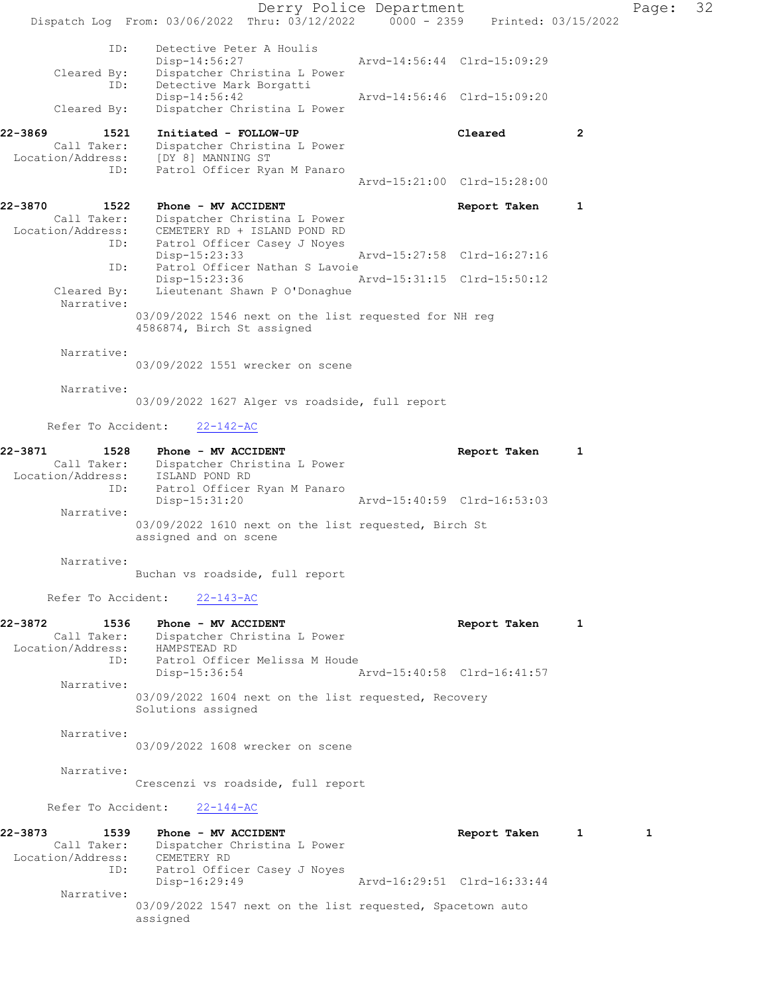Derry Police Department Fage: 32 Dispatch Log From: 03/06/2022 Thru: 03/12/2022 0000 - 2359 Printed: 03/15/2022 ID: Detective Peter A Houlis<br>Disp-14:56:27 Disp-14:56:27 Arvd-14:56:44 Clrd-15:09:29 Cleared By: Dispatcher Christina L Power ID: Detective Mark Borgatti Disp-14:56:42 Arvd-14:56:46 Clrd-15:09:20 Cleared By: Dispatcher Christina L Power 22-3869 1521 Initiated - FOLLOW-UP Cleared 2 Call Taker: Dispatcher Christina L Power Location/Address: [DY 8] MANNING ST ID: Patrol Officer Ryan M Panaro Arvd-15:21:00 Clrd-15:28:00 22-3870 1522 Phone - MV ACCIDENT 1 1 Report Taken 1 Call Taker: Dispatcher Christina L Power Location/Address: CEMETERY RD + ISLAND POND RD ID: Patrol Officer Casey J Noyes Disp-15:23:33 Arvd-15:27:58 Clrd-16:27:16 ID: Patrol Officer Nathan S Lavoie<br>Disp-15:23:36 Disp-15:23:36 Arvd-15:31:15 Clrd-15:50:12<br>Cleared By: Lieutenant Shawn P O'Donaghue Lieutenant Shawn P O'Donaghue Narrative: 03/09/2022 1546 next on the list requested for NH reg 4586874, Birch St assigned Narrative: 03/09/2022 1551 wrecker on scene Narrative: 03/09/2022 1627 Alger vs roadside, full report Refer To Accident: 22-142-AC 22-3871 1528 Phone - MV ACCIDENT 1 1 Report Taken 1 Call Taker: Dispatcher Christina L Power Location/Address: ISLAND POND RD ID: Patrol Officer Ryan M Panaro Disp-15:31:20 Arvd-15:40:59 Clrd-16:53:03 Narrative: 03/09/2022 1610 next on the list requested, Birch St assigned and on scene Narrative: Buchan vs roadside, full report Refer To Accident: 22-143-AC 22-3872 1536 Phone - MV ACCIDENT Report Taken 1 Call Taker: Dispatcher Christina L Power Location/Address: HAMPSTEAD RD ID: Patrol Officer Melissa M Houde<br>Disp-15:36:54 Arvd-15:40:58 Clrd-16:41:57 Narrative: 03/09/2022 1604 next on the list requested, Recovery Solutions assigned Narrative: 03/09/2022 1608 wrecker on scene Narrative: Crescenzi vs roadside, full report Refer To Accident: 22-144-AC 22-3873 1539 Phone - MV ACCIDENT 1 1 Report Taken 1 1 Call Taker: Dispatcher Christina L Power Location/Address: CEMETERY RD ID: Patrol Officer Casey J Noyes Disp-16:29:49 Arvd-16:29:51 Clrd-16:33:44 Narrative: 03/09/2022 1547 next on the list requested, Spacetown auto assigned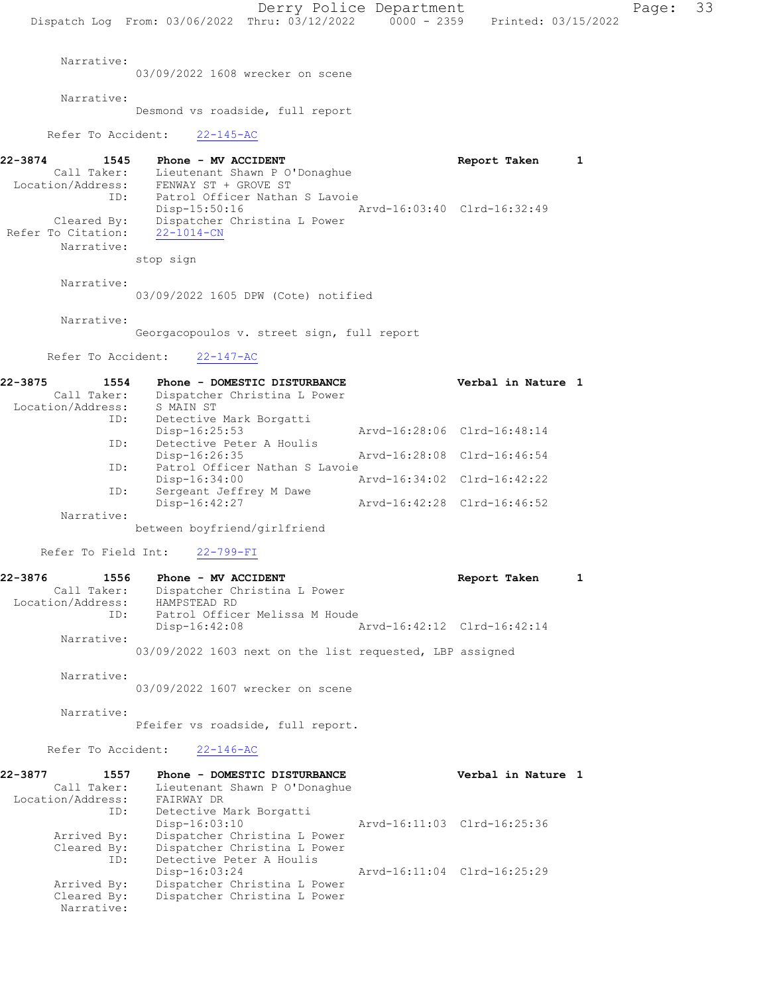Derry Police Department Page: 33 Dispatch Log From: 03/06/2022 Thru: 03/12/2022 0000 - 2359 Printed: 03/15/2022 Narrative: 03/09/2022 1608 wrecker on scene Narrative: Desmond vs roadside, full report Refer To Accident: 22-145-AC 22-3874 1545 Phone - MV ACCIDENT 1 1 Report Taken 1 Call Taker: Lieutenant Shawn P O'Donaghue Location/Address: FENWAY ST + GROVE ST ID: Patrol Officer Nathan S Lavoie Disp-15:50:16 Arvd-16:03:40 Clrd-16:32:49 Cleared By: Dispatcher Christina L Power Refer To Citation: 22-1014-CN Narrative: stop sign Narrative: 03/09/2022 1605 DPW (Cote) notified Narrative: Georgacopoulos v. street sign, full report Refer To Accident: 22-147-AC 22-3875 1554 Phone - DOMESTIC DISTURBANCE Verbal in Nature 1 Call Taker: Dispatcher Christina L Power Location/Address: S MAIN ST ID: Detective Mark Borgatti<br>Disp-16:25:53 Disp-16:25:53 Arvd-16:28:06 Clrd-16:48:14 ID: Detective Peter A Houlis<br>Disp-16:26:35 Disp-16:26:35 Arvd-16:28:08 Clrd-16:46:54<br>TD: Patrol Officer Nathan S Lavoie Patrol Officer Nathan S Lavoie Disp-16:34:00 Arvd-16:34:02 Clrd-16:42:22<br>ID: Sergeant Jeffrey M Dawe Sergeant Jeffrey M Dawe<br>Disp-16:42:27 Disp-16:42:27 Arvd-16:42:28 Clrd-16:46:52 Narrative: between boyfriend/girlfriend Refer To Field Int: 22-799-FI 22-3876 1556 Phone - MV ACCIDENT Report Taken 1 Call Taker: Dispatcher Christina L Power<br>ion/Address: HAMPSTEAD RD Location/Address: ID: Patrol Officer Melissa M Houde<br>Disp-16:42:08 F Disp-16:42:08 Arvd-16:42:12 Clrd-16:42:14 Narrative: 03/09/2022 1603 next on the list requested, LBP assigned Narrative: 03/09/2022 1607 wrecker on scene Narrative: Pfeifer vs roadside, full report. Refer To Accident: 22-146-AC 22-3877 1557 Phone - DOMESTIC DISTURBANCE 1987 Verbal in Nature 1 Call Taker: Lieutenant Shawn P O'Donaghue Location/Address: FAIRWAY DR ID: Detective Mark Borgatti<br>Disp-16:03:10 Arvd-16:11:03 Clrd-16:25:36 Arrived By: Dispatcher Christina L Power Cleared By: Dispatcher Christina L Power ID: Detective Peter A Houlis ID: Detective Peter A Houlis<br>Disp-16:03:24 Arvd-16:11:04 Clrd-16:25:29 Arrived By: Dispatcher Christina L Power Cleared By: Dispatcher Christina L Power Narrative: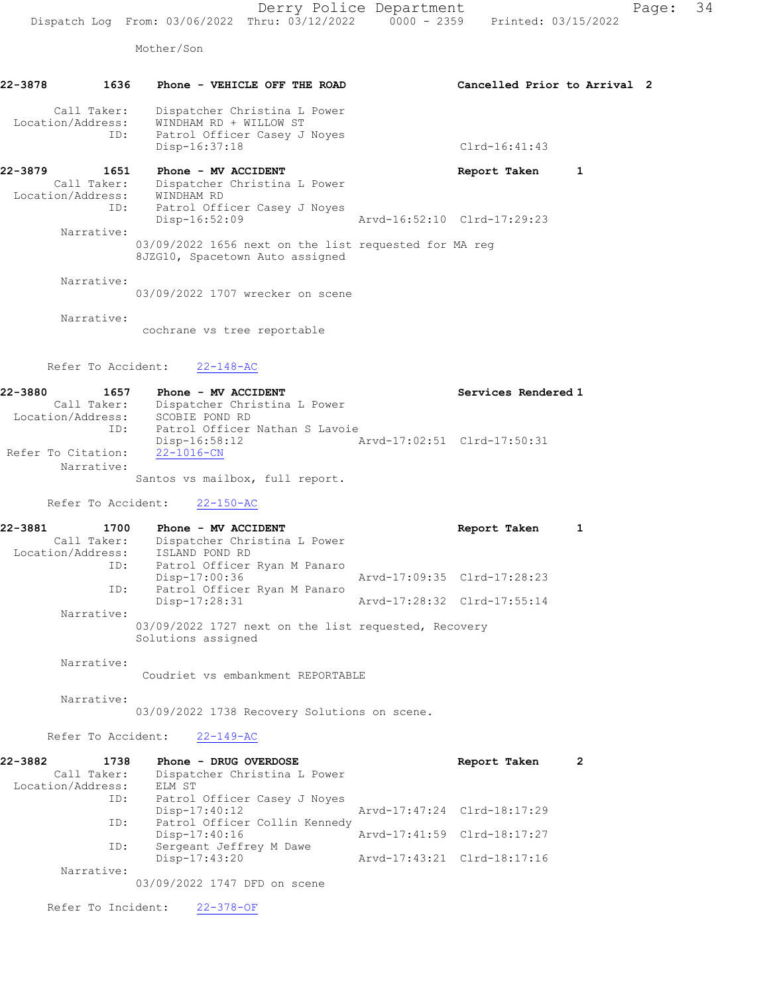Mother/Son

| 22-3878 | 1636                             | Phone - VEHICLE OFF THE ROAD                                                             | Cancelled Prior to Arrival 2 |  |
|---------|----------------------------------|------------------------------------------------------------------------------------------|------------------------------|--|
|         | Call Taker:<br>Location/Address: | Dispatcher Christina L Power<br>WINDHAM RD + WILLOW ST                                   |                              |  |
|         | ID:                              | Patrol Officer Casey J Noyes<br>Disp-16:37:18                                            | $Clrd-16:41:43$              |  |
| 22-3879 | 1651                             | Phone - MV ACCIDENT                                                                      | Report Taken<br>1            |  |
|         | Call Taker:<br>Location/Address: | Dispatcher Christina L Power<br>WINDHAM RD                                               |                              |  |
|         | ID:                              | Patrol Officer Casey J Noyes                                                             |                              |  |
|         | Narrative:                       | Disp-16:52:09                                                                            | Arvd-16:52:10 Clrd-17:29:23  |  |
|         |                                  | 03/09/2022 1656 next on the list requested for MA req<br>8JZG10, Spacetown Auto assigned |                              |  |
|         | Narrative:                       | 03/09/2022 1707 wrecker on scene                                                         |                              |  |
|         | Narrative:                       |                                                                                          |                              |  |
|         |                                  | cochrane vs tree reportable                                                              |                              |  |
|         |                                  | Refer To Accident: 22-148-AC                                                             |                              |  |
| 22-3880 | 1657                             | Phone - MV ACCIDENT                                                                      | Services Rendered 1          |  |

 Call Taker: Dispatcher Christina L Power Location/Address: SCOBIE POND RD ID: Patrol Officer Nathan S Lavoie Disp-16:58:12 <br>22-1016-CN<br>22-1016-CN Refer To Citation: Narrative: Santos vs mailbox, full report.

Refer To Accident: 22-150-AC

| 22-3881           | 1700 | Phone - MV ACCIDENT                                                        | Report Taken                |  |
|-------------------|------|----------------------------------------------------------------------------|-----------------------------|--|
| Call Taker:       |      | Dispatcher Christina L Power                                               |                             |  |
| Location/Address: |      | ISLAND POND RD                                                             |                             |  |
|                   | ID:  | Patrol Officer Ryan M Panaro                                               |                             |  |
|                   |      | Disp-17:00:36                                                              | Arvd-17:09:35 Clrd-17:28:23 |  |
|                   | ID:  | Patrol Officer Ryan M Panaro                                               |                             |  |
|                   |      | Disp-17:28:31                                                              | Arvd-17:28:32 Clrd-17:55:14 |  |
| Narrative:        |      |                                                                            |                             |  |
|                   |      | 03/09/2022 1727 next on the list requested, Recovery<br>Solutions assigned |                             |  |

Narrative:

Coudriet vs embankment REPORTABLE

Narrative:

03/09/2022 1738 Recovery Solutions on scene.

Refer To Accident: 22-149-AC

| 22-3882           | 1738        | Phone - DRUG OVERDOSE         | Report Taken                | 2 |
|-------------------|-------------|-------------------------------|-----------------------------|---|
|                   | Call Taker: | Dispatcher Christina L Power  |                             |   |
| Location/Address: |             | ELM ST                        |                             |   |
|                   | ID:         | Patrol Officer Casey J Noves  |                             |   |
|                   |             | $Disp-17:40:12$               | Arvd-17:47:24 Clrd-18:17:29 |   |
|                   | ID:         | Patrol Officer Collin Kennedy |                             |   |
|                   |             | $Disp-17:40:16$               | Arvd-17:41:59 Clrd-18:17:27 |   |
|                   | ID:         | Sergeant Jeffrey M Dawe       |                             |   |
|                   |             | Disp-17:43:20                 | Arvd-17:43:21 Clrd-18:17:16 |   |
|                   | Narrative:  |                               |                             |   |
|                   |             |                               |                             |   |

03/09/2022 1747 DFD on scene

Refer To Incident: 22-378-OF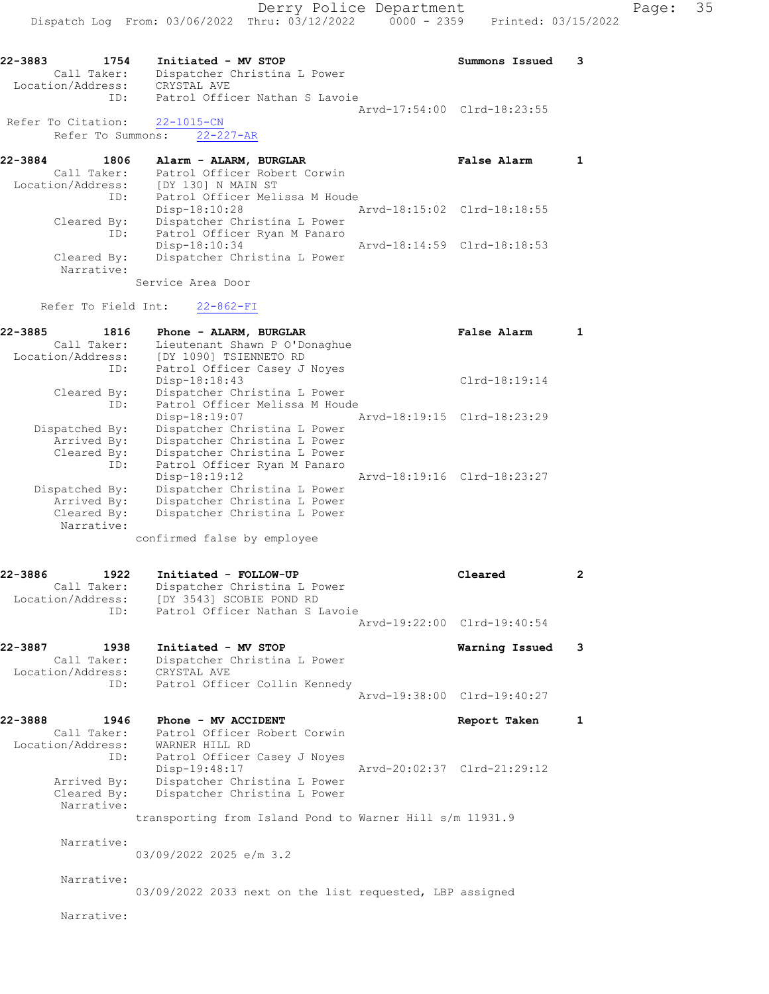22-3883 1754 Initiated - MV STOP Summons Issued 3 Call Taker: Dispatcher Christina L Power Location/Address: CRYSTAL AVE ID: Patrol Officer Nathan S Lavoie Arvd-17:54:00 Clrd-18:23:55 Refer To Citation: 22-1015-CN Refer To Summons: 22-227-AR

| 22-3884           | 1806        | Alarm - ALARM, BURGLAR         |                             | <b>False Alarm</b> |  |
|-------------------|-------------|--------------------------------|-----------------------------|--------------------|--|
|                   | Call Taker: | Patrol Officer Robert Corwin   |                             |                    |  |
| Location/Address: |             | [DY 130] N MAIN ST             |                             |                    |  |
|                   | ID:         | Patrol Officer Melissa M Houde |                             |                    |  |
|                   |             | Disp-18:10:28                  | Arvd-18:15:02 Clrd-18:18:55 |                    |  |
|                   | Cleared By: | Dispatcher Christina L Power   |                             |                    |  |
|                   | ID:         | Patrol Officer Ryan M Panaro   |                             |                    |  |
|                   |             | Disp-18:10:34                  | Arvd-18:14:59 Clrd-18:18:53 |                    |  |
|                   | Cleared By: | Dispatcher Christina L Power   |                             |                    |  |
|                   | Narrative:  |                                |                             |                    |  |

Service Area Door

Refer To Field Int: 22-862-FI

| 22-3885<br>1816   |     | Phone - ALARM, BURGLAR         |  | False Alarm                 |  |
|-------------------|-----|--------------------------------|--|-----------------------------|--|
| Call Taker:       |     | Lieutenant Shawn P O'Donaghue  |  |                             |  |
| Location/Address: |     | [DY 1090] TSIENNETO RD         |  |                             |  |
|                   | ID: | Patrol Officer Casey J Noyes   |  |                             |  |
|                   |     | Disp-18:18:43                  |  | $Clrd-18:19:14$             |  |
| Cleared By:       |     | Dispatcher Christina L Power   |  |                             |  |
|                   | ID: | Patrol Officer Melissa M Houde |  |                             |  |
|                   |     | Disp-18:19:07                  |  | Arvd-18:19:15 Clrd-18:23:29 |  |
| Dispatched By:    |     | Dispatcher Christina L Power   |  |                             |  |
| Arrived By:       |     | Dispatcher Christina L Power   |  |                             |  |
| Cleared By:       |     | Dispatcher Christina L Power   |  |                             |  |
|                   | ID: | Patrol Officer Ryan M Panaro   |  |                             |  |
|                   |     | $Disp-18:19:12$                |  | Arvd-18:19:16 Clrd-18:23:27 |  |
| Dispatched By:    |     | Dispatcher Christina L Power   |  |                             |  |
| Arrived By:       |     | Dispatcher Christina L Power   |  |                             |  |
| Cleared By:       |     | Dispatcher Christina L Power   |  |                             |  |
| Narrative:        |     |                                |  |                             |  |
|                   |     | confirmed false by employee    |  |                             |  |

| 22-3886           | 1922        | Initiated - FOLLOW-UP        | Cleared |  |
|-------------------|-------------|------------------------------|---------|--|
|                   | Call Taker: | Dispatcher Christina L Power |         |  |
| Location/Address: |             | [DY 3543] SCOBIE POND RD     |         |  |

|                   | TD:         | Patrol Officer Nathan S Lavoie | Arvd-19:22:00 Clrd-19:40:54 |  |
|-------------------|-------------|--------------------------------|-----------------------------|--|
| 22-3887           | 1938        | Initiated - MV STOP            | Warning Issued 3            |  |
|                   | Call Taker: | Dispatcher Christina L Power   |                             |  |
| Location/Address: |             | CRYSTAL AVE                    |                             |  |
|                   | ID:         | Patrol Officer Collin Kennedy  |                             |  |

Arvd-19:38:00 Clrd-19:40:27 22-3888 1946 Phone - MV ACCIDENT Report Taken 1 Call Taker: Patrol Officer Robert Corwin Location/Address: WARNER HILL RD

 ID: Patrol Officer Casey J Noyes Disp-19:48:17 Arvd-20:02:37 Clrd-21:29:12 Arrived By: Dispatcher Christina L Power Cleared By: Dispatcher Christina L Power Narrative:

transporting from Island Pond to Warner Hill s/m 11931.9

Narrative:

03/09/2022 2025 e/m 3.2

Narrative:

03/09/2022 2033 next on the list requested, LBP assigned

Narrative: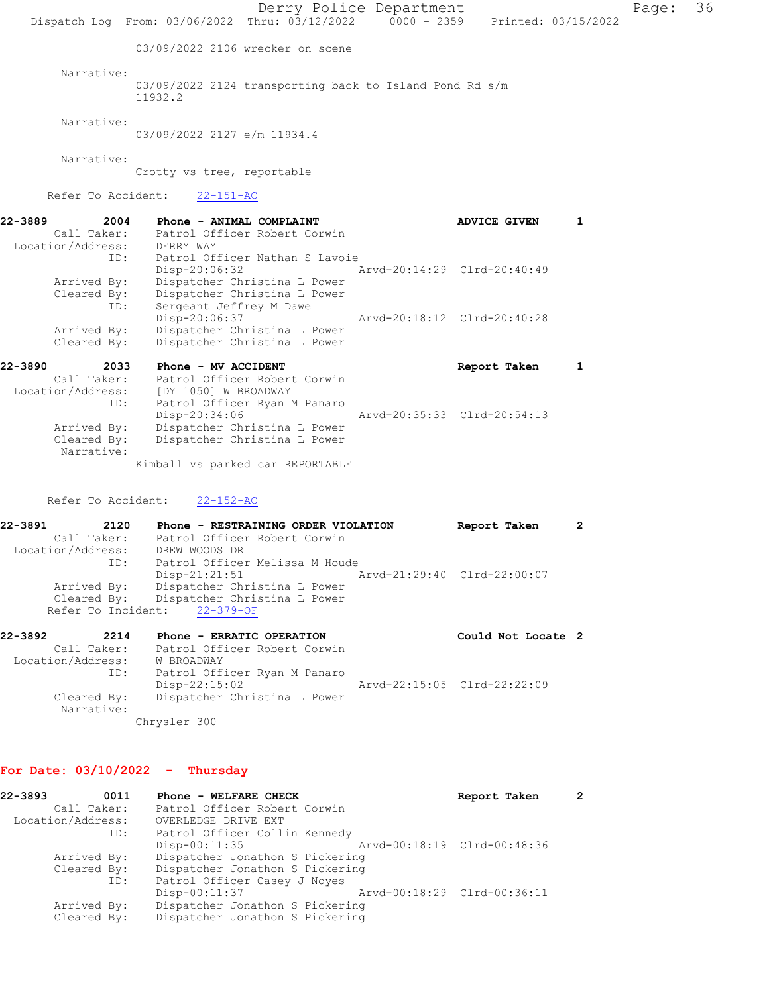Derry Police Department Page: 36 Dispatch Log From: 03/06/2022 Thru: 03/12/2022 0000 - 2359 Printed: 03/15/2022 03/09/2022 2106 wrecker on scene Narrative: 03/09/2022 2124 transporting back to Island Pond Rd s/m 11932.2 Narrative: 03/09/2022 2127 e/m 11934.4 Narrative: Crotty vs tree, reportable Refer To Accident: 22-151-AC 22-3889 2004 Phone - ANIMAL COMPLAINT ADVICE GIVEN 1 Call Taker: Patrol Officer Robert Corwin Location/Address: DERRY WAY ID: Patrol Officer Nathan S Lavoie Disp-20:06:32 Arvd-20:14:29 Clrd-20:40:49 Arrived By: Dispatcher Christina L Power Cleared By: Dispatcher Christina L Power ID: Sergeant Jeffrey M Dawe Disp-20:06:37 Arvd-20:18:12 Clrd-20:40:28 Arrived By: Dispatcher Christina L Power Cleared By: Dispatcher Christina L Power 22-3890 2033 Phone - MV ACCIDENT Report Taken 1 Call Taker: Patrol Officer Robert Corwin Location/Address: [DY 1050] W BROADWAY ID: Patrol Officer Ryan M Panaro Disp-20:34:06 Arvd-20:35:33 Clrd-20:54:13 Arrived By: Dispatcher Christina L Power Cleared By: Dispatcher Christina L Power Narrative: Kimball vs parked car REPORTABLE Refer To Accident: 22-152-AC 22-3891 2120 Phone - RESTRAINING ORDER VIOLATION Report Taken 2 Call Taker: Patrol Officer Robert Corwin Location/Address: DREW WOODS DR ID: Patrol Officer Melissa M Houde Disp-21:21:51 Arvd-21:29:40 Clrd-22:00:07 Arrived By: Dispatcher Christina L Power

22-3892 2214 Phone - ERRATIC OPERATION Could Not Locate 2 Call Taker: Patrol Officer Robert Corwin Location/Address: W BROADWAY ID: Patrol Officer Ryan M Panaro Disp-22:15:02 Arvd-22:15:05 Clrd-22:22:09 Cleared By: Dispatcher Christina L Power Narrative: Chrysler 300

## For Date: 03/10/2022 - Thursday

Cleared By: Dispatcher Christina L Power

Refer To Incident: 22-379-OF

| 22-3893           | 0011        | Phone - WELFARE CHECK           | Report Taken                |  |
|-------------------|-------------|---------------------------------|-----------------------------|--|
|                   | Call Taker: | Patrol Officer Robert Corwin    |                             |  |
| Location/Address: |             | OVERLEDGE DRIVE EXT             |                             |  |
|                   | ID:         | Patrol Officer Collin Kennedy   |                             |  |
|                   |             | $Disp-00:11:35$                 | Arvd-00:18:19 Clrd-00:48:36 |  |
|                   | Arrived By: | Dispatcher Jonathon S Pickering |                             |  |
|                   | Cleared By: | Dispatcher Jonathon S Pickering |                             |  |
|                   | ID:         | Patrol Officer Casey J Noyes    |                             |  |
|                   |             | Disp-00:11:37                   | Arvd-00:18:29 Clrd-00:36:11 |  |
|                   | Arrived By: | Dispatcher Jonathon S Pickering |                             |  |
|                   | Cleared By: | Dispatcher Jonathon S Pickering |                             |  |
|                   |             |                                 |                             |  |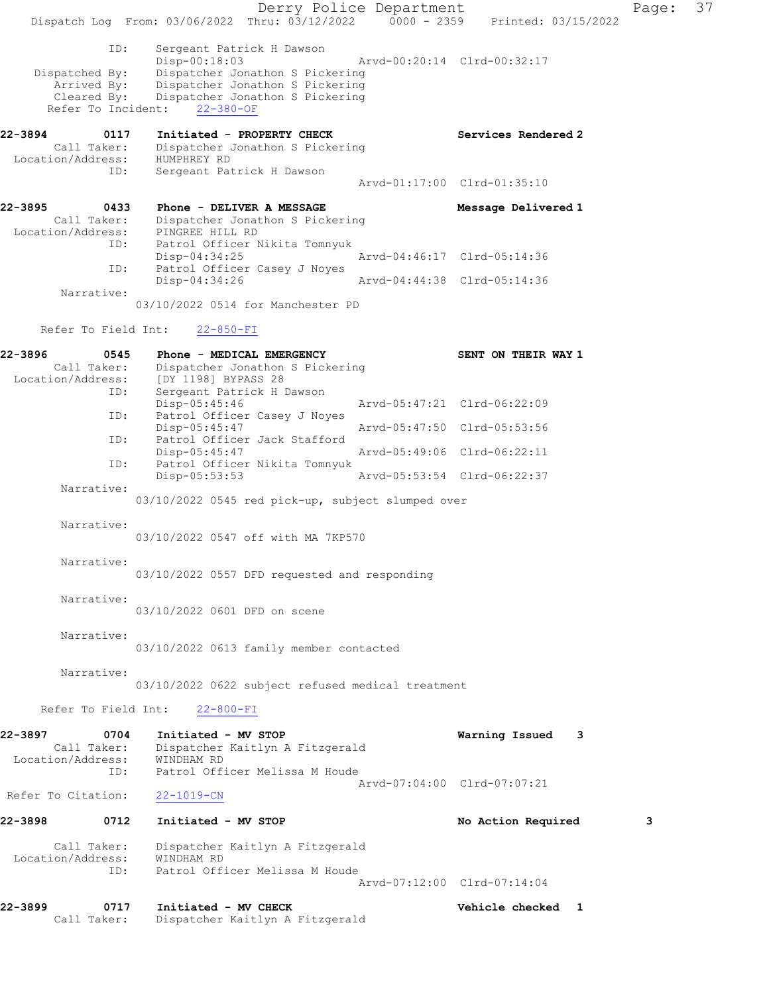Derry Police Department Fage: 37 Dispatch Log From: 03/06/2022 Thru: 03/12/2022 0000 - 2359 Printed: 03/15/2022 ID: Sergeant Patrick H Dawson Disp-00:18:03 Arvd-00:20:14 Clrd-00:32:17 Dispatched By: Dispatcher Jonathon S Pickering Arrived By: Dispatcher Jonathon S Pickering Cleared By: Dispatcher Jonathon S Pickering Refer To Incident: 22-380-OF 22-3894 0117 Initiated - PROPERTY CHECK Services Rendered 2 Call Taker: Dispatcher Jonathon S Pickering Location/Address: HUMPHREY RD ID: Sergeant Patrick H Dawson Arvd-01:17:00 Clrd-01:35:10 22-3895 0433 Phone - DELIVER A MESSAGE Message Delivered 1 Call Taker: Dispatcher Jonathon S Pickering Location/Address: PINGREE HILL RD ID: Patrol Officer Nikita Tomnyuk Disp-04:34:25 Arvd-04:46:17 Clrd-05:14:36 ID: Patrol Officer Casey J Noyes Disp-04:34:26 Arvd-04:44:38 Clrd-05:14:36 Narrative: 03/10/2022 0514 for Manchester PD Refer To Field Int: 22-850-FI 22-3896 0545 Phone - MEDICAL EMERGENCY SENT ON THEIR WAY 1 Call Taker: Dispatcher Jonathon S Pickering Location/Address: [DY 1198] BYPASS 28 ID: Sergeant Patrick H Dawson Disp-05:45:46 Arvd-05:47:21 Clrd-06:22:09 ID: Patrol Officer Casey J Noyes<br>Disp-05:45:47 Disp-05:45:47 Arvd-05:47:50 Clrd-05:53:56<br>
Disp-05:45:47 Arvd-05:47:50 Clrd-05:53:56<br>
Disp-05:45:47 Arvd-05:49:06 Clrd-06:22:11<br>
Dispression Officer Nikita Tomnyuk<br>
Nich Officer Nikita Tomnyuk ID: Patrol Officer Jack Stafford Disp-05:45:47 Arvd-05:49:06 Clrd-06:22:11 Patrol Officer Nikita Tomnyuk<br>Disp-05:53:53 Disp-05:53:53 Arvd-05:53:54 Clrd-06:22:37 Narrative: 03/10/2022 0545 red pick-up, subject slumped over Narrative: 03/10/2022 0547 off with MA 7KP570 Narrative: 03/10/2022 0557 DFD requested and responding Narrative: 03/10/2022 0601 DFD on scene Narrative: 03/10/2022 0613 family member contacted Narrative: 03/10/2022 0622 subject refused medical treatment Refer To Field Int: 22-800-FI 22-3897 0704 Initiated - MV STOP Warning Issued 3 Call Taker: Dispatcher Kaitlyn A Fitzgerald Location/Address: WINDHAM RD ID: Patrol Officer Melissa M Houde Arvd-07:04:00 Clrd-07:07:21 Refer To Citation: 22-1019-CN 22-3898 0712 Initiated - MV STOP No Action Required 3 Call Taker: Dispatcher Kaitlyn A Fitzgerald Location/Address: WINDHAM RD ID: Patrol Officer Melissa M Houde Arvd-07:12:00 Clrd-07:14:04 22-3899 0717 Initiated - MV CHECK Vehicle checked 1 Call Taker: Dispatcher Kaitlyn A Fitzgerald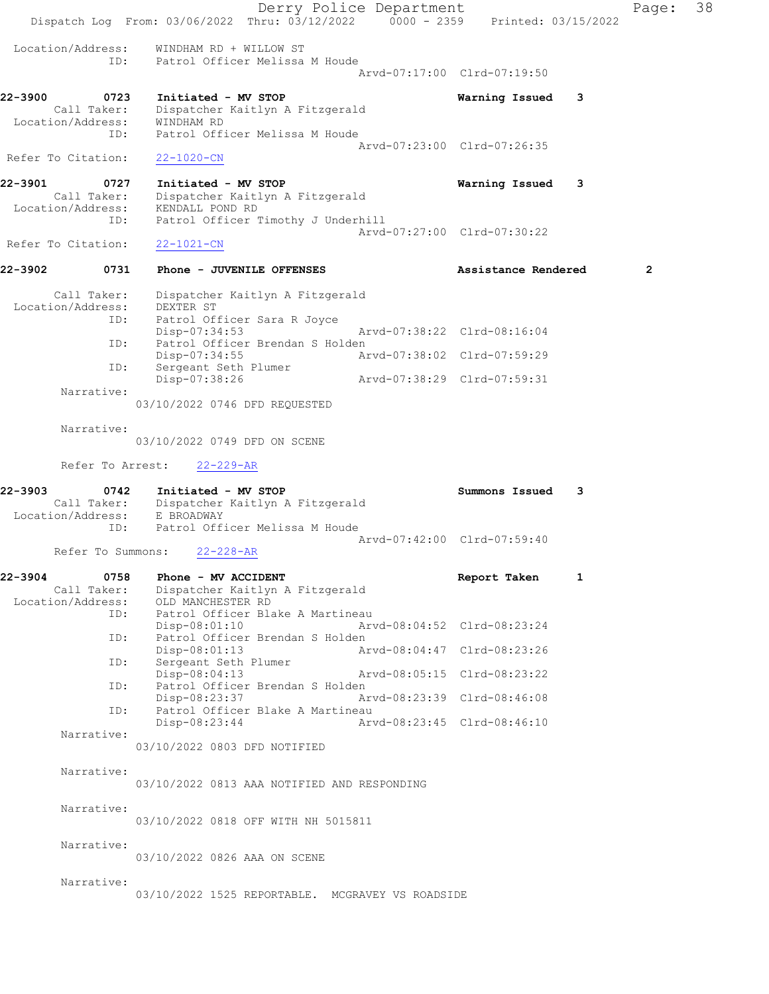|                              |                            | Dispatch Log From: 03/06/2022 Thru: 03/12/2022 0000 - 2359 Printed: 03/15/2022                                                               | Derry Police Department     |                             |   | Page:          | 38 |
|------------------------------|----------------------------|----------------------------------------------------------------------------------------------------------------------------------------------|-----------------------------|-----------------------------|---|----------------|----|
| Location/Address:            | ID:                        | WINDHAM RD + WILLOW ST<br>Patrol Officer Melissa M Houde                                                                                     |                             | Arvd-07:17:00 Clrd-07:19:50 |   |                |    |
| 22-3900                      | 0723                       | Initiated - MV STOP                                                                                                                          |                             | Warning Issued              | 3 |                |    |
| Location/Address:            | Call Taker:<br>ID:         | Dispatcher Kaitlyn A Fitzgerald<br>WINDHAM RD<br>Patrol Officer Melissa M Houde                                                              |                             |                             |   |                |    |
| Refer To Citation:           |                            | 22-1020-CN                                                                                                                                   |                             | Aryd-07:23:00 Clrd-07:26:35 |   |                |    |
| 22-3901<br>Location/Address: | 0727<br>Call Taker:<br>ID: | Initiated - MV STOP<br>Dispatcher Kaitlyn A Fitzgerald<br>KENDALL POND RD                                                                    |                             | Warning Issued              | 3 |                |    |
| Refer To Citation:           |                            | Patrol Officer Timothy J Underhill<br>$22 - 1021 - CN$                                                                                       |                             | Arvd-07:27:00 Clrd-07:30:22 |   |                |    |
| 22-3902                      | 0731                       | Phone - JUVENILE OFFENSES                                                                                                                    |                             | Assistance Rendered         |   | $\overline{2}$ |    |
|                              | Call Taker:                | Dispatcher Kaitlyn A Fitzgerald                                                                                                              |                             |                             |   |                |    |
| Location/Address:            | ID:<br>ID:<br>ID:          | DEXTER ST<br>Patrol Officer Sara R Joyce<br>$Disp-07:34:53$<br>Patrol Officer Brendan S Holden<br>$Disp-07:34:55$<br>Sergeant Seth Plumer    | Arvd-07:38:02 Clrd-07:59:29 | Arvd-07:38:22 Clrd-08:16:04 |   |                |    |
|                              | Narrative:                 | $Disp-07:38:26$                                                                                                                              | Arvd-07:38:29 Clrd-07:59:31 |                             |   |                |    |
|                              |                            | 03/10/2022 0746 DFD REQUESTED                                                                                                                |                             |                             |   |                |    |
|                              | Narrative:                 | 03/10/2022 0749 DFD ON SCENE                                                                                                                 |                             |                             |   |                |    |
|                              | Refer To Arrest:           | $22 - 229 - AR$                                                                                                                              |                             |                             |   |                |    |
| 22-3903                      | 0742<br>ID:                | Initiated - MV STOP<br>Call Taker: Dispatcher Kaitlyn A Fitzgerald<br>Location/Address: E BROADWAY<br>Patrol Officer Melissa M Houde         |                             | Summons Issued              | 3 |                |    |
|                              | Refer To Summons:          | $22 - 228 - AR$                                                                                                                              |                             | Aryd-07:42:00 Clrd-07:59:40 |   |                |    |
| 22-3904                      | 0758                       | Phone - MV ACCIDENT                                                                                                                          |                             | Report Taken                | 1 |                |    |
| Location/Address:            | Call Taker:<br>ID:<br>ID:  | Dispatcher Kaitlyn A Fitzgerald<br>OLD MANCHESTER RD<br>Patrol Officer Blake A Martineau<br>Disp-08:01:10<br>Patrol Officer Brendan S Holden | Arvd-08:04:52 Clrd-08:23:24 |                             |   |                |    |
|                              | ID:                        | Disp-08:01:13<br>Sergeant Seth Plumer                                                                                                        | Arvd-08:04:47 Clrd-08:23:26 |                             |   |                |    |
|                              | ID:                        | Disp-08:04:13<br>Patrol Officer Brendan S Holden                                                                                             | Arvd-08:05:15 Clrd-08:23:22 |                             |   |                |    |
|                              | ID:                        | Disp-08:23:37<br>Patrol Officer Blake A Martineau                                                                                            |                             | Arvd-08:23:39 Clrd-08:46:08 |   |                |    |
|                              | Narrative:                 | Disp-08:23:44                                                                                                                                | Arvd-08:23:45 Clrd-08:46:10 |                             |   |                |    |
|                              |                            | 03/10/2022 0803 DFD NOTIFIED                                                                                                                 |                             |                             |   |                |    |
|                              | Narrative:                 | 03/10/2022 0813 AAA NOTIFIED AND RESPONDING                                                                                                  |                             |                             |   |                |    |
|                              | Narrative:                 | 03/10/2022 0818 OFF WITH NH 5015811                                                                                                          |                             |                             |   |                |    |
|                              | Narrative:                 | 03/10/2022 0826 AAA ON SCENE                                                                                                                 |                             |                             |   |                |    |
|                              | Narrative:                 | 03/10/2022 1525 REPORTABLE. MCGRAVEY VS ROADSIDE                                                                                             |                             |                             |   |                |    |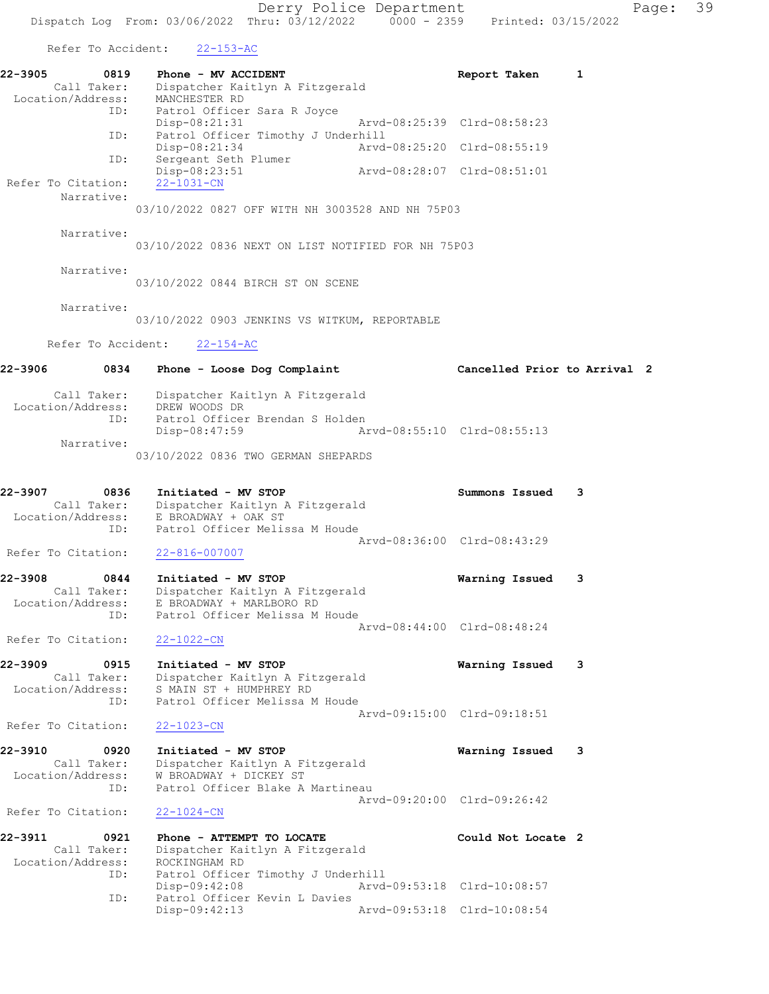Refer To Accident: 22-153-AC

| $22 - 3905$<br>0819<br>Call Taker:<br>Location/Address:    | Phone - MV ACCIDENT<br>Dispatcher Kaitlyn A Fitzgerald<br>MANCHESTER RD                                                          | Report Taken                 | 1 |
|------------------------------------------------------------|----------------------------------------------------------------------------------------------------------------------------------|------------------------------|---|
| ID:<br>ID:                                                 | Patrol Officer Sara R Joyce<br>$Disp-08:21:31$<br>Patrol Officer Timothy J Underhill                                             | Arvd-08:25:39 Clrd-08:58:23  |   |
| ID:                                                        | Disp-08:21:34                                                                                                                    | Arvd-08:25:20 Clrd-08:55:19  |   |
| Refer To Citation:                                         | Sergeant Seth Plumer<br>Disp-08:23:51<br>Arvd-08:28:07 Clrd-08:51:01<br>22-1031-CN                                               |                              |   |
| Narrative:                                                 | 03/10/2022 0827 OFF WITH NH 3003528 AND NH 75P03                                                                                 |                              |   |
| Narrative:                                                 | 03/10/2022 0836 NEXT ON LIST NOTIFIED FOR NH 75P03                                                                               |                              |   |
| Narrative:                                                 | 03/10/2022 0844 BIRCH ST ON SCENE                                                                                                |                              |   |
| Narrative:                                                 | 03/10/2022 0903 JENKINS VS WITKUM, REPORTABLE                                                                                    |                              |   |
| Refer To Accident:                                         | $22 - 154 - AC$                                                                                                                  |                              |   |
| 22-3906<br>0834                                            | Phone - Loose Dog Complaint                                                                                                      | Cancelled Prior to Arrival 2 |   |
| Call Taker:<br>Location/Address:<br>ID:                    | Dispatcher Kaitlyn A Fitzgerald<br>DREW WOODS DR<br>Patrol Officer Brendan S Holden                                              |                              |   |
| Narrative:                                                 | Disp-08:47:59<br>03/10/2022 0836 TWO GERMAN SHEPARDS                                                                             | Arvd-08:55:10 Clrd-08:55:13  |   |
| 22-3907<br>0836                                            | Initiated - MV STOP<br>Call Taker: Dispatcher Kaitlyn A Fitzgerald                                                               | Summons Issued               | 3 |
| ID:                                                        | Location/Address: E BROADWAY + OAK ST<br>Patrol Officer Melissa M Houde                                                          |                              |   |
| Refer To Citation:                                         | 22-816-007007                                                                                                                    | Arvd-08:36:00 Clrd-08:43:29  |   |
| 22-3908<br>0844<br>Location/Address:<br>ID:                | Initiated - MV STOP<br>Call Taker: Dispatcher Kaitlyn A Fitzgerald<br>E BROADWAY + MARLBORO RD<br>Patrol Officer Melissa M Houde | Warning Issued               | 3 |
| Refer To Citation:                                         | $22 - 1022 - CN$                                                                                                                 | Arvd-08:44:00 Clrd-08:48:24  |   |
| 22-3909<br>0915<br>Call Taker:<br>Location/Address:        | Initiated - MV STOP<br>Dispatcher Kaitlyn A Fitzgerald<br>S MAIN ST + HUMPHREY RD                                                | Warning Issued               | 3 |
| ID:<br>Refer To Citation:                                  | Patrol Officer Melissa M Houde<br>$22 - 1023 - CN$                                                                               | Arvd-09:15:00 Clrd-09:18:51  |   |
| 22-3910<br>0920<br>Call Taker:<br>Location/Address:<br>ID: | Initiated - MV STOP<br>Dispatcher Kaitlyn A Fitzgerald<br>W BROADWAY + DICKEY ST<br>Patrol Officer Blake A Martineau             | Warning Issued               | 3 |
| Refer To Citation:                                         | $22 - 1024 - CN$                                                                                                                 | Arvd-09:20:00 Clrd-09:26:42  |   |
| 22-3911<br>0921<br>Call Taker:<br>Location/Address:        | Phone - ATTEMPT TO LOCATE<br>Dispatcher Kaitlyn A Fitzgerald<br>ROCKINGHAM RD                                                    | Could Not Locate 2           |   |
| ID:<br>ID:                                                 | Patrol Officer Timothy J Underhill<br>Disp-09:42:08<br>Patrol Officer Kevin L Davies                                             | Arvd-09:53:18 Clrd-10:08:57  |   |
|                                                            | Disp-09:42:13                                                                                                                    | Arvd-09:53:18 Clrd-10:08:54  |   |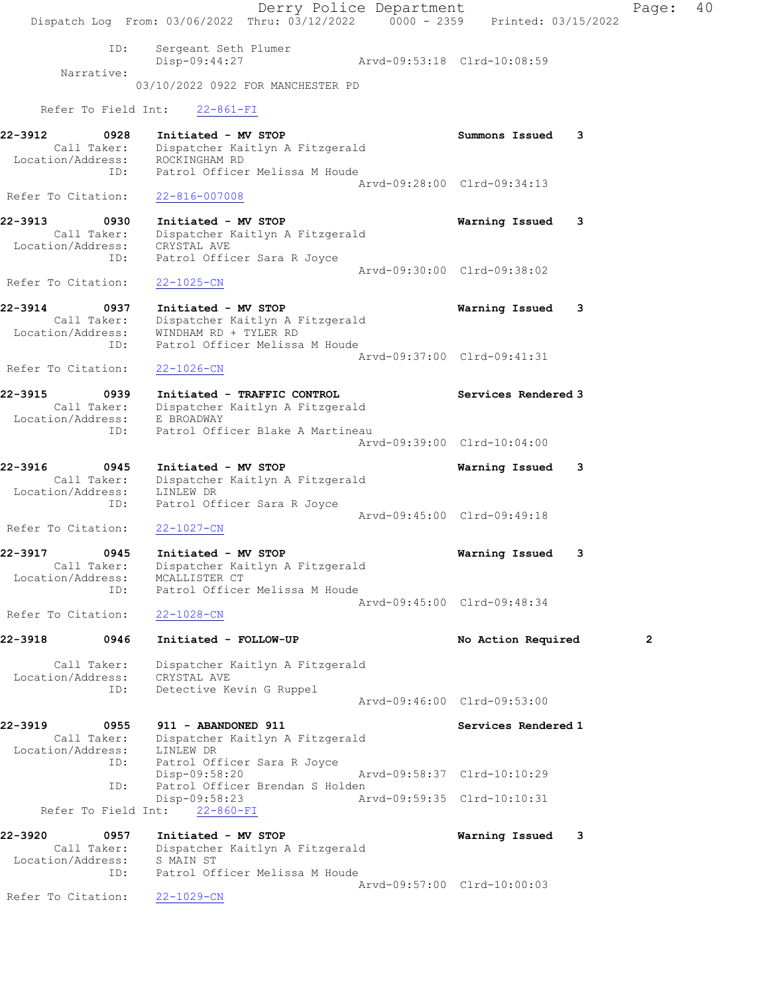Derry Police Department Fage: 40 Dispatch Log From:  $03/06/2022$  Thru:  $03/12/2022$  0000 - 2359 Printed: 03/15/2022 ID: Sergeant Seth Plumer Disp-09:44:27 Arvd-09:53:18 Clrd-10:08:59 Narrative: 03/10/2022 0922 FOR MANCHESTER PD Refer To Field Int: 22-861-FI 22-3912 0928 Initiated - MV STOP Summons Issued 3 Call Taker: Dispatcher Kaitlyn A Fitzgerald Location/Address: ROCKINGHAM RD ID: Patrol Officer Melissa M Houde Arvd-09:28:00 Clrd-09:34:13 Refer To Citation: 22-816-007008 22-3913 0930 Initiated - MV STOP Warning Issued 3 Call Taker: Dispatcher Kaitlyn A Fitzgerald Location/Address: CRYSTAL AVE ID: Patrol Officer Sara R Joyce Arvd-09:30:00 Clrd-09:38:02 Refer To Citation: 22-1025-CN 22-3914 0937 Initiated - MV STOP Warning Issued 3 Call Taker: Dispatcher Kaitlyn A Fitzgerald Location/Address: WINDHAM RD + TYLER RD ID: Patrol Officer Melissa M Houde Arvd-09:37:00 Clrd-09:41:31 Refer To Citation: 22-1026-CN 22-3915 0939 Initiated - TRAFFIC CONTROL Services Rendered 3 Call Taker: Dispatcher Kaitlyn A Fitzgerald Location/Address: E BROADWAY ID: Patrol Officer Blake A Martineau Arvd-09:39:00 Clrd-10:04:00 22-3916 0945 Initiated - MV STOP Warning Issued 3 Call Taker: Dispatcher Kaitlyn A Fitzgerald Location/Address: LINLEW DR ID: Patrol Officer Sara R Joyce Arvd-09:45:00 Clrd-09:49:18 Refer To Citation: 22-1027-CN 22-3917 0945 Initiated - MV STOP Warning Issued 3 Call Taker: Dispatcher Kaitlyn A Fitzgerald Location/Address: MCALLISTER CT ID: Patrol Officer Melissa M Houde Arvd-09:45:00 Clrd-09:48:34 Refer To Citation: 22-1028-CN 22-3918 0946 Initiated - FOLLOW-UP No Action Required 2 Call Taker: Dispatcher Kaitlyn A Fitzgerald Location/Address: CRYSTAL AVE ID: Detective Kevin G Ruppel Arvd-09:46:00 Clrd-09:53:00 22-3919 0955 911 - ABANDONED 911 Services Rendered 1 Call Taker: Dispatcher Kaitlyn A Fitzgerald Location/Address: LINLEW DR ID: Patrol Officer Sara R Joyce Disp-09:58:20 Arvd-09:58:37 Clrd-10:10:29 ID: Patrol Officer Brendan S Holden Disp-09:58:23 Arvd-09:59:35 Clrd-10:10:31 Refer To Field Int: 22-860-FI 22-3920 0957 Initiated - MV STOP Warning Issued 3 Call Taker: Dispatcher Kaitlyn A Fitzgerald Location/Address: S MAIN ST ID: Patrol Officer Melissa M Houde Arvd-09:57:00 Clrd-10:00:03 Refer To Citation: 22-1029-CN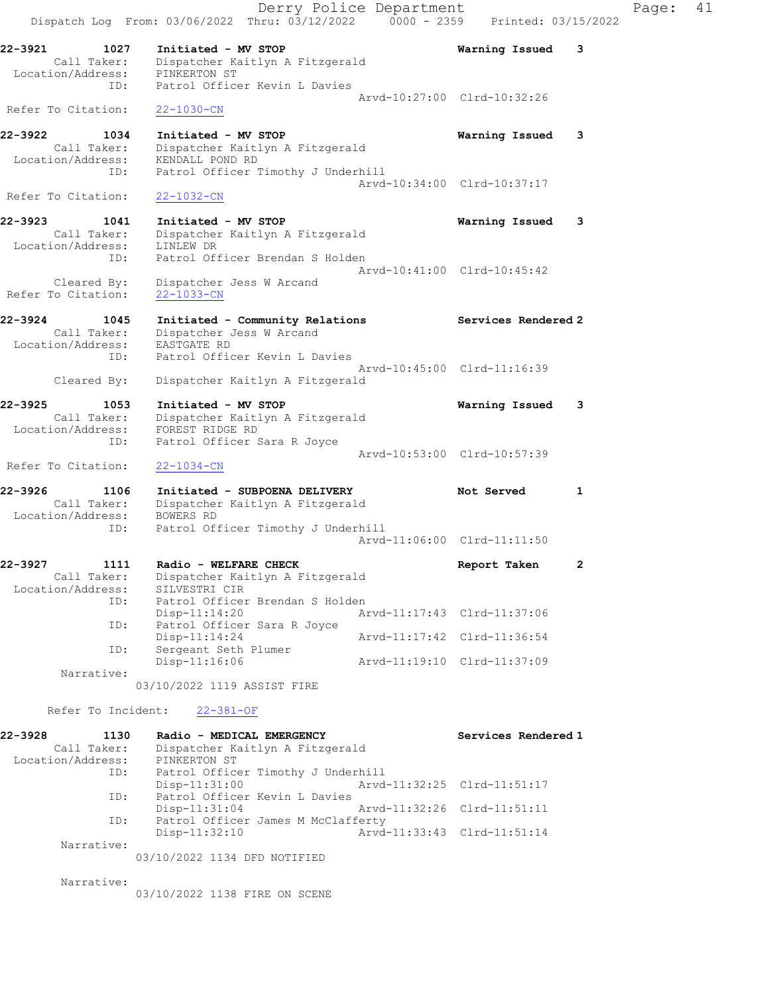| 22-3928<br>1130<br>Call Taker:<br>Location/Address: | Radio - MEDICAL EMERGENCY<br>Dispatcher Kaitlyn A Fitzgerald<br>PINKERTON ST             | Services Rendered 1                                        |
|-----------------------------------------------------|------------------------------------------------------------------------------------------|------------------------------------------------------------|
| Refer To Incident:                                  | $22 - 381 - OF$                                                                          |                                                            |
|                                                     | 03/10/2022 1119 ASSIST FIRE                                                              |                                                            |
| Narrative:                                          |                                                                                          |                                                            |
| ID:                                                 | Disp-11:14:24<br>Sergeant Seth Plumer<br>Disp-11:16:06                                   | Arvd-11:17:42 Clrd-11:36:54<br>Arvd-11:19:10 Clrd-11:37:09 |
| ID:                                                 | Disp-11:14:20<br>Patrol Officer Sara R Joyce                                             | Arvd-11:17:43 Clrd-11:37:06                                |
| Location/Address:<br>ID:                            | SILVESTRI CIR<br>Patrol Officer Brendan S Holden                                         |                                                            |
| 1111<br>22-3927<br>Call Taker:                      | Radio - WELFARE CHECK<br>Dispatcher Kaitlyn A Fitzgerald                                 | 2<br>Report Taken                                          |
| ID:                                                 | Patrol Officer Timothy J Underhill                                                       | Arvd-11:06:00 Clrd-11:11:50                                |
| 22-3926<br>1106<br>Call Taker:<br>Location/Address: | Initiated - SUBPOENA DELIVERY<br>Dispatcher Kaitlyn A Fitzgerald<br>BOWERS RD            | Not Served<br>1                                            |
| Refer To Citation:                                  | $22 - 1034 - CN$                                                                         |                                                            |
| Call Taker:<br>Location/Address:<br>ID:             | Dispatcher Kaitlyn A Fitzgerald<br>FOREST RIDGE RD<br>Patrol Officer Sara R Joyce        | Arvd-10:53:00 Clrd-10:57:39                                |
| Cleared By:<br>22-3925<br>1053                      | Dispatcher Kaitlyn A Fitzgerald<br>Initiated - MV STOP                                   | Warning Issued<br>3                                        |
| ID:                                                 | Patrol Officer Kevin L Davies                                                            | Arvd-10:45:00 Clrd-11:16:39                                |
| Call Taker:<br>Location/Address:                    | Dispatcher Jess W Arcand<br>EASTGATE RD                                                  |                                                            |
| 22-3924<br>1045                                     | Initiated - Community Relations                                                          | Services Rendered 2                                        |
| Cleared By:<br>Refer To Citation:                   | Dispatcher Jess W Arcand<br>$22 - 1033 - CN$                                             | Aryd-10:41:00 Clrd-10:45:42                                |
| Location/Address:<br>ID:                            | LINLEW DR<br>Patrol Officer Brendan S Holden                                             |                                                            |
| 22-3923<br>1041<br>Call Taker:                      | Initiated - MV STOP<br>Dispatcher Kaitlyn A Fitzgerald                                   | Warning Issued<br>3                                        |
| Refer To Citation:                                  | $22 - 1032 - CN$                                                                         | Arvd-10:34:00 Clrd-10:37:17                                |
| Call Taker:<br>Location/Address:<br>ID:             | Dispatcher Kaitlyn A Fitzgerald<br>KENDALL POND RD<br>Patrol Officer Timothy J Underhill |                                                            |
| 22-3922<br>1034                                     | Initiated - MV STOP                                                                      | Warning Issued<br>3                                        |
| ID:<br>Refer To Citation:                           | Patrol Officer Kevin L Davies<br>$22 - 1030 - CN$                                        | Arvd-10:27:00 Clrd-10:32:26                                |
| Call Taker:<br>Location/Address:                    | Dispatcher Kaitlyn A Fitzgerald<br>PINKERTON ST                                          |                                                            |
| 22-3921<br>1027                                     | Initiated - MV STOP                                                                      | Warning Issued<br>3                                        |
| Dispatch Log From: 03/06/2022                       | Derry Police Department<br>Thru: 03/12/2022<br>$0000 - 2359$                             | Printed: 03/15/2022                                        |

| ID:        | Patrol Officer Timothy J Underhill |                             |
|------------|------------------------------------|-----------------------------|
|            | Disp-11:31:00                      | Arvd-11:32:25 Clrd-11:51:17 |
| ID:        | Patrol Officer Kevin L Davies      |                             |
|            | $Disp-11:31:04$                    | Arvd-11:32:26 Clrd-11:51:11 |
| ID:        | Patrol Officer James M McClafferty |                             |
|            | Disp-11:32:10                      | Arvd-11:33:43 Clrd-11:51:14 |
| Narrative: |                                    |                             |

03/10/2022 1134 DFD NOTIFIED

Narrative:

03/10/2022 1138 FIRE ON SCENE

Page: 41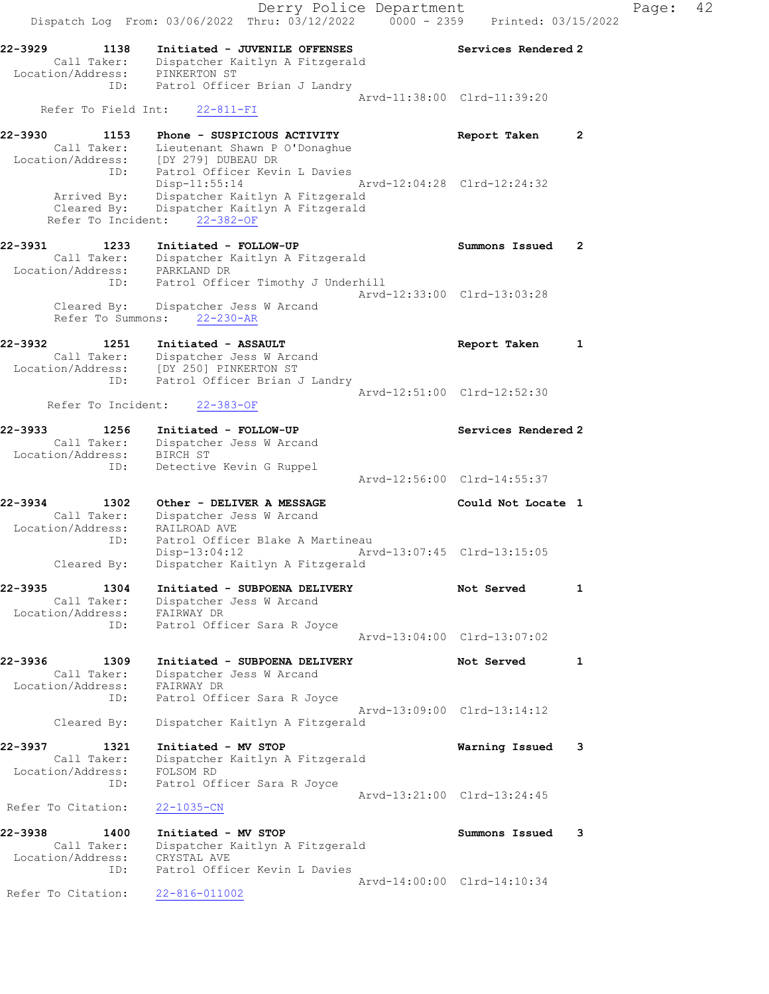Derry Police Department Controller Page: 42 Dispatch Log From: 03/06/2022 Thru: 03/12/2022 0000 - 2359 Printed: 03/15/2022 22-3929 1138 Initiated - JUVENILE OFFENSES Services Rendered 2 Call Taker: Dispatcher Kaitlyn A Fitzgerald Location/Address: PINKERTON ST ID: Patrol Officer Brian J Landry Arvd-11:38:00 Clrd-11:39:20 Refer To Field Int: 22-811-FI 22-3930 1153 Phone - SUSPICIOUS ACTIVITY Report Taken 2 Call Taker: Lieutenant Shawn P O'Donaghue Location/Address: [DY 279] DUBEAU DR ID: Patrol Officer Kevin L Davies Disp-11:55:14 Arvd-12:04:28 Clrd-12:24:32 Arrived By: Dispatcher Kaitlyn A Fitzgerald Cleared By: Dispatcher Kaitlyn A Fitzgerald Refer To Incident: 22-382-OF 22-3931 1233 Initiated - FOLLOW-UP Summons Issued 2 Call Taker: Dispatcher Kaitlyn A Fitzgerald Location/Address: PARKLAND DR ID: Patrol Officer Timothy J Underhill Arvd-12:33:00 Clrd-13:03:28 Cleared By: Dispatcher Jess W Arcand Refer To Summons: 22-230-AR 22-3932 1251 Initiated - ASSAULT Report Taken 1 Call Taker: Dispatcher Jess W Arcand Location/Address: [DY 250] PINKERTON ST ID: Patrol Officer Brian J Landry Arvd-12:51:00 Clrd-12:52:30 Refer To Incident: 22-383-OF 22-3933 1256 Initiated - FOLLOW-UP Services Rendered 2 Call Taker: Dispatcher Jess W Arcand Location/Address: BIRCH ST ID: Detective Kevin G Ruppel Arvd-12:56:00 Clrd-14:55:37 22-3934 1302 Other - DELIVER A MESSAGE 1 Could Not Locate 1 Call Taker: Dispatcher Jess W Arcand Location/Address: RAILROAD AVE ID: Patrol Officer Blake A Martineau Disp-13:04:12 Arvd-13:07:45 Clrd-13:15:05 Cleared By: Dispatcher Kaitlyn A Fitzgerald 22-3935 1304 Initiated - SUBPOENA DELIVERY Not Served 1 Call Taker: Dispatcher Jess W Arcand Location/Address: FAIRWAY DR ID: Patrol Officer Sara R Joyce Arvd-13:04:00 Clrd-13:07:02 22-3936 1309 Initiated - SUBPOENA DELIVERY Not Served 1 Call Taker: Dispatcher Jess W Arcand Location/Address: FAIRWAY DR ID: Patrol Officer Sara R Joyce Arvd-13:09:00 Clrd-13:14:12 Cleared By: Dispatcher Kaitlyn A Fitzgerald 22-3937 1321 Initiated - MV STOP Warning Issued 3 Call Taker: Dispatcher Kaitlyn A Fitzgerald Location/Address: FOLSOM RD ID: Patrol Officer Sara R Joyce Arvd-13:21:00 Clrd-13:24:45<br>22-1035-CN Refer To Citation: 22-3938 1400 Initiated - MV STOP Summons Issued 3 Call Taker: Dispatcher Kaitlyn A Fitzgerald Location/Address: CRYSTAL AVE ID: Patrol Officer Kevin L Davies Arvd-14:00:00 Clrd-14:10:34 Refer To Citation: 22-816-011002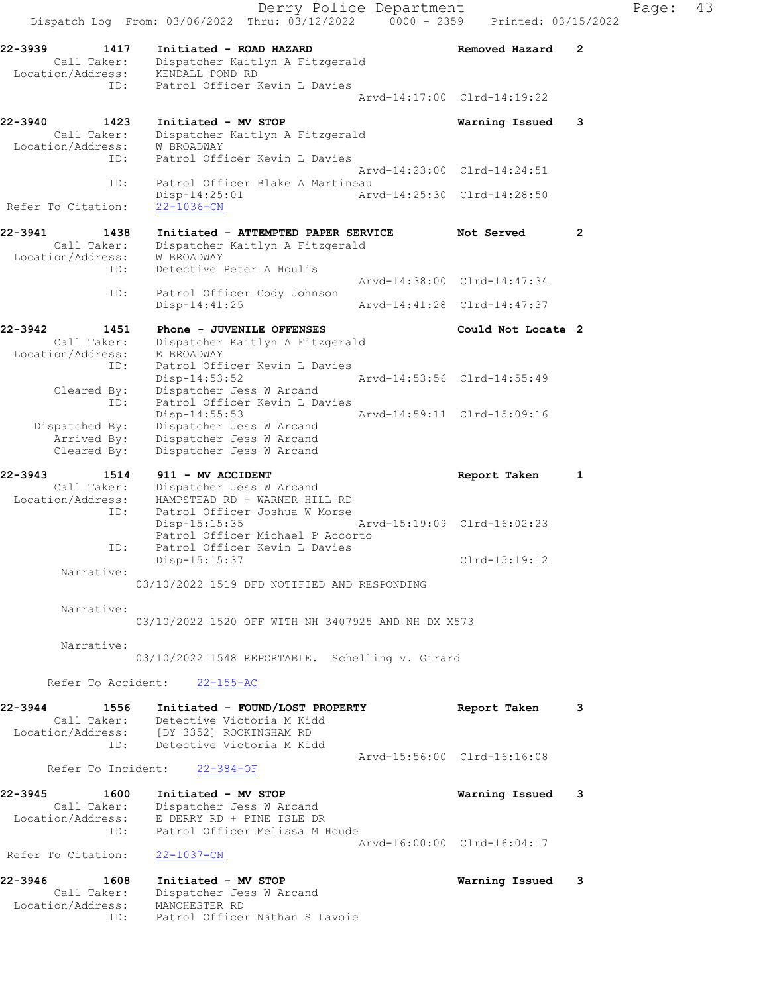Derry Police Department Fage: 43 Dispatch Log From: 03/06/2022 Thru: 03/12/2022 0000 - 2359 Printed: 03/15/2022 22-3939 1417 Initiated - ROAD HAZARD Removed Hazard 2 Call Taker: Dispatcher Kaitlyn A Fitzgerald Location/Address: KENDALL POND RD ID: Patrol Officer Kevin L Davies Arvd-14:17:00 Clrd-14:19:22 22-3940 1423 Initiated - MV STOP Warning Issued 3 Call Taker: Dispatcher Kaitlyn A Fitzgerald Location/Address: W BROADWAY ID: Patrol Officer Kevin L Davies Arvd-14:23:00 Clrd-14:24:51 ID: Patrol Officer Blake A Martineau<br>Disp-14:25:01 Art Disp-14:25:01 Arvd-14:25:30 Clrd-14:28:50 Refer To Citation: 22-1036-CN 22-3941 1438 Initiated - ATTEMPTED PAPER SERVICE Not Served 2 Call Taker: Dispatcher Kaitlyn A Fitzgerald Location/Address: W BROADWAY ID: Detective Peter A Houlis Arvd-14:38:00 Clrd-14:47:34 ID: Patrol Officer Cody Johnson<br>Disp-14:41:25 Disp-14:41:25 Arvd-14:41:28 Clrd-14:47:37 22-3942 1451 Phone - JUVENILE OFFENSES Could Not Locate 2 Call Taker: Dispatcher Kaitlyn A Fitzgerald Location/Address: E BROADWAY ID: Patrol Officer Kevin L Davies Disp-14:53:52 Arvd-14:53:56 Clrd-14:55:49 Cleared By: Dispatcher Jess W Arcand ID: Patrol Officer Kevin L Davies Disp-14:55:53 Arvd-14:59:11 Clrd-15:09:16 Dispatched By: Dispatcher Jess W Arcand Arrived By: Dispatcher Jess W Arcand Cleared By: Dispatcher Jess W Arcand 22-3943 1514 911 - MV ACCIDENT 1 1 Report Taken 1 Call Taker: Dispatcher Jess W Arcand Location/Address: HAMPSTEAD RD + WARNER HILL RD ID: Patrol Officer Joshua W Morse Disp-15:15:35 Arvd-15:19:09 Clrd-16:02:23 Patrol Officer Michael P Accorto ID: Patrol Officer Kevin L Davies Disp-15:15:37 Clrd-15:19:12 Narrative: 03/10/2022 1519 DFD NOTIFIED AND RESPONDING Narrative: 03/10/2022 1520 OFF WITH NH 3407925 AND NH DX X573 Narrative: 03/10/2022 1548 REPORTABLE. Schelling v. Girard Refer To Accident: 22-155-AC 22-3944 1556 Initiated - FOUND/LOST PROPERTY Report Taken 3 Call Taker: Detective Victoria M Kidd Location/Address: [DY 3352] ROCKINGHAM RD ID: Detective Victoria M Kidd Arvd-15:56:00 Clrd-16:16:08 Refer To Incident: 22-384-OF 22-3945 1600 Initiated - MV STOP Warning Issued 3 Call Taker: Dispatcher Jess W Arcand Location/Address: E DERRY RD + PINE ISLE DR ID: Patrol Officer Melissa M Houde Arvd-16:00:00 Clrd-16:04:17 Refer To Citation: 22-1037-CN 22-3946 1608 Initiated - MV STOP Warning Issued 3 Call Taker: Dispatcher Jess W Arcand Location/Address: MANCHESTER RD ID: Patrol Officer Nathan S Lavoie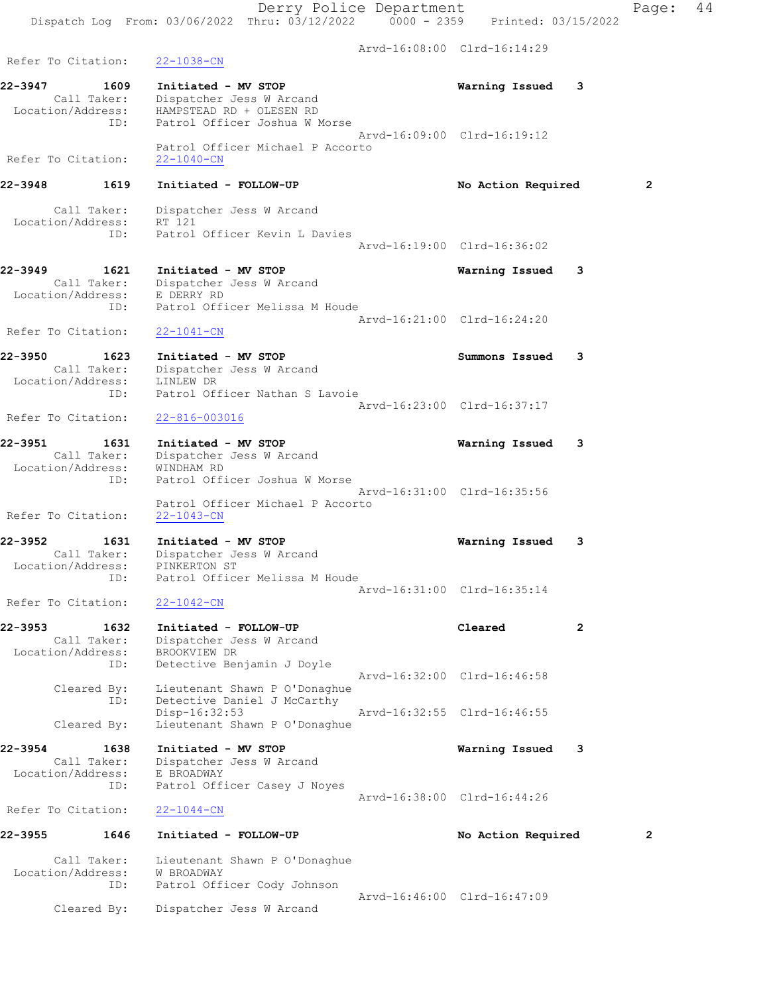Arvd-16:08:00 Clrd-16:14:29

| 22-3947            | 1609               | Initiated - MV STOP                                                                   | Warning Issued 3            |                |
|--------------------|--------------------|---------------------------------------------------------------------------------------|-----------------------------|----------------|
| Location/Address:  | Call Taker:<br>ID: | Dispatcher Jess W Arcand<br>HAMPSTEAD RD + OLESEN RD<br>Patrol Officer Joshua W Morse |                             |                |
| Refer To Citation: |                    | Patrol Officer Michael P Accorto<br>$22 - 1040 - CN$                                  | Aryd-16:09:00 Clrd-16:19:12 |                |
| 22-3948            | 1619               | Initiated - FOLLOW-UP                                                                 | No Action Required          | $\overline{2}$ |
|                    | Call Taker:        | Dispatcher Jess W Arcand                                                              |                             |                |

 Location/Address: RT 121 ID: Patrol Officer Kevin L Davies Arvd-16:19:00 Clrd-16:36:02

#### 22-3949 1621 Initiated - MV STOP Warning Issued 3 Call Taker: Dispatcher Jess W Arcand Location/Address: E DERRY RD ID: Patrol Officer Melissa M Houde Arvd-16:21:00 Clrd-16:24:20 Refer To Citation: 22-1041-CN

22-3950 1623 Initiated - MV STOP Summons Issued 3 Call Taker: Dispatcher Jess W Arcand Location/Address: LINLEW DR ID: Patrol Officer Nathan S Lavoie Arvd-16:23:00 Clrd-16:37:17

Refer To Citation: 22-816-003016

# 22-3951 1631 Initiated - MV STOP Warning Issued 3 Call Taker: Dispatcher Jess W Arcand Location/Address: WINDHAM RD ID: Patrol Officer Joshua W Morse Arvd-16:31:00 Clrd-16:35:56 Patrol Officer Michael P Accorto

Refer To Citation:

22-3952 1631 Initiated - MV STOP Warning Issued 3 Call Taker: Dispatcher Jess W Arcand Location/Address: PINKERTON ST ID: Patrol Officer Melissa M Houde Arvd-16:31:00 Clrd-16:35:14

Refer To Citation: 22-1042-CN

Refer To Citation: 22-1038-CN

#### 22-3953 1632 Initiated - FOLLOW-UP Cleared 2 Call Taker: Dispatcher Jess W Arcand Location/Address: BROOKVIEW DR ID: Detective Benjamin J Doyle Arvd-16:32:00 Clrd-16:46:58 Cleared By: Lieutenant Shawn P O'Donaghue ID: Detective Daniel J McCarthy Disp-16:32:53 Arvd-16:32:55 Clrd-16:46:55

Cleared By: Lieutenant Shawn P O'Donaghue

# 22-3954 1638 Initiated - MV STOP Warning Issued 3

 Call Taker: Dispatcher Jess W Arcand Location/Address: E BROADWAY ID: Patrol Officer Casey J Noyes Arvd-16:38:00 Clrd-16:44:26

Refer To Citation: 22-1044-CN

# 22-3955 1646 Initiated - FOLLOW-UP No Action Required 2

 Call Taker: Lieutenant Shawn P O'Donaghue Location/Address: W BROADWAY ID: Patrol Officer Cody Johnson Arvd-16:46:00 Clrd-16:47:09 Cleared By: Dispatcher Jess W Arcand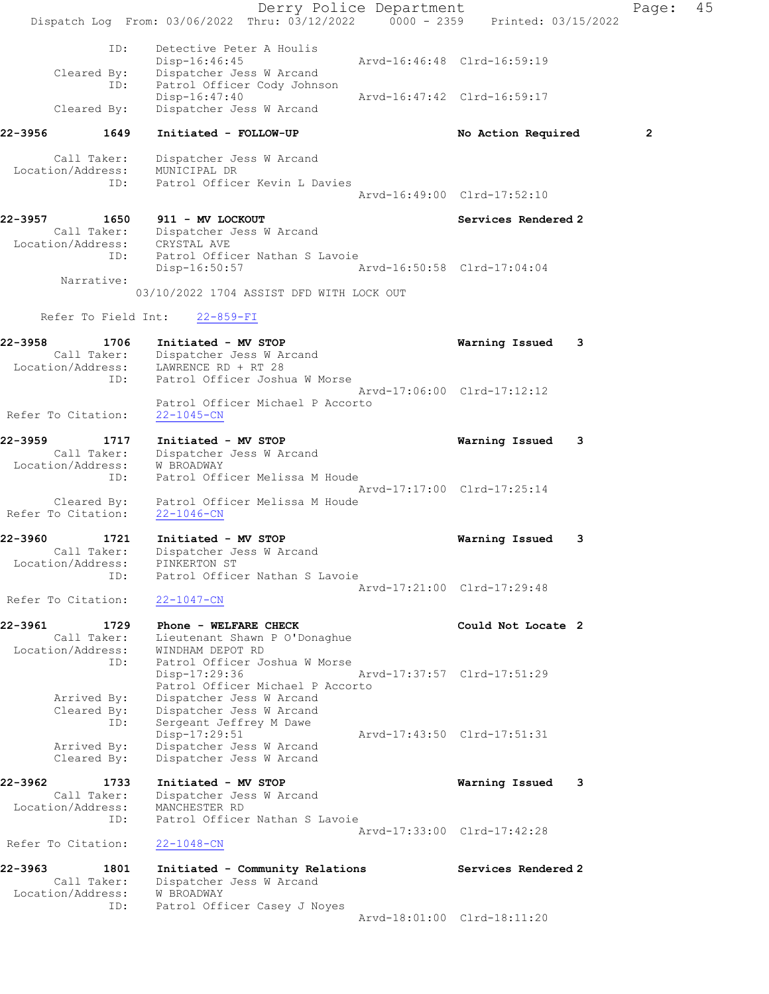Derry Police Department Controller Page: 45 Dispatch Log From:  $03/06/2022$  Thru:  $03/12/2022$  0000 - 2359 Printed: 03/15/2022 ID: Detective Peter A Houlis<br>Disp-16:46:45 Disp-16:46:45 Arvd-16:46:48 Clrd-16:59:19 Cleared By: Dispatcher Jess W Arcand ID: Patrol Officer Cody Johnson Disp-16:47:40 Arvd-16:47:42 Clrd-16:59:17 Cleared By: Dispatcher Jess W Arcand 22-3956 1649 Initiated - FOLLOW-UP No Action Required 2 Call Taker: Dispatcher Jess W Arcand Location/Address: MUNICIPAL DR ID: Patrol Officer Kevin L Davies Arvd-16:49:00 Clrd-17:52:10 22-3957 1650 911 - MV LOCKOUT Services Rendered 2 Call Taker: Dispatcher Jess W Arcand Location/Address: CRYSTAL AVE ID: Patrol Officer Nathan S Lavoie Disp-16:50:57 Arvd-16:50:58 Clrd-17:04:04 Narrative: 03/10/2022 1704 ASSIST DFD WITH LOCK OUT Refer To Field Int: 22-859-FI 22-3958 1706 Initiated - MV STOP Warning Issued 3 Call Taker: Dispatcher Jess W Arcand Location/Address: LAWRENCE RD + RT 28 ID: Patrol Officer Joshua W Morse Arvd-17:06:00 Clrd-17:12:12 Patrol Officer Michael P Accorto Refer To Citation: 22-1045-CN 22-3959 1717 Initiated - MV STOP Warning Issued 3 Call Taker: Dispatcher Jess W Arcand Location/Address: W BROADWAY ID: Patrol Officer Melissa M Houde Arvd-17:17:00 Clrd-17:25:14 Cleared By: Patrol Officer Melissa M Houde Refer To Citation: 22-1046-CN 22-3960 1721 Initiated - MV STOP Warning Issued 3 Call Taker: Dispatcher Jess W Arcand Location/Address: PINKERTON ST ID: Patrol Officer Nathan S Lavoie Arvd-17:21:00 Clrd-17:29:48 Refer To Citation: 22-1047-CN 22-3961 1729 Phone - WELFARE CHECK COULD Could Not Locate 2 Call Taker: Lieutenant Shawn P O'Donaghue Location/Address: WINDHAM DEPOT RD ID: Patrol Officer Joshua W Morse Disp-17:29:36 Arvd-17:37:57 Clrd-17:51:29 Patrol Officer Michael P Accorto Arrived By: Dispatcher Jess W Arcand Cleared By: Dispatcher Jess W Arcand ID: Sergeant Jeffrey M Dawe Disp-17:29:51 Arvd-17:43:50 Clrd-17:51:31 Arrived By: Dispatcher Jess W Arcand Cleared By: Dispatcher Jess W Arcand 22-3962 1733 Initiated - MV STOP Warning Issued 3 Call Taker: Dispatcher Jess W Arcand Location/Address: MANCHESTER RD ID: Patrol Officer Nathan S Lavoie Arvd-17:33:00 Clrd-17:42:28 Refer To Citation: 22-1048-CN 22-3963 1801 Initiated - Community Relations Services Rendered 2 Call Taker: Dispatcher Jess W Arcand Location/Address: W BROADWAY ID: Patrol Officer Casey J Noyes Arvd-18:01:00 Clrd-18:11:20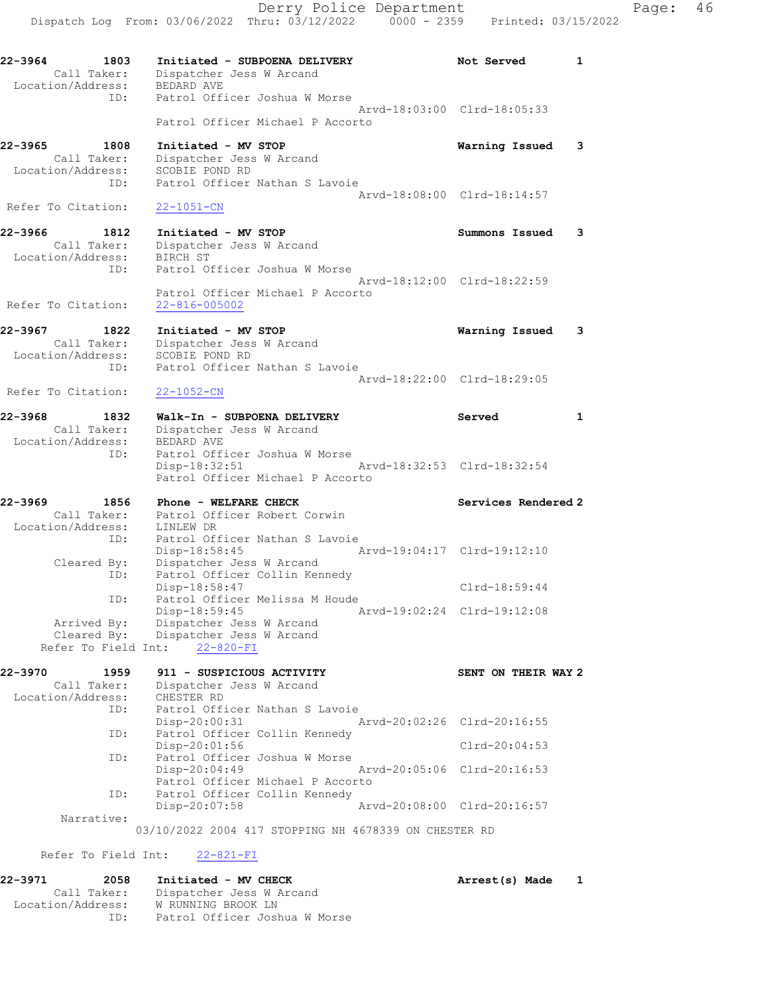Derry Police Department Fage: 46 Dispatch Log From: 03/06/2022 Thru: 03/12/2022 0000 - 2359 Printed: 03/15/2022 22-3964 1803 Initiated - SUBPOENA DELIVERY Not Served 1 Call Taker: Dispatcher Jess W Arcand Location/Address: BEDARD AVE ID: Patrol Officer Joshua W Morse Arvd-18:03:00 Clrd-18:05:33 Patrol Officer Michael P Accorto 22-3965 1808 Initiated - MV STOP Warning Issued 3 Call Taker: Dispatcher Jess W Arcand Location/Address: SCOBIE POND RD ID: Patrol Officer Nathan S Lavoie Arvd-18:08:00 Clrd-18:14:57 Refer To Citation: 22-1051-CN 22-3966 1812 Initiated - MV STOP Summons Issued 3 Call Taker: Dispatcher Jess W Arcand Location/Address: BIRCH ST ID: Patrol Officer Joshua W Morse Arvd-18:12:00 Clrd-18:22:59 Patrol Officer Michael P Accorto Refer To Citation: 22-816-005002 22-3967 1822 Initiated - MV STOP Warning Issued 3 Call Taker: Dispatcher Jess W Arcand Location/Address: SCOBIE POND RD ID: Patrol Officer Nathan S Lavoie Arvd-18:22:00 Clrd-18:29:05 Refer To Citation: 22-1052-CN 22-3968 1832 Walk-In - SUBPOENA DELIVERY 1982 Served 1 Call Taker: Dispatcher Jess W Arcand Location/Address: BEDARD AVE ID: Patrol Officer Joshua W Morse Disp-18:32:51 Arvd-18:32:53 Clrd-18:32:54 Patrol Officer Michael P Accorto 22-3969 1856 Phone - WELFARE CHECK Services Rendered 2 Call Taker: Patrol Officer Robert Corwin Location/Address: LINLEW DR ID: Patrol Officer Nathan S Lavoie Disp-18:58:45 Arvd-19:04:17 Clrd-19:12:10 Cleared By: Dispatcher Jess W Arcand ID: Patrol Officer Collin Kennedy Disp-18:58:47 Clrd-18:59:44 ID: Patrol Officer Melissa M Houde Disp-18:59:45 Arvd-19:02:24 Clrd-19:12:08 Arrived By: Dispatcher Jess W Arcand Cleared By: Dispatcher Jess W Arcand Refer To Field Int: 22-820-FI 22-3970 1959 911 - SUSPICIOUS ACTIVITY SENT ON THEIR WAY 2 Call Taker: Dispatcher Jess W Arcand Location/Address: CHESTER RD<br>ID: Patrol Offi Patrol Officer Nathan S Lavoie Disp-20:00:31 Arvd-20:02:26 Clrd-20:16:55 ID: Patrol Officer Collin Kennedy Disp-20:01:56 Clrd-20:04:53<br>ID: Patrol Officer Joshua W Morse Patrol Officer Joshua W Morse<br>Disp-20:04:49 Disp-20:04:49 Arvd-20:05:06 Clrd-20:16:53 Patrol Officer Michael P Accorto<br>ID: Patrol Officer Collin Kennedy Patrol Officer Collin Kennedy<br>Disp-20:07:58 Arvd-20:08:00 Clrd-20:16:57 Narrative: 03/10/2022 2004 417 STOPPING NH 4678339 ON CHESTER RD

Refer To Field Int: 22-821-FI

| 22-3971           | 2058        | Initiated - MV CHECK          | Arrest(s) Made |  |
|-------------------|-------------|-------------------------------|----------------|--|
|                   | Call Taker: | Dispatcher Jess W Arcand      |                |  |
| Location/Address: |             | W RUNNING BROOK LN            |                |  |
|                   | TD:         | Patrol Officer Joshua W Morse |                |  |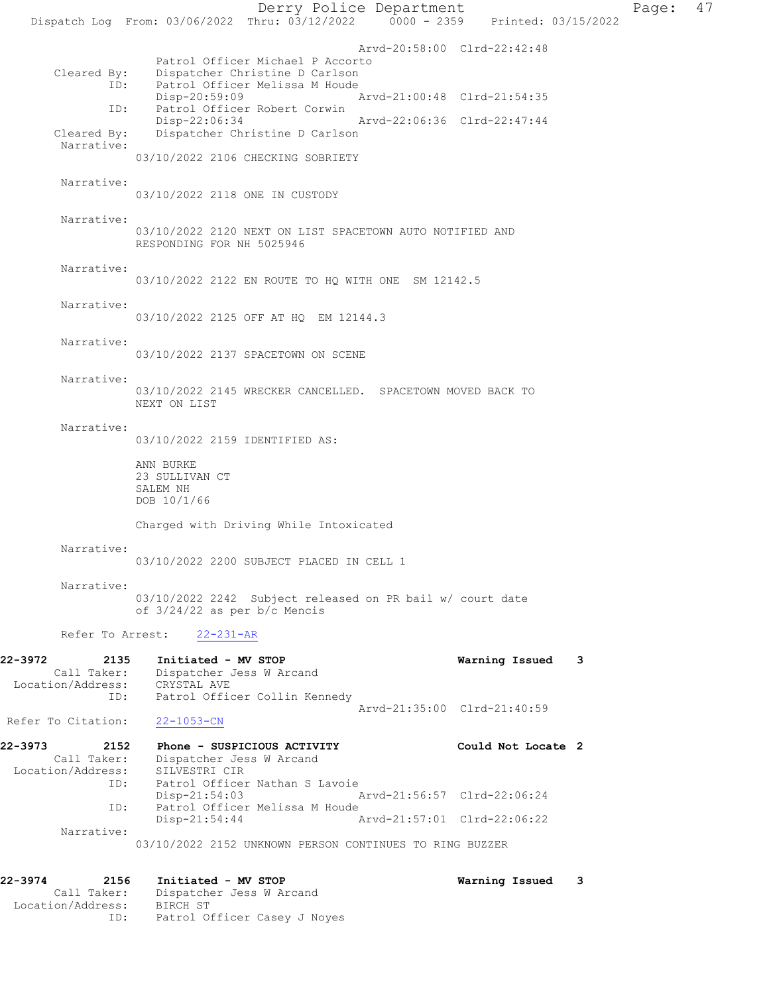Derry Police Department Page: 47 Dispatch Log From: 03/06/2022 Thru: 03/12/2022 0000 - 2359 Printed: 03/15/2022 Arvd-20:58:00 Clrd-22:42:48 Patrol Officer Michael P Accorto<br>Cleared By: Dispatcher Christine D Carlson Dispatcher Christine D Carlson ID: Patrol Officer Melissa M Houde<br>Disp-20:59:09 F Disp-20:59:09 Arvd-21:00:48 Clrd-21:54:35 ID: Patrol Officer Robert Corwin Disp-22:06:34 Arvd-22:06:36 Clrd-22:47:44<br>Cleared By: Dispatcher Christine D Carlson Dispatcher Christine D Carlson Narrative: 03/10/2022 2106 CHECKING SOBRIETY Narrative: 03/10/2022 2118 ONE IN CUSTODY Narrative: 03/10/2022 2120 NEXT ON LIST SPACETOWN AUTO NOTIFIED AND RESPONDING FOR NH 5025946 Narrative: 03/10/2022 2122 EN ROUTE TO HQ WITH ONE SM 12142.5 Narrative: 03/10/2022 2125 OFF AT HQ EM 12144.3 Narrative: 03/10/2022 2137 SPACETOWN ON SCENE Narrative: 03/10/2022 2145 WRECKER CANCELLED. SPACETOWN MOVED BACK TO NEXT ON LIST Narrative: 03/10/2022 2159 IDENTIFIED AS: ANN BURKE 23 SULLIVAN CT SALEM NH DOB 10/1/66 Charged with Driving While Intoxicated Narrative: 03/10/2022 2200 SUBJECT PLACED IN CELL 1 Narrative: 03/10/2022 2242 Subject released on PR bail w/ court date of 3/24/22 as per b/c Mencis Refer To Arrest: 22-231-AR 22-3972 2135 Initiated - MV STOP Warning Issued 3 Call Taker: Dispatcher Jess W Arcand Location/Address: CRYSTAL AVE ID: Patrol Officer Collin Kennedy Arvd-21:35:00 Clrd-21:40:59 Refer To Citation: 22-1053-CN 22-3973 2152 Phone - SUSPICIOUS ACTIVITY Could Not Locate 2 Call Taker: Dispatcher Jess W Arcand Location/Address: SILVESTRI CIR Patrol Officer Nathan S Lavoie<br>Disp-21:54:03 Disp-21:54:03 Arvd-21:56:57 Clrd-22:06:24 ID: Patrol Officer Melissa M Houde<br>Disp-21:54:44 Arvd-21:57:01 Clrd-22:06:22 Narrative: 03/10/2022 2152 UNKNOWN PERSON CONTINUES TO RING BUZZER 22-3974 2156 Initiated - MV STOP Warning Issued 3 Call Taker: Dispatcher Jess W Arcand

Location/Address: BIRCH ST

ID: Patrol Officer Casey J Noyes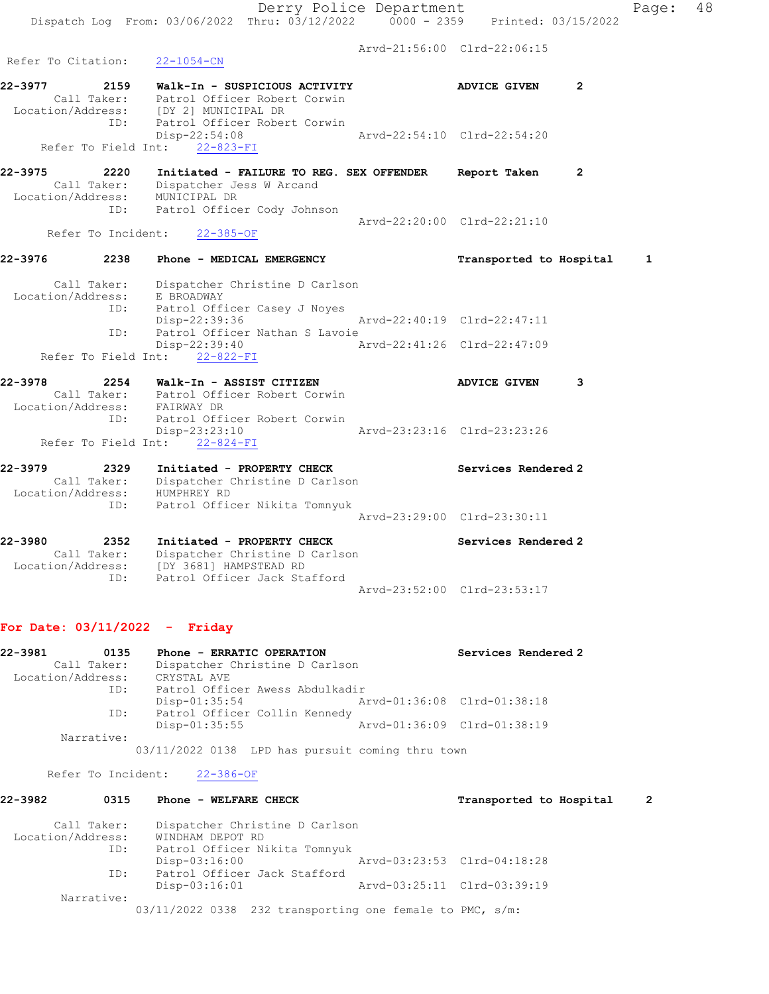Arvd-21:56:00 Clrd-22:06:15

22-3977 2159 Walk-In - SUSPICIOUS ACTIVITY ADVICE GIVEN 2 Call Taker: Patrol Officer Robert Corwin Location/Address: [DY 2] MUNICIPAL DR ID: Patrol Officer Robert Corwin  $Disp-22:54:08$ <br>  $N+1$ <br>  $22-823-FT$ <br>  $N+22-823-FT$ Refer To Field Int: 22-823-FI 22-3975 2220 Initiated - FAILURE TO REG. SEX OFFENDER Report Taken 2 Call Taker: Dispatcher Jess W Arcand Location/Address: MUNICIPAL DR ID: Patrol Officer Cody Johnson Arvd-22:20:00 Clrd-22:21:10 Refer To Incident: 22-385-OF 22-3976 2238 Phone - MEDICAL EMERGENCY Transported to Hospital 1 Call Taker: Dispatcher Christine D Carlson Location/Address: E BROADWAY ID: Patrol Officer Casey J Noyes Disp-22:39:36 Arvd-22:40:19 Clrd-22:47:11 ID: Patrol Officer Nathan S Lavoie<br>Disp-22:39:40 A Disp-22:39:40 Arvd-22:41:26 Clrd-22:47:09 Refer To Field Int: 22-822-FI 22-3978 2254 Walk-In - ASSIST CITIZEN ADVICE GIVEN 3 Call Taker: Patrol Officer Robert Corwin Location/Address: FAIRWAY DR ID: Patrol Officer Robert Corwin Disp-23:23:10 Arvd-23:23:16 Clrd-23:23:26 Refer To Field Int: 22-824-FI 22-3979 2329 Initiated - PROPERTY CHECK Services Rendered 2 Call Taker: Dispatcher Christine D Carlson Location/Address: HUMPHREY RD ID: Patrol Officer Nikita Tomnyuk Arvd-23:29:00 Clrd-23:30:11 22-3980 2352 Initiated - PROPERTY CHECK Services Rendered 2 Call Taker: Dispatcher Christine D Carlson Location/Address: [DY 3681] HAMPSTEAD RD ID: Patrol Officer Jack Stafford

# For Date: 03/11/2022 - Friday

Refer To Citation: 22-1054-CN

| 22-3981<br>0135   | Phone - ERRATIC OPERATION       | Services Rendered 2         |
|-------------------|---------------------------------|-----------------------------|
| Call Taker:       | Dispatcher Christine D Carlson  |                             |
| Location/Address: | CRYSTAL AVE                     |                             |
| ID:               | Patrol Officer Awess Abdulkadir |                             |
|                   | $Disp-01:35:54$                 | Arvd-01:36:08 Clrd-01:38:18 |
| ID:               | Patrol Officer Collin Kennedy   |                             |
|                   | $Disp-01:35:55$                 | Arvd-01:36:09 Clrd-01:38:19 |
| Narrative:        |                                 |                             |
|                   |                                 |                             |

Arvd-23:52:00 Clrd-23:53:17

03/11/2022 0138 LPD has pursuit coming thru town

Refer To Incident: 22-386-OF

# 22-3982 0315 Phone - WELFARE CHECK Transported to Hospital 2

| Call Taker:       | Dispatcher Christine D Carlson                           |  |
|-------------------|----------------------------------------------------------|--|
| Location/Address: | WINDHAM DEPOT RD                                         |  |
| ID:               | Patrol Officer Nikita Tomnyuk                            |  |
|                   | Arvd-03:23:53 Clrd-04:18:28<br>$Disp-03:16:00$           |  |
| ID:               | Patrol Officer Jack Stafford                             |  |
|                   | Arvd-03:25:11 Clrd-03:39:19<br>$Disp-03:16:01$           |  |
| Narrative:        |                                                          |  |
|                   | 03/11/2022 0338 232 transporting one female to PMC, s/m: |  |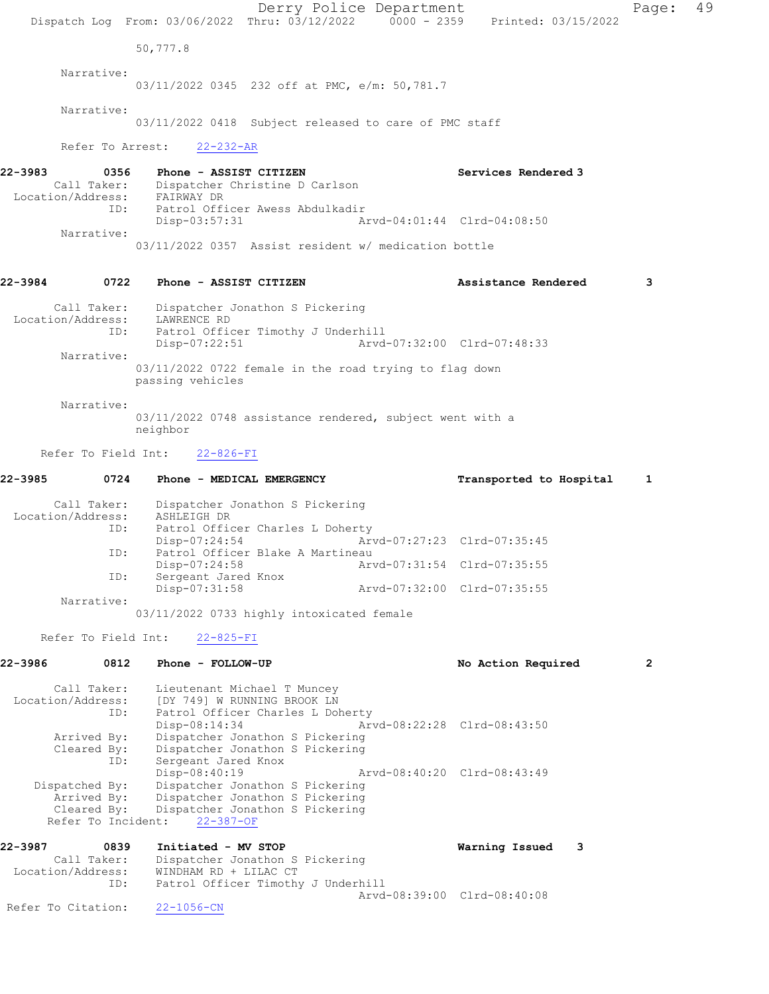Derry Police Department Page: 49 Dispatch Log From: 03/06/2022 Thru: 03/12/2022 0000 - 2359 Printed: 03/15/2022 50,777.8 Narrative: 03/11/2022 0345 232 off at PMC, e/m: 50,781.7 Narrative: 03/11/2022 0418 Subject released to care of PMC staff Refer To Arrest: 22-232-AR 22-3983 0356 Phone - ASSIST CITIZEN Services Rendered 3 Call Taker: Dispatcher Christine D Carlson Location/Address: FAIRWAY DR ID: Patrol Officer Awess Abdulkadir Arvd-04:01:44 Clrd-04:08:50 Narrative: 03/11/2022 0357 Assist resident w/ medication bottle 22-3984 0722 Phone - ASSIST CITIZEN Assistance Rendered 3 Call Taker: Dispatcher Jonathon S Pickering Location/Address: LAWRENCE RD ID: Patrol Officer Timothy J Underhill<br>Disp-07:22:51 Arvd Disp-07:22:51 Arvd-07:32:00 Clrd-07:48:33 Narrative: 03/11/2022 0722 female in the road trying to flag down passing vehicles Narrative: 03/11/2022 0748 assistance rendered, subject went with a neighbor Refer To Field Int: 22-826-FI 22-3985 0724 Phone - MEDICAL EMERGENCY Transported to Hospital 1 Call Taker: Dispatcher Jonathon S Pickering Location/Address: ASHLEIGH DR ID: Patrol Officer Charles L Doherty Disp-07:24:54 Arvd-07:27:23 Clrd-07:35:45 ID: Patrol Officer Blake A Martineau Disp-07:24:58 Arvd-07:31:54 Clrd-07:35:55 ID: Sergeant Jared Knox<br>Disp-07:31:58 Disp-07:31:58 Arvd-07:32:00 Clrd-07:35:55 Narrative: 03/11/2022 0733 highly intoxicated female Refer To Field Int: 22-825-FI 22-3986 0812 Phone - FOLLOW-UP No Action Required 2 Call Taker: Lieutenant Michael T Muncey Location/Address: [DY 749] W RUNNING BROOK LN ID: Patrol Officer Charles L Doherty Disp-08:14:34 Arvd-08:22:28 Clrd-08:43:50 Arrived By: Dispatcher Jonathon S Pickering Cleared By: Dispatcher Jonathon S Pickering ID: Sergeant Jared Knox Disp-08:40:19 Arvd-08:40:20 Clrd-08:43:49 Dispatched By: Dispatcher Jonathon S Pickering Arrived By: Dispatcher Jonathon S Pickering Cleared By: Dispatcher Jonathon S Pickering Refer To Incident: 22-387-OF 22-3987 0839 Initiated - MV STOP Warning Issued 3 Call Taker: Dispatcher Jonathon S Pickering Location/Address: WINDHAM RD + LILAC CT ID: Patrol Officer Timothy J Underhill Arvd-08:39:00 Clrd-08:40:08 Refer To Citation: 22-1056-CN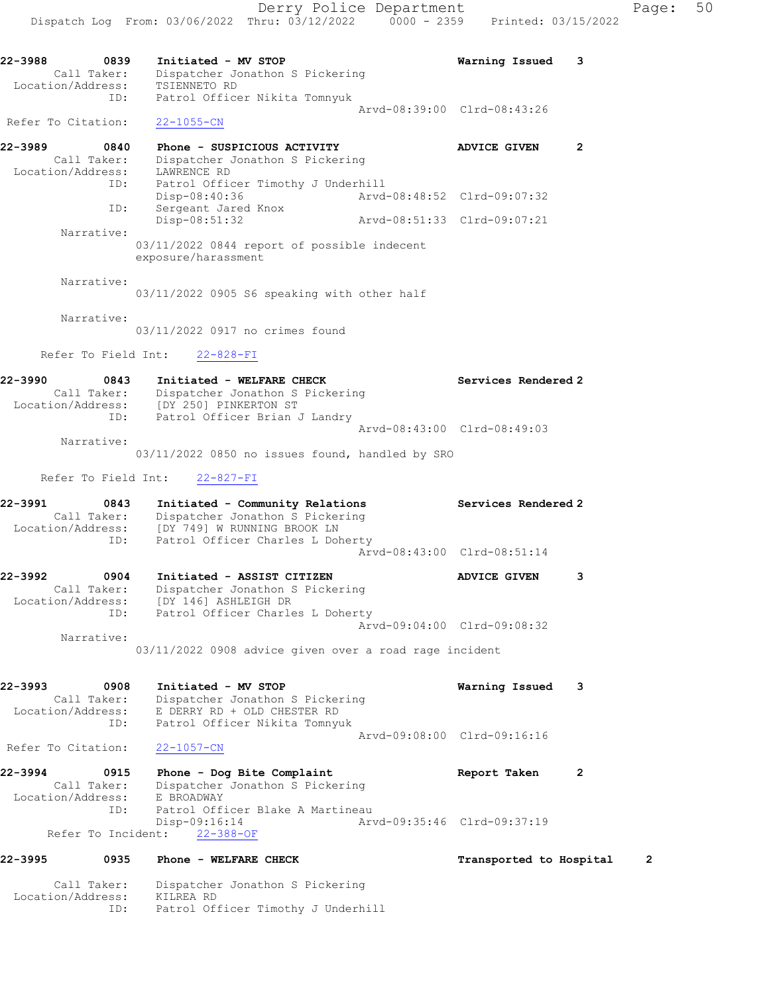22-3988 0839 Initiated - MV STOP Warning Issued 3 Call Taker: Dispatcher Jonathon S Pickering Location/Address: TSIENNETO RD ID: Patrol Officer Nikita Tomnyuk Arvd-08:39:00 Clrd-08:43:26 Refer To Citation: 22-1055-CN 22-3989 0840 Phone - SUSPICIOUS ACTIVITY ADVICE GIVEN 2 Call Taker: Dispatcher Jonathon S Pickering Location/Address: LAWRENCE RD ID: Patrol Officer Timothy J Underhill Disp-08:40:36 Arvd-08:48:52 Clrd-09:07:32 ID: Sergeant Jared Knox Disp-08:51:32 Arvd-08:51:33 Clrd-09:07:21 Narrative: 03/11/2022 0844 report of possible indecent exposure/harassment Narrative: 03/11/2022 0905 S6 speaking with other half Narrative: 03/11/2022 0917 no crimes found Refer To Field Int: 22-828-FI

22-3990 0843 Initiated - WELFARE CHECK Services Rendered 2 Call Taker: Dispatcher Jonathon S Pickering Location/Address: [DY 250] PINKERTON ST ID: Patrol Officer Brian J Landry Arvd-08:43:00 Clrd-08:49:03 Narrative:

03/11/2022 0850 no issues found, handled by SRO

Refer To Field Int: 22-827-FI

22-3991 0843 Initiated - Community Relations Services Rendered 2 Call Taker: Dispatcher Jonathon S Pickering Location/Address: [DY 749] W RUNNING BROOK LN ID: Patrol Officer Charles L Doherty Arvd-08:43:00 Clrd-08:51:14

22-3992 0904 Initiated - ASSIST CITIZEN ADVICE GIVEN 3 Call Taker: Dispatcher Jonathon S Pickering Location/Address: [DY 146] ASHLEIGH DR ID: Patrol Officer Charles L Doherty Arvd-09:04:00 Clrd-09:08:32 Narrative:

03/11/2022 0908 advice given over a road rage incident

22-3993 0908 Initiated - MV STOP Warning Issued 3 Call Taker: Dispatcher Jonathon S Pickering Location/Address: E DERRY RD + OLD CHESTER RD ID: Patrol Officer Nikita Tomnyuk Arvd-09:08:00 Clrd-09:16:16 Refer To Citation: 22-1057-CN

22-3994 0915 Phone - Dog Bite Complaint Report Taken 2 Call Taker: Dispatcher Jonathon S Pickering Location/Address: E BROADWAY ID: Patrol Officer Blake A Martineau Disp-09:16:14 Arvd-09:35:46 Clrd-09:37:19 Refer To Incident: 22-388-OF

# 22-3995 0935 Phone - WELFARE CHECK Transported to Hospital 2

 Call Taker: Dispatcher Jonathon S Pickering Location/Address: KILREA RD ID: Patrol Officer Timothy J Underhill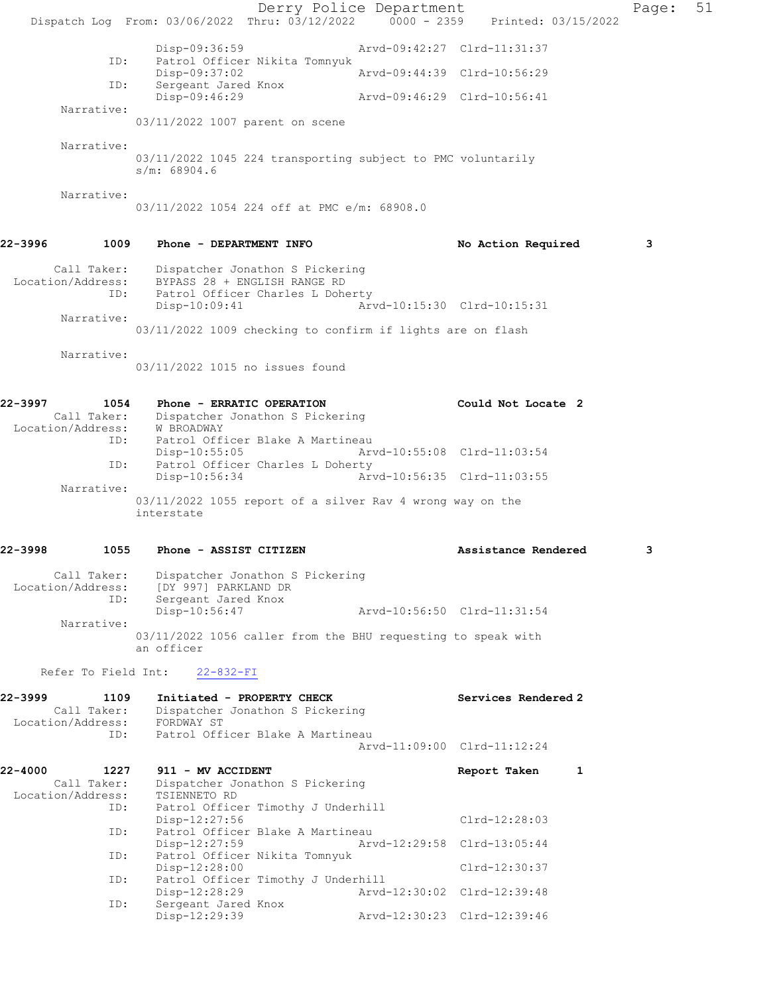Derry Police Department Page: 51 Dispatch Log From: 03/06/2022 Thru: 03/12/2022 0000 - 2359 Printed: 03/15/2022 Disp-09:36:59 Arvd-09:42:27 Clrd-11:31:37<br>ID: Patrol Officer Nikita Tomnyuk ID: Patrol Officer Nikita Tomnyuk Disp-09:37:02 Arvd-09:44:39 Clrd-10:56:29 ID: Sergeant Jared Knox Disp-09:46:29 Arvd-09:46:29 Clrd-10:56:41 Narrative: 03/11/2022 1007 parent on scene Narrative: 03/11/2022 1045 224 transporting subject to PMC voluntarily s/m: 68904.6 Narrative: 03/11/2022 1054 224 off at PMC e/m: 68908.0 22-3996 1009 Phone - DEPARTMENT INFO No Action Required 3 Call Taker: Dispatcher Jonathon S Pickering Location/Address: BYPASS 28 + ENGLISH RANGE RD ID: Patrol Officer Charles L Doherty Disp-10:09:41 Arvd-10:15:30 Clrd-10:15:31 Narrative: 03/11/2022 1009 checking to confirm if lights are on flash Narrative: 03/11/2022 1015 no issues found 22-3997 1054 Phone - ERRATIC OPERATION Could Not Locate 2 Call Taker: Dispatcher Jonathon S Pickering Location/Address: W BROADWAY ID: Patrol Officer Blake A Martineau Disp-10:55:05 Arvd-10:55:08 Clrd-11:03:54 ID: Patrol Officer Charles L Doherty Disp-10:56:34 Arvd-10:56:35 Clrd-11:03:55 Narrative: 03/11/2022 1055 report of a silver Rav 4 wrong way on the interstate 22-3998 1055 Phone - ASSIST CITIZEN Assistance Rendered 3 Call Taker: Dispatcher Jonathon S Pickering Location/Address: [DY 997] PARKLAND DR ID: Sergeant Jared Knox Disp-10:56:47 Arvd-10:56:50 Clrd-11:31:54 Narrative: 03/11/2022 1056 caller from the BHU requesting to speak with an officer Refer To Field Int: 22-832-FI 22-3999 1109 Initiated - PROPERTY CHECK Services Rendered 2 Call Taker: Dispatcher Jonathon S Pickering Location/Address: FORDWAY ST ID: Patrol Officer Blake A Martineau Arvd-11:09:00 Clrd-11:12:24 22-4000 1227 911 - MV ACCIDENT Report Taken 1 Call Taker: Dispatcher Jonathon S Pickering Location/Address: TSIENNETO RD ID: Patrol Officer Timothy J Underhill Disp-12:27:56 Clrd-12:28:03 ID: Patrol Officer Blake A Martineau<br>Disp-12:27:59 Arv Disp-12:27:59 Arvd-12:29:58 Clrd-13:05:44 ID: Patrol Officer Nikita Tomnyuk Disp-12:28:00 Clrd-12:30:37<br>Patrol Officer Timothy J Underhill Clrd-12:30:37 ID: Patrol Officer Timothy J Underhill Disp-12:28:29 Arvd-12:30:02 Clrd-12:39:48 ID: Sergeant Jared Knox Disp-12:29:39 Arvd-12:30:23 Clrd-12:39:46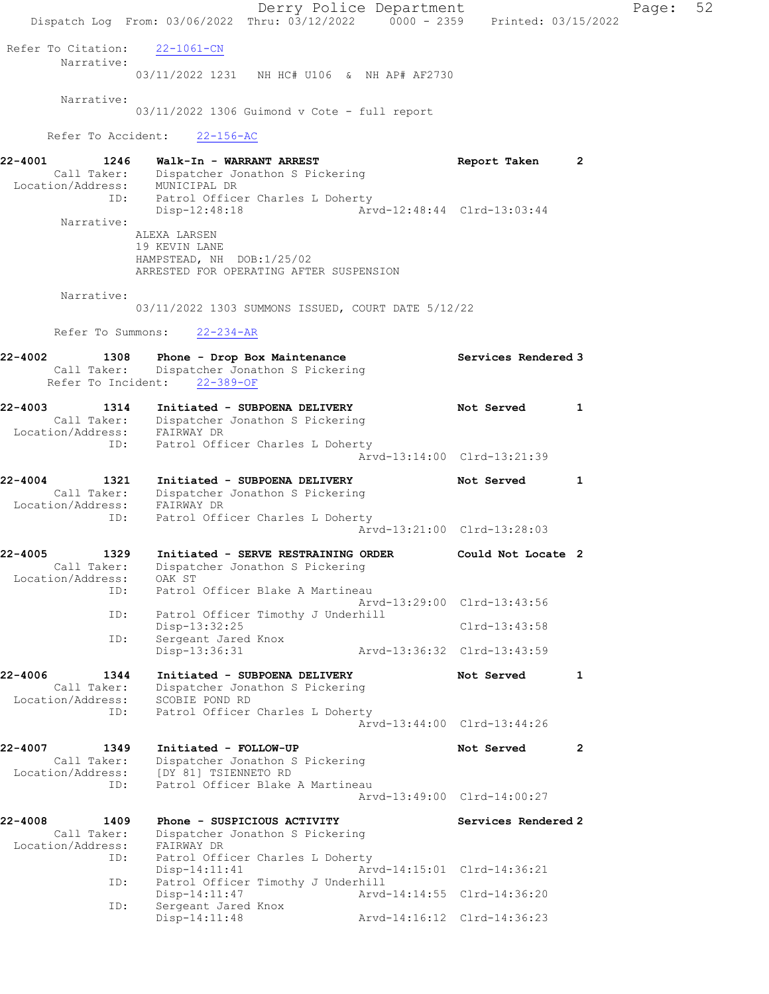Derry Police Department Page: 52 Dispatch Log From: 03/06/2022 Thru: 03/12/2022 0000 - 2359 Printed: 03/15/2022 Refer To Citation: 22-1061-CN Narrative: 03/11/2022 1231 NH HC# U106 & NH AP# AF2730 Narrative: 03/11/2022 1306 Guimond v Cote - full report Refer To Accident: 22-156-AC 22-4001 1246 Walk-In - WARRANT ARREST Report Taken 2 Call Taker: Dispatcher Jonathon S Pickering Location/Address: MUNICIPAL DR ID: Patrol Officer Charles L Doherty Disp-12:48:18 Arvd-12:48:44 Clrd-13:03:44 Narrative: ALEXA LARSEN 19 KEVIN LANE HAMPSTEAD, NH DOB:1/25/02 ARRESTED FOR OPERATING AFTER SUSPENSION Narrative: 03/11/2022 1303 SUMMONS ISSUED, COURT DATE 5/12/22 Refer To Summons: 22-234-AR 22-4002 1308 Phone - Drop Box Maintenance Services Rendered 3 Call Taker: Dispatcher Jonathon S Pickering Refer To Incident: 22-389-OF 22-4003 1314 Initiated - SUBPOENA DELIVERY Not Served 1 Call Taker: Dispatcher Jonathon S Pickering Location/Address: FAIRWAY DR ID: Patrol Officer Charles L Doherty Arvd-13:14:00 Clrd-13:21:39 22-4004 1321 Initiated - SUBPOENA DELIVERY Not Served 1 Call Taker: Dispatcher Jonathon S Pickering Location/Address: FAIRWAY DR ID: Patrol Officer Charles L Doherty Arvd-13:21:00 Clrd-13:28:03 22-4005 1329 Initiated - SERVE RESTRAINING ORDER Could Not Locate 2 Call Taker: Dispatcher Jonathon S Pickering Location/Address: OAK ST ID: Patrol Officer Blake A Martineau Arvd-13:29:00 Clrd-13:43:56 ID: Patrol Officer Timothy J Underhill Disp-13:32:25 Clrd-13:43:58 ID: Sergeant Jared Knox<br>Disp-13:36:31 Disp-13:36:31 Arvd-13:36:32 Clrd-13:43:59 22-4006 1344 Initiated - SUBPOENA DELIVERY Not Served 1 Call Taker: Dispatcher Jonathon S Pickering Location/Address: SCOBIE POND RD ID: Patrol Officer Charles L Doherty Arvd-13:44:00 Clrd-13:44:26 22-4007 1349 Initiated - FOLLOW-UP Not Served 2 Call Taker: Dispatcher Jonathon S Pickering Location/Address: [DY 81] TSIENNETO RD ID: Patrol Officer Blake A Martineau Arvd-13:49:00 Clrd-14:00:27 22-4008 1409 Phone - SUSPICIOUS ACTIVITY Services Rendered 2 Call Taker: Dispatcher Jonathon S Pickering Location/Address: FAIRWAY DR ID: Patrol Officer Charles L Doherty Disp-14:11:41 Arvd-14:15:01 Clrd-14:36:21 ID: Patrol Officer Timothy J Underhill Disp-14:11:47 Arvd-14:14:55 Clrd-14:36:20 ID: Sergeant Jared Knox Disp-14:11:48 Arvd-14:16:12 Clrd-14:36:23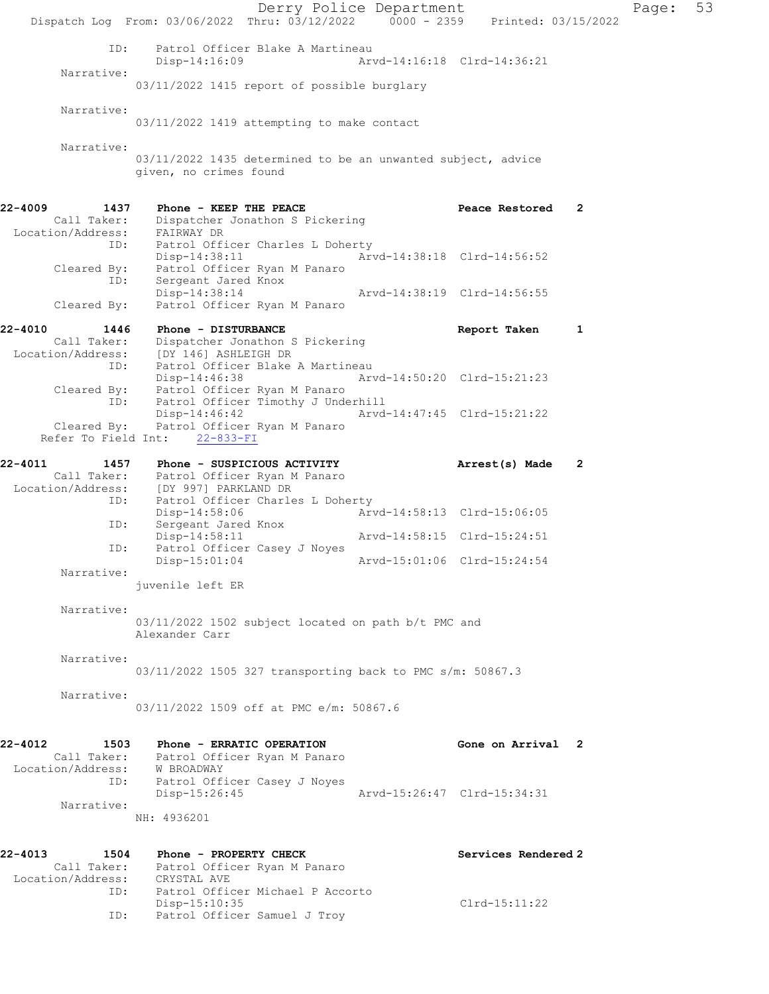Derry Police Department Fage: 53 Dispatch Log From: 03/06/2022 Thru: 03/12/2022 0000 - 2359 Printed: 03/15/2022 ID: Patrol Officer Blake A Martineau<br>Disp-14:16:09 Arv Disp-14:16:09 Arvd-14:16:18 Clrd-14:36:21 Narrative: 03/11/2022 1415 report of possible burglary Narrative: 03/11/2022 1419 attempting to make contact Narrative: 03/11/2022 1435 determined to be an unwanted subject, advice given, no crimes found 22-4009 1437 Phone - KEEP THE PEACE Peace Restored 2 Call Taker: Dispatcher Jonathon S Pickering Location/Address: FAIRWAY DR ID: Patrol Officer Charles L Doherty  $A\overset{\cdot}{\ }$   $\text{Nvd-14:38:18}$  Clrd-14:56:52 Cleared By: Patrol Officer Ryan M Panaro ID: Sergeant Jared Knox Disp-14:38:14 Arvd-14:38:19 Clrd-14:56:55 Cleared By: Patrol Officer Ryan M Panaro 22-4010 1446 Phone - DISTURBANCE Report Taken 1 Call Taker: Dispatcher Jonathon S Pickering Location/Address: [DY 146] ASHLEIGH DR ID: Patrol Officer Blake A Martineau Disp-14:46:38 Arvd-14:50:20 Clrd-15:21:23 Cleared By: Patrol Officer Ryan M Panaro ID: Patrol Officer Timothy J Underhill Disp-14:46:42 Arvd-14:47:45 Clrd-15:21:22 Cleared By: Patrol Officer Ryan M Panaro Refer To Field Int: 22-833-FI 22-4011 1457 Phone - SUSPICIOUS ACTIVITY Arrest(s) Made 2 Call Taker: Patrol Officer Ryan M Panaro Location/Address: [DY 997] PARKLAND DR ID: Patrol Officer Charles L Doherty<br>Disp-14:58:06 Arv Arvd-14:58:13 Clrd-15:06:05 ID: Sergeant Jared Knox<br>Disp-14:58:11 Arvd-14:58:15 Clrd-15:24:51 ID: Patrol Officer Casey J Noyes<br>Disp-15:01:04 Disp-15:01:04 Arvd-15:01:06 Clrd-15:24:54 Narrative: juvenile left ER Narrative: 03/11/2022 1502 subject located on path b/t PMC and Alexander Carr Narrative: 03/11/2022 1505 327 transporting back to PMC s/m: 50867.3 Narrative: 03/11/2022 1509 off at PMC e/m: 50867.6 22-4012 1503 Phone - ERRATIC OPERATION 1980 Cone on Arrival 2 Call Taker: Patrol Officer Ryan M Panaro Location/Address: W BROADWAY ID: Patrol Officer Casey J Noyes Disp-15:26:45 Arvd-15:26:47 Clrd-15:34:31 Narrative: NH: 4936201 22-4013 1504 Phone - PROPERTY CHECK Services Rendered 2 Call Taker: Patrol Officer Ryan M Panaro Location/Address: CRYSTAL AVE ID: Patrol Officer Michael P Accorto Disp-15:10:35 Clrd-15:11:22 ID: Patrol Officer Samuel J Troy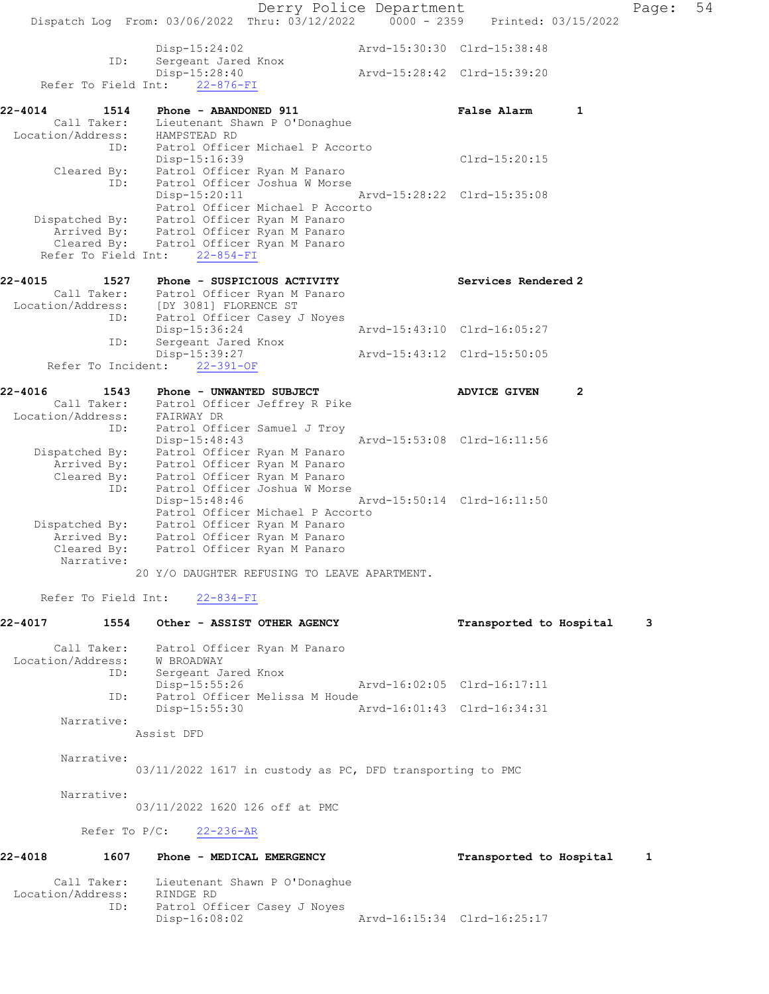Derry Police Department Fage: 54 Dispatch Log From: 03/06/2022 Thru: 03/12/2022 0000 - 2359 Printed: 03/15/2022 Disp-15:24:02 Arvd-15:30:30 Clrd-15:38:48 ID: Sergeant Jared Knox Disp-15:28:40 Arvd-15:28:42 Clrd-15:39:20 Refer To Field Int: 22-876-FI 22-4014 1514 Phone - ABANDONED 911 False Alarm 1 Call Taker: Lieutenant Shawn P O'Donaghue Location/Address: HAMPSTEAD RD ID: Patrol Officer Michael P Accorto Disp-15:16:39 Clrd-15:20:15 Cleared By: Patrol Officer Ryan M Panaro ID: Patrol Officer Joshua W Morse Disp-15:20:11 Arvd-15:28:22 Clrd-15:35:08 Patrol Officer Michael P Accorto Dispatched By: Patrol Officer Ryan M Panaro Arrived By: Patrol Officer Ryan M Panaro Cleared By: Patrol Officer Ryan M Panaro Refer To Field Int: 22-854-FI 22-4015 1527 Phone - SUSPICIOUS ACTIVITY Services Rendered 2 Call Taker: Patrol Officer Ryan M Panaro Location/Address: [DY 3081] FLORENCE ST ID: Patrol Officer Casey J Noyes Disp-15:36:24 Arvd-15:43:10 Clrd-16:05:27 ID: Sergeant Jared Knox Disp-15:39:27 Arvd-15:43:12 Clrd-15:50:05 Refer To Incident: 22-391-OF 22-4016 1543 Phone - UNWANTED SUBJECT ADVICE GIVEN 2 Call Taker: Patrol Officer Jeffrey R Pike Location/Address: FAIRWAY DR ID: Patrol Officer Samuel J Troy Disp-15:48:43 Arvd-15:53:08 Clrd-16:11:56 Dispatched By: Patrol Officer Ryan M Panaro Arrived By: Patrol Officer Ryan M Panaro Cleared By: Patrol Officer Ryan M Panaro ID: Patrol Officer Joshua W Morse Disp-15:48:46 Arvd-15:50:14 Clrd-16:11:50 Patrol Officer Michael P Accorto Dispatched By: Patrol Officer Ryan M Panaro Arrived By: Patrol Officer Ryan M Panaro Cleared By: Patrol Officer Ryan M Panaro Narrative: 20 Y/O DAUGHTER REFUSING TO LEAVE APARTMENT. Refer To Field Int: 22-834-FI 22-4017 1554 Other - ASSIST OTHER AGENCY Transported to Hospital 3 Call Taker: Patrol Officer Ryan M Panaro Location/Address: W BROADWAY ID: Sergeant Jared Knox Disp-15:55:26 Arvd-16:02:05 Clrd-16:17:11 ID: Patrol Officer Melissa M Houde<br>Disp-15:55:30 A: Disp-15:55:30 Arvd-16:01:43 Clrd-16:34:31 Narrative: Assist DFD Narrative: 03/11/2022 1617 in custody as PC, DFD transporting to PMC Narrative: 03/11/2022 1620 126 off at PMC Refer To P/C: 22-236-AR 22-4018 1607 Phone - MEDICAL EMERGENCY TRANSPORTED to Hospital 1 Call Taker: Lieutenant Shawn P O'Donaghue Location/Address: RINDGE RD ID: Patrol Officer Casey J Noyes Disp-16:08:02 Arvd-16:15:34 Clrd-16:25:17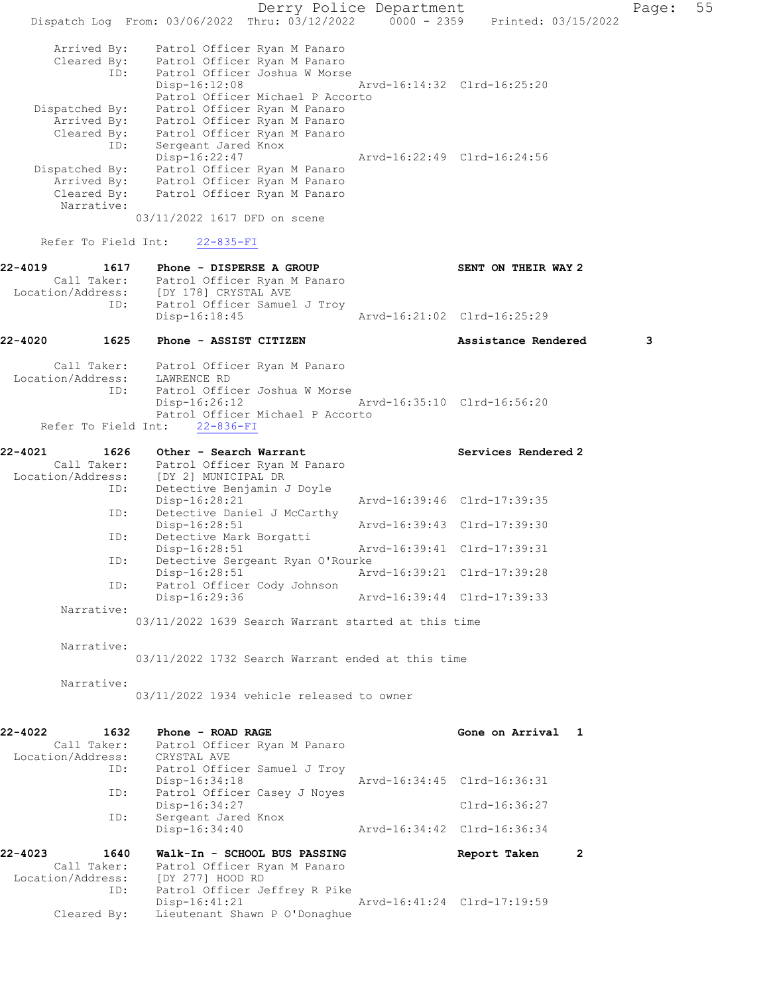Derry Police Department Page: 55 Dispatch Log From: 03/06/2022 Thru: 03/12/2022 0000 - 2359 Printed: 03/15/2022 Arrived By: Patrol Officer Ryan M Panaro Cleared By: Patrol Officer Ryan M Panaro ID: Patrol Officer Joshua W Morse Disp-16:12:08 Arvd-16:14:32 Clrd-16:25:20 Patrol Officer Michael P Accorto Dispatched By: Patrol Officer Ryan M Panaro Arrived By: Patrol Officer Ryan M Panaro Cleared By: Patrol Officer Ryan M Panaro ID: Sergeant Jared Knox Disp-16:22:47 Arvd-16:22:49 Clrd-16:24:56 Dispatched By: Patrol Officer Ryan M Panaro Arrived By: Patrol Officer Ryan M Panaro Cleared By: Patrol Officer Ryan M Panaro Narrative: 03/11/2022 1617 DFD on scene Refer To Field Int: 22-835-FI 22-4019 1617 Phone - DISPERSE A GROUP SENT ON THEIR WAY 2 Call Taker: Patrol Officer Ryan M Panaro Location/Address: [DY 178] CRYSTAL AVE ID: Patrol Officer Samuel J Troy Disp-16:18:45 Arvd-16:21:02 Clrd-16:25:29 22-4020 1625 Phone - ASSIST CITIZEN Assistance Rendered 3 Call Taker: Patrol Officer Ryan M Panaro Location/Address: LAWRENCE RD ID: Patrol Officer Joshua W Morse Disp-16:26:12 Arvd-16:35:10 Clrd-16:56:20 Patrol Officer Michael P Accorto Refer To Field Int: 22-836-FI 22-4021 1626 Other - Search Warrant 120 Services Rendered 2 Call Taker: Patrol Officer Ryan M Panaro Location/Address: [DY 2] MUNICIPAL DR ID: Detective Benjamin J Doyle Disp-16:28:21 Arvd-16:39:46 Clrd-17:39:35 ID: Detective Daniel J McCarthy<br>Disp-16:28:51 Disp-16:28:51 Arvd-16:39:43 Clrd-17:39:30<br>ID: Detective Mark Borgatti Detective Mark Borgatti Disp-16:28:51 Arvd-16:39:41 Clrd-17:39:31 ID: Detective Sergeant Ryan O'Rourke<br>Disp-16:28:51 Art Disp-16:28:51 Arvd-16:39:21 Clrd-17:39:28 ID: Patrol Officer Cody Johnson<br>Disp-16:29:36 Disp-16:29:36 Arvd-16:39:44 Clrd-17:39:33 Narrative: 03/11/2022 1639 Search Warrant started at this time Narrative: 03/11/2022 1732 Search Warrant ended at this time Narrative: 03/11/2022 1934 vehicle released to owner 22-4022 1632 Phone - ROAD RAGE **Gone on Arrival** 1 Call Taker: Patrol Officer Ryan M Panaro Location/Address: CRYSTAL AVE ID: Patrol Officer Samuel J Troy Disp-16:34:18 Arvd-16:34:45 Clrd-16:36:31 ID: Patrol Officer Casey J Noyes Disp-16:34:27 Clrd-16:36:27 ID: Sergeant Jared Knox Disp-16:34:40 Arvd-16:34:42 Clrd-16:36:34 22-4023 1640 Walk-In - SCHOOL BUS PASSING Report Taken 2 Call Taker: Patrol Officer Ryan M Panaro Location/Address: [DY 277] HOOD RD ID: Patrol Officer Jeffrey R Pike Disp-16:41:21 Arvd-16:41:24 Clrd-17:19:59 Cleared By: Lieutenant Shawn P O'Donaghue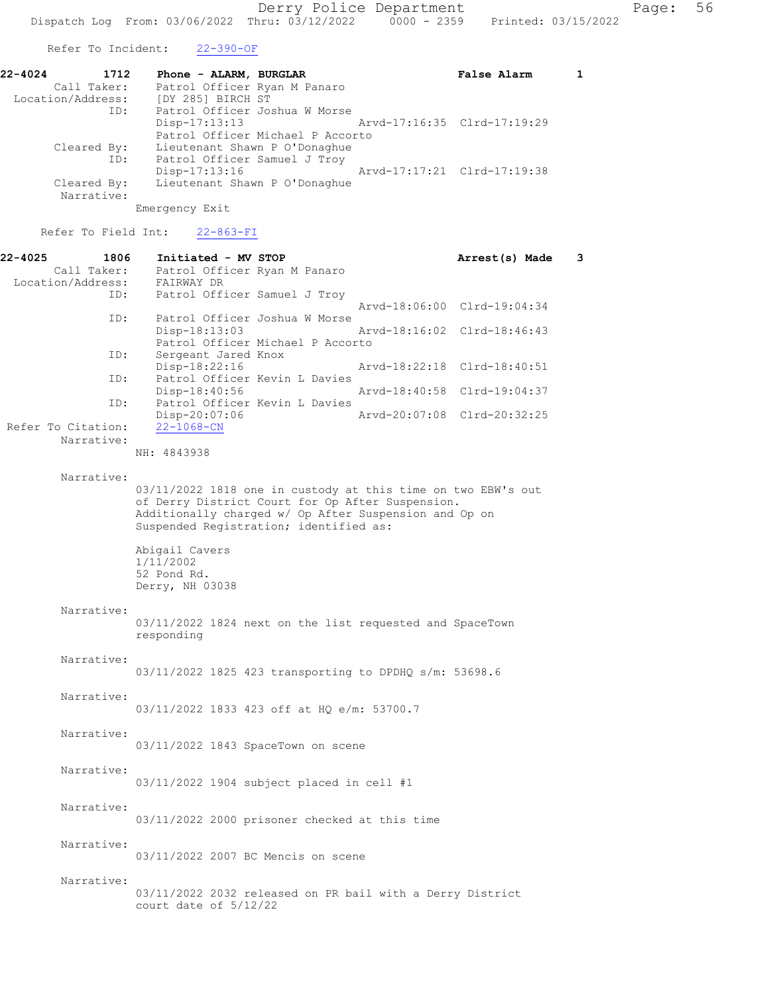Refer To Incident: 22-390-OF

| 22-4024<br>1712<br>Call Taker: | Phone - ALARM, BURGLAR<br>Patrol Officer Ryan M Panaro                                                                                   | False Alarm                 |  |
|--------------------------------|------------------------------------------------------------------------------------------------------------------------------------------|-----------------------------|--|
| Location/Address:<br>ID:       | [DY 285] BIRCH ST<br>Patrol Officer Joshua W Morse<br>$Disp-17:13:13$<br>Arvd-17:16:35 Clrd-17:19:29<br>Patrol Officer Michael P Accorto |                             |  |
| Cleared By:<br>ID:             | Lieutenant Shawn P O'Donaghue<br>Patrol Officer Samuel J Troy<br>Disp-17:13:16                                                           | Arvd-17:17:21 Clrd-17:19:38 |  |
| Cleared By:<br>Narrative:      | Lieutenant Shawn P O'Donaghue<br>Emergency Exit                                                                                          |                             |  |

Refer To Field Int: 22-863-FI

| $22 - 4025$ | 1806                             | Initiated - MV STOP                                                                                                                                                                                                 | Arrest(s) Made              | 3 |
|-------------|----------------------------------|---------------------------------------------------------------------------------------------------------------------------------------------------------------------------------------------------------------------|-----------------------------|---|
|             | Call Taker:<br>Location/Address: | Patrol Officer Ryan M Panaro<br>FAIRWAY DR                                                                                                                                                                          |                             |   |
|             | ID:                              | Patrol Officer Samuel J Troy                                                                                                                                                                                        |                             |   |
|             | ID:                              | Patrol Officer Joshua W Morse                                                                                                                                                                                       | Arvd-18:06:00 Clrd-19:04:34 |   |
|             |                                  | Disp-18:13:03<br>Patrol Officer Michael P Accorto                                                                                                                                                                   | Arvd-18:16:02 Clrd-18:46:43 |   |
|             | ID:                              | Sergeant Jared Knox                                                                                                                                                                                                 |                             |   |
|             | ID:                              | Disp-18:22:16<br>Patrol Officer Kevin L Davies                                                                                                                                                                      | Arvd-18:22:18 Clrd-18:40:51 |   |
|             | ID:                              | Disp-18:40:56<br>Patrol Officer Kevin L Davies                                                                                                                                                                      | Arvd-18:40:58 Clrd-19:04:37 |   |
|             |                                  | Disp-20:07:06                                                                                                                                                                                                       | Arvd-20:07:08 Clrd-20:32:25 |   |
|             | Refer To Citation:<br>Narrative: | $22 - 1068 - CN$                                                                                                                                                                                                    |                             |   |
|             |                                  | NH: 4843938                                                                                                                                                                                                         |                             |   |
|             | Narrative:                       |                                                                                                                                                                                                                     |                             |   |
|             |                                  | 03/11/2022 1818 one in custody at this time on two EBW's out<br>of Derry District Court for Op After Suspension.<br>Additionally charged w/ Op After Suspension and Op on<br>Suspended Registration; identified as: |                             |   |
|             |                                  | Abigail Cavers<br>1/11/2002<br>52 Pond Rd.<br>Derry, NH 03038                                                                                                                                                       |                             |   |
|             | Narrative:                       | 03/11/2022 1824 next on the list requested and SpaceTown<br>responding                                                                                                                                              |                             |   |
|             | Narrative:                       |                                                                                                                                                                                                                     |                             |   |
|             |                                  | 03/11/2022 1825 423 transporting to DPDHQ s/m: 53698.6                                                                                                                                                              |                             |   |
|             |                                  |                                                                                                                                                                                                                     |                             |   |
|             | Narrative:                       | 03/11/2022 1833 423 off at HQ e/m: 53700.7                                                                                                                                                                          |                             |   |
|             | Narrative:                       |                                                                                                                                                                                                                     |                             |   |
|             |                                  | 03/11/2022 1843 SpaceTown on scene                                                                                                                                                                                  |                             |   |
|             |                                  |                                                                                                                                                                                                                     |                             |   |
|             | Narrative:                       | 03/11/2022 1904 subject placed in cell #1                                                                                                                                                                           |                             |   |
|             |                                  |                                                                                                                                                                                                                     |                             |   |
|             | Narrative:                       | 03/11/2022 2000 prisoner checked at this time                                                                                                                                                                       |                             |   |
|             |                                  |                                                                                                                                                                                                                     |                             |   |
|             | Narrative:                       | 03/11/2022 2007 BC Mencis on scene                                                                                                                                                                                  |                             |   |
|             | Narrative:                       |                                                                                                                                                                                                                     |                             |   |
|             |                                  | 03/11/2022 2032 released on PR bail with a Derry District<br>court date of $5/12/22$                                                                                                                                |                             |   |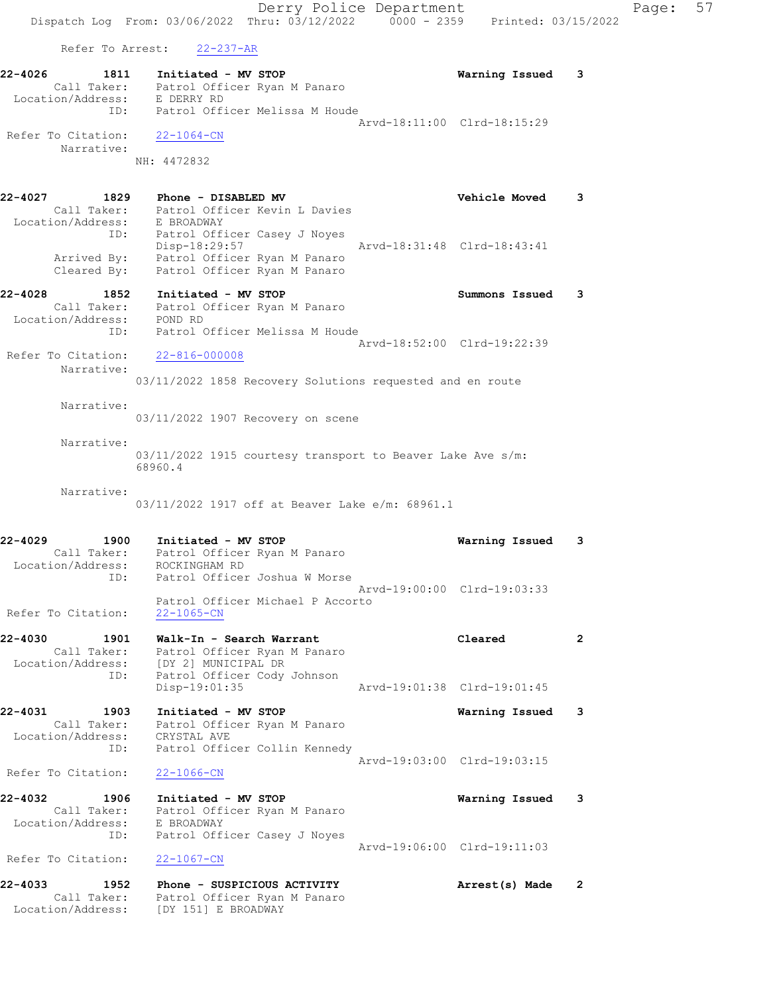Derry Police Department Form Page: 57 Dispatch Log From: 03/06/2022 Thru: 03/12/2022 0000 - 2359 Printed: 03/15/2022 Refer To Arrest: 22-237-AR 22-4026 1811 Initiated - MV STOP Warning Issued 3 Call Taker: Patrol Officer Ryan M Panaro Location/Address: E DERRY RD ID: Patrol Officer Melissa M Houde Arvd-18:11:00 Clrd-18:15:29 Refer To Citation: 22-1064-CN Narrative: NH: 4472832 22-4027 1829 Phone - DISABLED MV Vehicle Moved 3 Call Taker: Patrol Officer Kevin L Davies Location/Address: E BROADWAY ID: Patrol Officer Casey J Noyes Disp-18:29:57 Arvd-18:31:48 Clrd-18:43:41 Arrived By: Patrol Officer Ryan M Panaro Cleared By: Patrol Officer Ryan M Panaro 22-4028 1852 Initiated - MV STOP Summons Issued 3 Call Taker: Patrol Officer Ryan M Panaro Location/Address: POND RD ID: Patrol Officer Melissa M Houde Arvd-18:52:00 Clrd-19:22:39 Refer To Citation: 22-816-000008 Narrative: 03/11/2022 1858 Recovery Solutions requested and en route Narrative: 03/11/2022 1907 Recovery on scene Narrative: 03/11/2022 1915 courtesy transport to Beaver Lake Ave s/m: 68960.4 Narrative: 03/11/2022 1917 off at Beaver Lake e/m: 68961.1 22-4029 1900 Initiated - MV STOP Warning Issued 3 Call Taker: Patrol Officer Ryan M Panaro Location/Address: ROCKINGHAM RD ID: Patrol Officer Joshua W Morse Arvd-19:00:00 Clrd-19:03:33 Patrol Officer Michael P Accorto Refer To Citation: 22-1065-CN 22-4030 1901 Walk-In - Search Warrant Cleared 2 Call Taker: Patrol Officer Ryan M Panaro Location/Address: [DY 2] MUNICIPAL DR ID: Patrol Officer Cody Johnson Disp-19:01:35 Arvd-19:01:38 Clrd-19:01:45 22-4031 1903 Initiated - MV STOP Warning Issued 3 Call Taker: Patrol Officer Ryan M Panaro Location/Address: CRYSTAL AVE ID: Patrol Officer Collin Kennedy Arvd-19:03:00 Clrd-19:03:15 Refer To Citation: 22-1066-CN 22-4032 1906 Initiated - MV STOP Warning Issued 3 Call Taker: Patrol Officer Ryan M Panaro Location/Address: E BROADWAY ID: Patrol Officer Casey J Noyes Arvd-19:06:00 Clrd-19:11:03 Refer To Citation: 22-1067-CN 22-4033 1952 Phone - SUSPICIOUS ACTIVITY Arrest(s) Made 2 Call Taker: Patrol Officer Ryan M Panaro Location/Address: [DY 151] E BROADWAY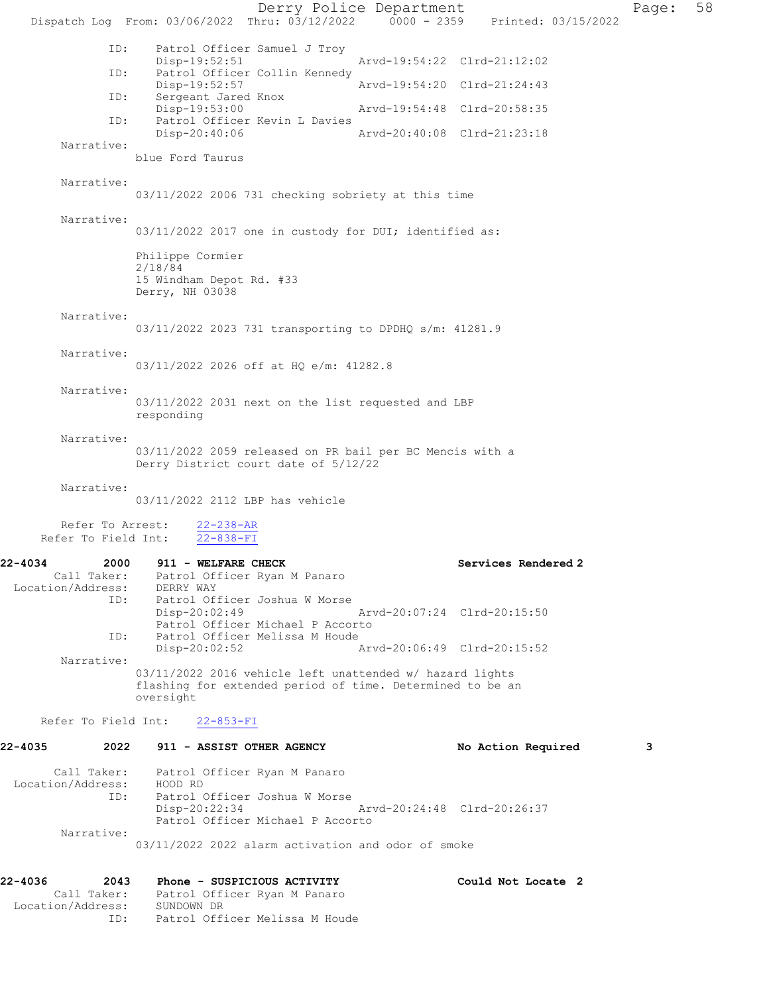Derry Police Department Page: 58 Dispatch Log From: 03/06/2022 Thru: 03/12/2022 0000 - 2359 Printed: 03/15/2022 ID: Patrol Officer Samuel J Troy Disp-19:52:51 Arvd-19:54:22 Clrd-21:12:02 ID: Patrol Officer Collin Kennedy Disp-19:52:57 Arvd-19:54:20 Clrd-21:24:43<br>ID: Sergeant Jared Knox Sergeant Jared Knox<br>Disp-19:53:00 Disp-19:53:00 Arvd-19:54:48 Clrd-20:58:35 ID: Patrol Officer Kevin L Davies<br>Disp-20:40:06 Disp-20:40:06 Arvd-20:40:08 Clrd-21:23:18 Narrative: blue Ford Taurus Narrative: 03/11/2022 2006 731 checking sobriety at this time Narrative: 03/11/2022 2017 one in custody for DUI; identified as: Philippe Cormier 2/18/84 15 Windham Depot Rd. #33 Derry, NH 03038 Narrative: 03/11/2022 2023 731 transporting to DPDHQ s/m: 41281.9 Narrative: 03/11/2022 2026 off at HQ e/m: 41282.8 Narrative: 03/11/2022 2031 next on the list requested and LBP responding Narrative: 03/11/2022 2059 released on PR bail per BC Mencis with a Derry District court date of 5/12/22 Narrative: 03/11/2022 2112 LBP has vehicle Refer To Arrest:  $22-238-AR$ <br>Fer To Field Int:  $22-838-FI$ Refer To Field Int: 22-4034 2000 911 - WELFARE CHECK Services Rendered 2 Call Taker: Patrol Officer Ryan M Panaro<br>on/Address: DERRY WAY Location/Address:<br>ID: Patrol Officer Joshua W Morse<br>Disp-20:02:49 Disp-20:02:49 Arvd-20:07:24 Clrd-20:15:50 Patrol Officer Michael P Accorto<br>ID: Patrol Officer Melissa M Houde Patrol Officer Melissa M Houde<br>Disp-20:02:52 / Disp-20:02:52 Arvd-20:06:49 Clrd-20:15:52 Narrative: 03/11/2022 2016 vehicle left unattended w/ hazard lights flashing for extended period of time. Determined to be an oversight Refer To Field Int: 22-853-FI 22-4035 2022 911 - ASSIST OTHER AGENCY No Action Required 3 Call Taker: Patrol Officer Ryan M Panaro<br>ion/Address: HOOD RD Location/Address: ID: Patrol Officer Joshua W Morse Disp-20:22:34 Arvd-20:24:48 Clrd-20:26:37 Patrol Officer Michael P Accorto Narrative: 03/11/2022 2022 alarm activation and odor of smoke 22-4036 2043 Phone - SUSPICIOUS ACTIVITY Could Not Locate 2 Patrol Officer Ryan M Panaro Call Taker: Patrol Off<br>Location/Address: SUNDOWN DR<br>ID: Patrol Off Patrol Officer Melissa M Houde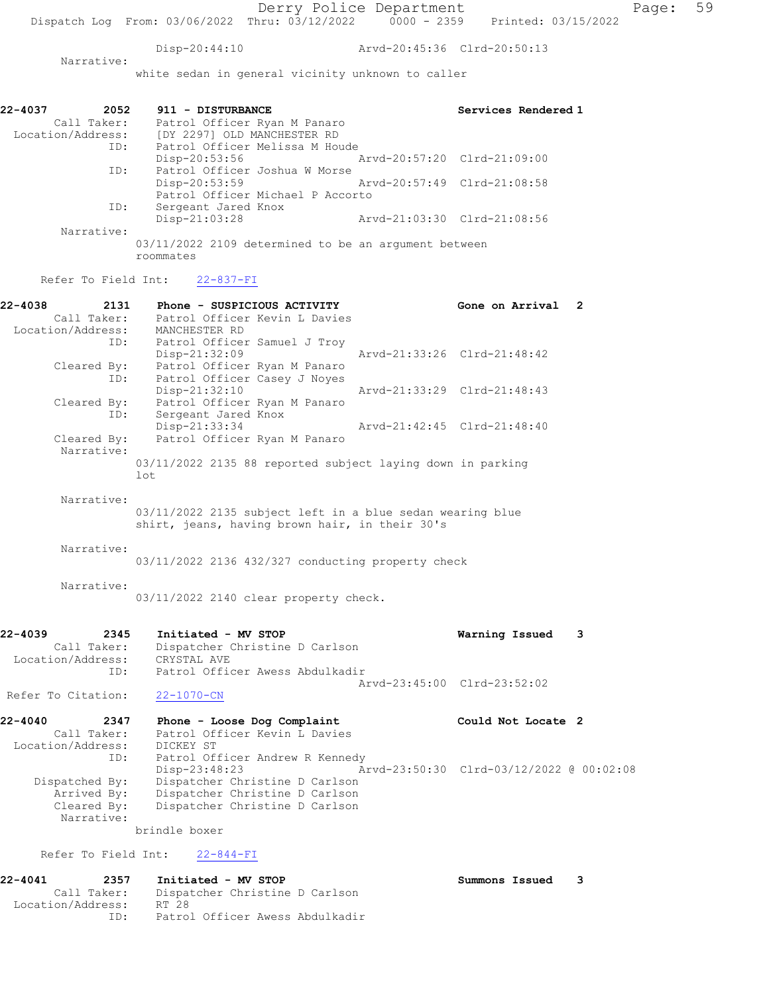Disp-20:44:10 Arvd-20:45:36 Clrd-20:50:13

 Narrative: white sedan in general vicinity unknown to caller

| 22-4037<br>2052<br>Call Taker:<br>Location/Address: | 911 - DISTURBANCE<br>Patrol Officer Ryan M Panaro<br>[DY 2297] OLD MANCHESTER RD |                             | Services Rendered 1 |
|-----------------------------------------------------|----------------------------------------------------------------------------------|-----------------------------|---------------------|
| ID:                                                 | Patrol Officer Melissa M Houde                                                   |                             |                     |
|                                                     | Disp-20:53:56                                                                    | Arvd-20:57:20 Clrd-21:09:00 |                     |
| ID:                                                 | Patrol Officer Joshua W Morse                                                    |                             |                     |
|                                                     | Disp-20:53:59                                                                    | Arvd-20:57:49 Clrd-21:08:58 |                     |
|                                                     | Patrol Officer Michael P Accorto                                                 |                             |                     |
| ID:                                                 | Sergeant Jared Knox                                                              |                             |                     |
|                                                     | $Disp-21:03:28$                                                                  | Arvd-21:03:30 Clrd-21:08:56 |                     |
| Narrative:                                          |                                                                                  |                             |                     |
|                                                     | 03/11/2022 2109 determined to be an argument between<br>roommates                |                             |                     |

Refer To Field Int: 22-837-FI

| 22-4038 | 2131        | Phone - SUSPICIOUS ACTIVITY                                |                             | Gone on Arrival | $\overline{2}$ |
|---------|-------------|------------------------------------------------------------|-----------------------------|-----------------|----------------|
|         | Call Taker: | Patrol Officer Kevin L Davies                              |                             |                 |                |
|         |             | Location/Address: MANCHESTER RD                            |                             |                 |                |
|         |             | ID: Patrol Officer Samuel J Troy                           |                             |                 |                |
|         |             | $Disp-21:32:09$                                            | Arvd-21:33:26 Clrd-21:48:42 |                 |                |
|         | Cleared By: | Patrol Officer Ryan M Panaro                               |                             |                 |                |
|         | ID:         | Patrol Officer Casey J Noyes                               |                             |                 |                |
|         |             | $Disp-21:32:10$                                            | Arvd-21:33:29 Clrd-21:48:43 |                 |                |
|         | Cleared By: | Patrol Officer Ryan M Panaro                               |                             |                 |                |
|         | ID:         | Sergeant Jared Knox                                        |                             |                 |                |
|         |             | Disp-21:33:34                                              | Arvd-21:42:45 Clrd-21:48:40 |                 |                |
|         | Cleared By: | Patrol Officer Ryan M Panaro                               |                             |                 |                |
|         | Narrative:  |                                                            |                             |                 |                |
|         |             | 03/11/2022 2135 88 reported subject laying down in parking |                             |                 |                |
|         |             | lot                                                        |                             |                 |                |
|         |             |                                                            |                             |                 |                |
|         | Narrative:  |                                                            |                             |                 |                |
|         |             | 03/11/2022 2135 subject left in a blue sedan wearing blue  |                             |                 |                |
|         |             | shirt, jeans, having brown hair, in their 30's             |                             |                 |                |
|         |             |                                                            |                             |                 |                |
|         | Narrative:  |                                                            |                             |                 |                |
|         |             | 03/11/2022 2136 432/327 conducting property check          |                             |                 |                |
|         |             |                                                            |                             |                 |                |
|         | Narrative:  |                                                            |                             |                 |                |

03/11/2022 2140 clear property check.

| $22 - 4039$ | 2345              | Initiated - MV STOP             | Warning Issued 3            |  |
|-------------|-------------------|---------------------------------|-----------------------------|--|
|             | Call Taker:       | Dispatcher Christine D Carlson  |                             |  |
|             | Location/Address: | CRYSTAL AVE                     |                             |  |
|             | ID:               | Patrol Officer Awess Abdulkadir |                             |  |
|             |                   |                                 | Aryd-23:45:00 Clrd-23:52:02 |  |

22-4040 2347 Phone - Loose Dog Complaint Could Not Locate 2 Call Taker: Patrol Officer Kevin L Davies Location/Address: DICKEY ST ID: Patrol Officer Andrew R Kennedy<br>Disp-23:48:23 Ar Disp-23:48:23 Arvd-23:50:30 Clrd-03/12/2022 @ 00:02:08 Dispatched By: Dispatcher Christine D Carlson Arrived By: Dispatcher Christine D Carlson Cleared By: Dispatcher Christine D Carlson Narrative:

brindle boxer

Refer To Field Int: 22-844-FI

Refer To Citation: 22-1070-CN

#### 22-4041 2357 Initiated - MV STOP Summons Issued 3 Call Taker: Dispatcher Christine D Carlson Location/Address: RT 28 ID: Patrol Officer Awess Abdulkadir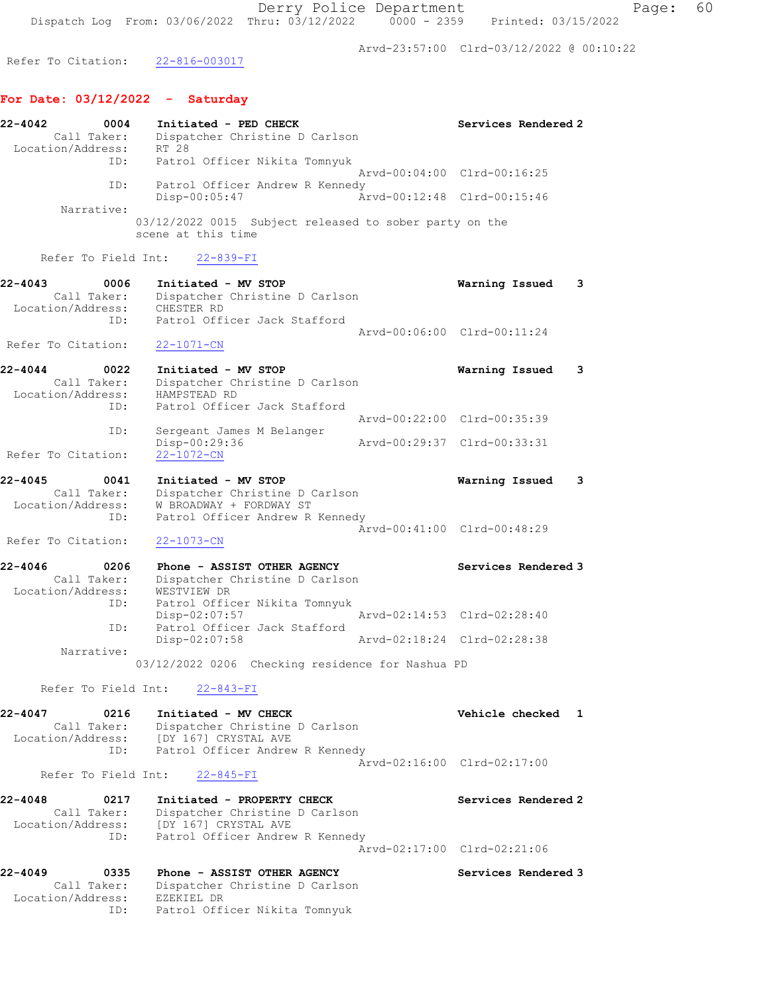Arvd-23:57:00 Clrd-03/12/2022 @ 00:10:22

Refer To Citation: 22-816-003017

# For Date: 03/12/2022 - Saturday

| 22-4042<br>Location/Address: | 0004<br>Call Taker: | Initiated - PED CHECK<br>Dispatcher Christine D Carlson<br>RT 28               |                             | Services Rendered 2 |
|------------------------------|---------------------|--------------------------------------------------------------------------------|-----------------------------|---------------------|
|                              | ID:                 | Patrol Officer Nikita Tomnyuk                                                  |                             |                     |
|                              |                     |                                                                                | Arvd-00:04:00 Clrd-00:16:25 |                     |
|                              | ID:                 | Patrol Officer Andrew R Kennedy<br>Disp-00:05:47                               | Arvd-00:12:48 Clrd-00:15:46 |                     |
|                              | Narrative:          |                                                                                |                             |                     |
|                              |                     | $03/12/2022$ 0015 Subject released to sober party on the<br>scene at this time |                             |                     |

Refer To Field Int: 22-839-FI

| 22-4043            | 0006        | Initiated - MV STOP            | Warning Issued 3            |  |
|--------------------|-------------|--------------------------------|-----------------------------|--|
|                    | Call Taker: | Dispatcher Christine D Carlson |                             |  |
| Location/Address:  |             | CHESTER RD                     |                             |  |
|                    | TD:         | Patrol Officer Jack Stafford   | Aryd-00:06:00 Clrd-00:11:24 |  |
| Refer To Citation: |             | 22-1071-CN                     |                             |  |

| 22-4044            | 0022        | Initiated - MV STOP            | Warning Issued              |  |
|--------------------|-------------|--------------------------------|-----------------------------|--|
|                    | Call Taker: | Dispatcher Christine D Carlson |                             |  |
| Location/Address:  |             | HAMPSTEAD RD                   |                             |  |
|                    | ID:         | Patrol Officer Jack Stafford   |                             |  |
|                    |             |                                | Arvd-00:22:00 Clrd-00:35:39 |  |
|                    | ID:         | Sergeant James M Belanger      |                             |  |
|                    |             | Disp-00:29:36                  | Aryd-00:29:37 Clrd-00:33:31 |  |
| Refer To Citation: |             | $22 - 1072 - CN$               |                             |  |

22-4045 0041 Initiated - MV STOP Warning Issued 3 Call Taker: Dispatcher Christine D Carlson Location/Address: W BROADWAY + FORDWAY ST ID: Patrol Officer Andrew R Kennedy Arvd-00:41:00 Clrd-00:48:29 Refer To Citation: 22-1073-CN

| $22 - 4046$<br>0206 | Phone - ASSIST OTHER AGENCY    |  |                             | Services Rendered 3 |
|---------------------|--------------------------------|--|-----------------------------|---------------------|
| Call Taker:         | Dispatcher Christine D Carlson |  |                             |                     |
| Location/Address:   | WESTVIEW DR                    |  |                             |                     |
| ID:                 | Patrol Officer Nikita Tomnyuk  |  |                             |                     |
|                     | $Disp-02:07:57$                |  | Arvd-02:14:53 Clrd-02:28:40 |                     |
| ID:                 | Patrol Officer Jack Stafford   |  |                             |                     |
|                     | $Disp-02:07:58$                |  | Arvd-02:18:24 Clrd-02:28:38 |                     |
| Narrative:          |                                |  |                             |                     |

03/12/2022 0206 Checking residence for Nashua PD

# Refer To Field Int: 22-843-FI

| 22-4047           | 0216        | Initiated - MV CHECK            | Vehicle checked             |  |
|-------------------|-------------|---------------------------------|-----------------------------|--|
|                   | Call Taker: | Dispatcher Christine D Carlson  |                             |  |
| Location/Address: |             | [DY 167] CRYSTAL AVE            |                             |  |
|                   | ID:         | Patrol Officer Andrew R Kennedy |                             |  |
|                   |             |                                 | Arvd-02:16:00 Clrd-02:17:00 |  |

Refer To Field Int: 22-845-FI

| 22-4048<br>0217   | Initiated - PROPERTY CHECK      | Services Rendered 2         |
|-------------------|---------------------------------|-----------------------------|
| Call Taker:       | Dispatcher Christine D Carlson  |                             |
| Location/Address: | [DY 167] CRYSTAL AVE            |                             |
| ID:               | Patrol Officer Andrew R Kennedy |                             |
|                   |                                 | Arvd-02:17:00 Clrd-02:21:06 |

22-4049 0335 Phone - ASSIST OTHER AGENCY Services Rendered 3 Call Taker: Dispatcher Christine D Carlson Location/Address: EZEKIEL DR ID: Patrol Officer Nikita Tomnyuk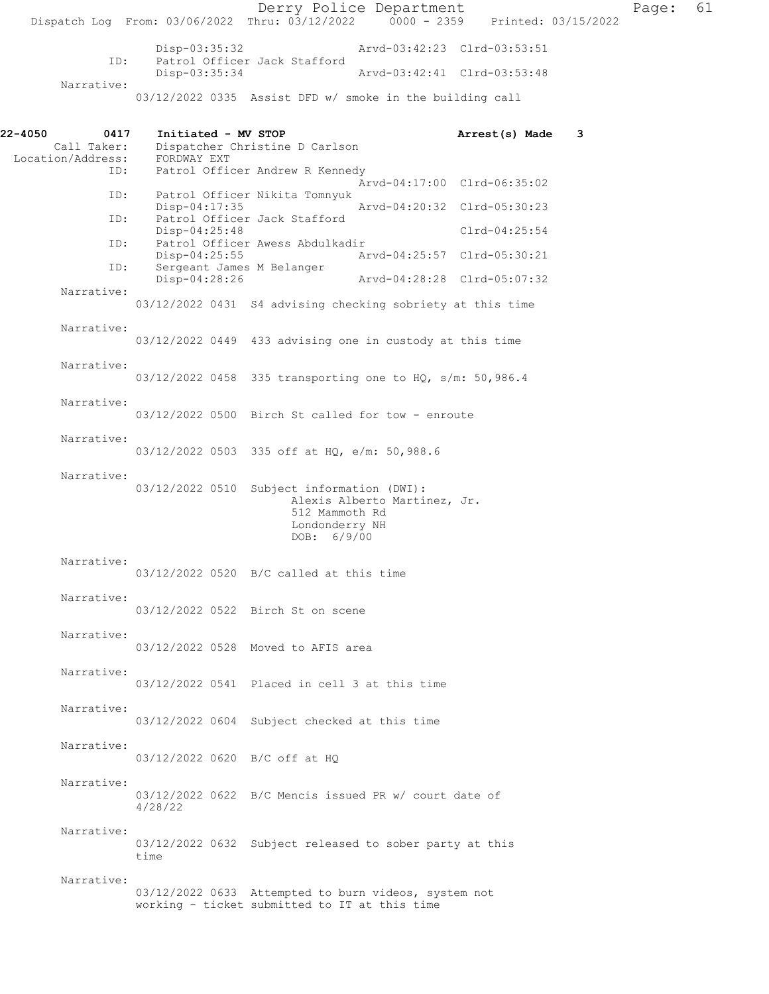Derry Police Department Page: 61 Dispatch Log From: 03/06/2022 Thru: 03/12/2022 0000 - 2359 Disp-03:35:32 Arvd-03:42:23 Clrd-03:53:51<br>TD: Patrol Officer Jack Stafford Patrol Officer Jack Stafford<br>Disp-03:35:34 Disp-03:35:34 Arvd-03:42:41 Clrd-03:53:48 Narrative: 03/12/2022 0335 Assist DFD w/ smoke in the building call 22-4050 0417 Initiated - MV STOP 12-4050 Arrest(s) Made 3<br>Call Taker: Dispatcher Christine D Carlson Dispatcher Christine D Carlson<br>FORDWAY EXT Location/Address:<br>ID: Patrol Officer Andrew R Kennedy Arvd-04:17:00 Clrd-06:35:02<br>ID: Patrol Officer Nikita Tomnyuk Patrol Officer Nikita Tomnyuk<br>Disp-04:17:35 Disp-04:17:35 Arvd-04:20:32 Clrd-05:30:23<br>ID: Patrol Officer Jack Stafford Patrol Officer Jack Stafford Disp-04:25:48 Clrd-04:25:54 ID: Patrol Officer Awess Abdulkadir<br>Disp-04:25:55 Am Disp-04:25:55 Arvd-04:25:57 Clrd-05:30:21 ID: Sergeant James M Belanger Disp-04:28:26 Arvd-04:28:28 Clrd-05:07:32 Narrative: 03/12/2022 0431 S4 advising checking sobriety at this time Narrative: 03/12/2022 0449 433 advising one in custody at this time Narrative: 03/12/2022 0458 335 transporting one to HQ, s/m: 50,986.4 Narrative: 03/12/2022 0500 Birch St called for tow - enroute Narrative: 03/12/2022 0503 335 off at HQ, e/m: 50,988.6 Narrative: 03/12/2022 0510 Subject information (DWI): Alexis Alberto Martinez, Jr. 512 Mammoth Rd Londonderry NH DOB: 6/9/00 Narrative: 03/12/2022 0520 B/C called at this time Narrative: 03/12/2022 0522 Birch St on scene Narrative: 03/12/2022 0528 Moved to AFIS area Narrative: 03/12/2022 0541 Placed in cell 3 at this time Narrative: 03/12/2022 0604 Subject checked at this time Narrative: 03/12/2022 0620 B/C off at HQ Narrative: 03/12/2022 0622 B/C Mencis issued PR w/ court date of 4/28/22 Narrative: 03/12/2022 0632 Subject released to sober party at this time Narrative: 03/12/2022 0633 Attempted to burn videos, system not working - ticket submitted to IT at this time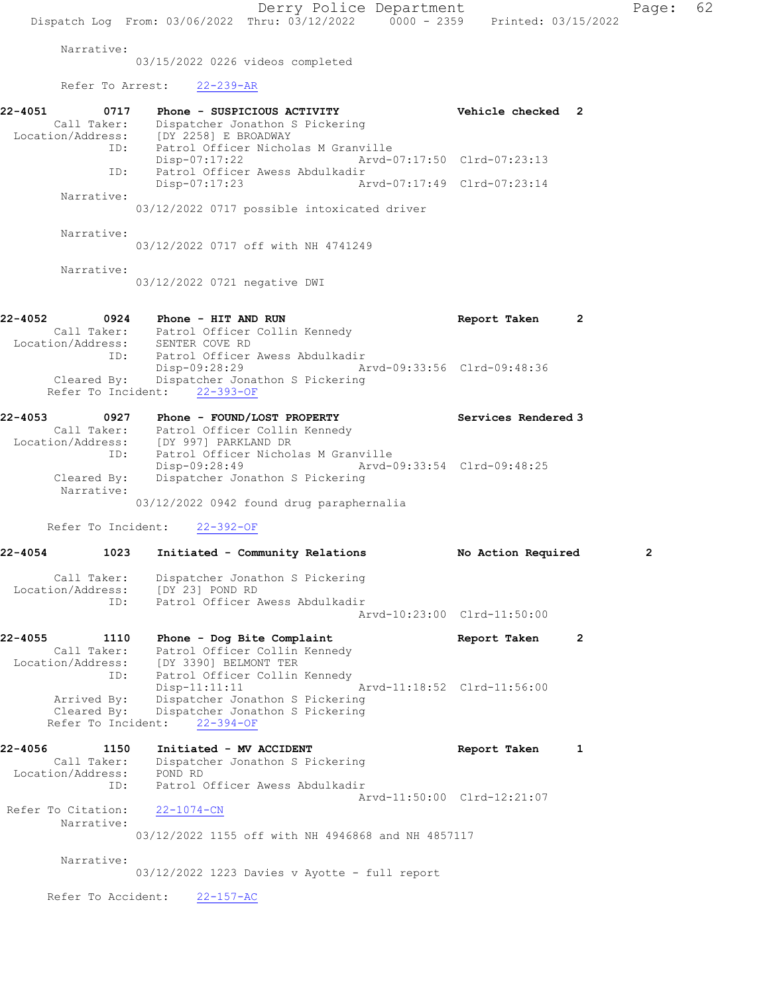Derry Police Department Page: 62 Dispatch Log From: 03/06/2022 Thru: 03/12/2022 0000 - 2359 Printed: 03/15/2022 Narrative: 03/15/2022 0226 videos completed Refer To Arrest: 22-239-AR 22-4051 0717 Phone - SUSPICIOUS ACTIVITY Vehicle checked 2 Call Taker: Dispatcher Jonathon S Pickering Location/Address: [DY 2258] E BROADWAY ID: Patrol Officer Nicholas M Granville Disp-07:17:22 Arvd-07:17:50 Clrd-07:23:13 ID: Patrol Officer Awess Abdulkadir Disp-07:17:23 Arvd-07:17:49 Clrd-07:23:14 Narrative: 03/12/2022 0717 possible intoxicated driver Narrative: 03/12/2022 0717 off with NH 4741249 Narrative: 03/12/2022 0721 negative DWI 22-4052 0924 Phone - HIT AND RUN Report Taken 2 Call Taker: Patrol Officer Collin Kennedy Location/Address: SENTER COVE RD ID: Patrol Officer Awess Abdulkadir Disp-09:28:29 Arvd-09:33:56 Clrd-09:48:36 Cleared By: Dispatcher Jonathon S Pickering Refer To Incident: 22-393-OF 22-4053 0927 Phone - FOUND/LOST PROPERTY Services Rendered 3 Call Taker: Patrol Officer Collin Kennedy Location/Address: [DY 997] PARKLAND DR ID: Patrol Officer Nicholas M Granville Disp-09:28:49 Arvd-09:33:54 Clrd-09:48:25 Cleared By: Dispatcher Jonathon S Pickering Narrative: 03/12/2022 0942 found drug paraphernalia Refer To Incident: 22-392-OF 22-4054 1023 Initiated - Community Relations No Action Required 2 Call Taker: Dispatcher Jonathon S Pickering Location/Address: [DY 23] POND RD ID: Patrol Officer Awess Abdulkadir Arvd-10:23:00 Clrd-11:50:00 22-4055 1110 Phone - Dog Bite Complaint Report Taken 2 Call Taker: Patrol Officer Collin Kennedy Location/Address: [DY 3390] BELMONT TER ID: Patrol Officer Collin Kennedy Disp-11:11:11 Arvd-11:18:52 Clrd-11:56:00 Arrived By: Dispatcher Jonathon S Pickering Cleared By: Dispatcher Jonathon S Pickering Refer To Incident: 22-394-OF 22-4056 1150 Initiated - MV ACCIDENT Report Taken 1 Call Taker: Dispatcher Jonathon S Pickering Location/Address: POND RD ID: Patrol Officer Awess Abdulkadir Arvd-11:50:00 Clrd-12:21:07 Refer To Citation: 22-1074-CN Narrative: 03/12/2022 1155 off with NH 4946868 and NH 4857117 Narrative: 03/12/2022 1223 Davies v Ayotte - full report Refer To Accident: 22-157-AC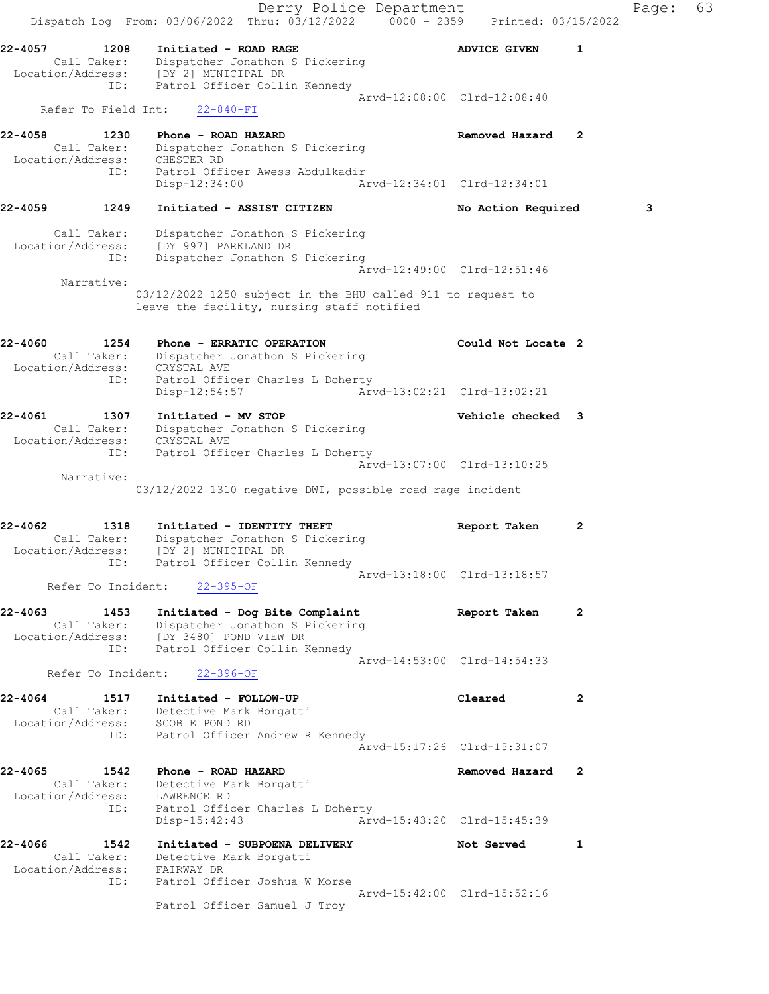Derry Police Department Fage: 63 Dispatch Log From: 03/06/2022 Thru: 03/12/2022 0000 - 2359 Printed: 03/15/2022 22-4057 1208 Initiated - ROAD RAGE 1 2008 ADVICE GIVEN 1 Call Taker: Dispatcher Jonathon S Pickering Location/Address: [DY 2] MUNICIPAL DR ID: Patrol Officer Collin Kennedy Arvd-12:08:00 Clrd-12:08:40 Refer To Field Int: 22-840-FI 22-4058 1230 Phone - ROAD HAZARD Removed Hazard 2 Call Taker: Dispatcher Jonathon S Pickering Location/Address: CHESTER RD ID: Patrol Officer Awess Abdulkadir Disp-12:34:00 Arvd-12:34:01 Clrd-12:34:01 22-4059 1249 Initiated - ASSIST CITIZEN No Action Required 3 Call Taker: Dispatcher Jonathon S Pickering Location/Address: [DY 997] PARKLAND DR ID: Dispatcher Jonathon S Pickering Arvd-12:49:00 Clrd-12:51:46 Narrative: 03/12/2022 1250 subject in the BHU called 911 to request to leave the facility, nursing staff notified 22-4060 1254 Phone - ERRATIC OPERATION Could Not Locate 2 Call Taker: Dispatcher Jonathon S Pickering Location/Address: CRYSTAL AVE ID: Patrol Officer Charles L Doherty Disp-12:54:57 Arvd-13:02:21 Clrd-13:02:21 22-4061 1307 Initiated - MV STOP Vehicle checked 3 Call Taker: Dispatcher Jonathon S Pickering Location/Address: CRYSTAL AVE ID: Patrol Officer Charles L Doherty Arvd-13:07:00 Clrd-13:10:25 Narrative: 03/12/2022 1310 negative DWI, possible road rage incident 22-4062 1318 Initiated - IDENTITY THEFT Report Taken 2 Call Taker: Dispatcher Jonathon S Pickering Location/Address: [DY 2] MUNICIPAL DR ID: Patrol Officer Collin Kennedy Arvd-13:18:00 Clrd-13:18:57 Refer To Incident: 22-395-OF 22-4063 1453 Initiated - Dog Bite Complaint Report Taken 2 Call Taker: Dispatcher Jonathon S Pickering Location/Address: [DY 3480] POND VIEW DR ID: Patrol Officer Collin Kennedy Arvd-14:53:00 Clrd-14:54:33 Refer To Incident: 22-396-OF 22-4064 1517 Initiated - FOLLOW-UP Cleared 2 Call Taker: Detective Mark Borgatti Location/Address: SCOBIE POND RD ID: Patrol Officer Andrew R Kennedy Arvd-15:17:26 Clrd-15:31:07 22-4065 1542 Phone - ROAD HAZARD Removed Hazard 2 Call Taker: Detective Mark Borgatti Location/Address: LAWRENCE RD ID: Patrol Officer Charles L Doherty Disp-15:42:43 Arvd-15:43:20 Clrd-15:45:39 22-4066 1542 Initiated - SUBPOENA DELIVERY Not Served 1 Call Taker: Detective Mark Borgatti Location/Address: FAIRWAY DR ID: Patrol Officer Joshua W Morse Arvd-15:42:00 Clrd-15:52:16 Patrol Officer Samuel J Troy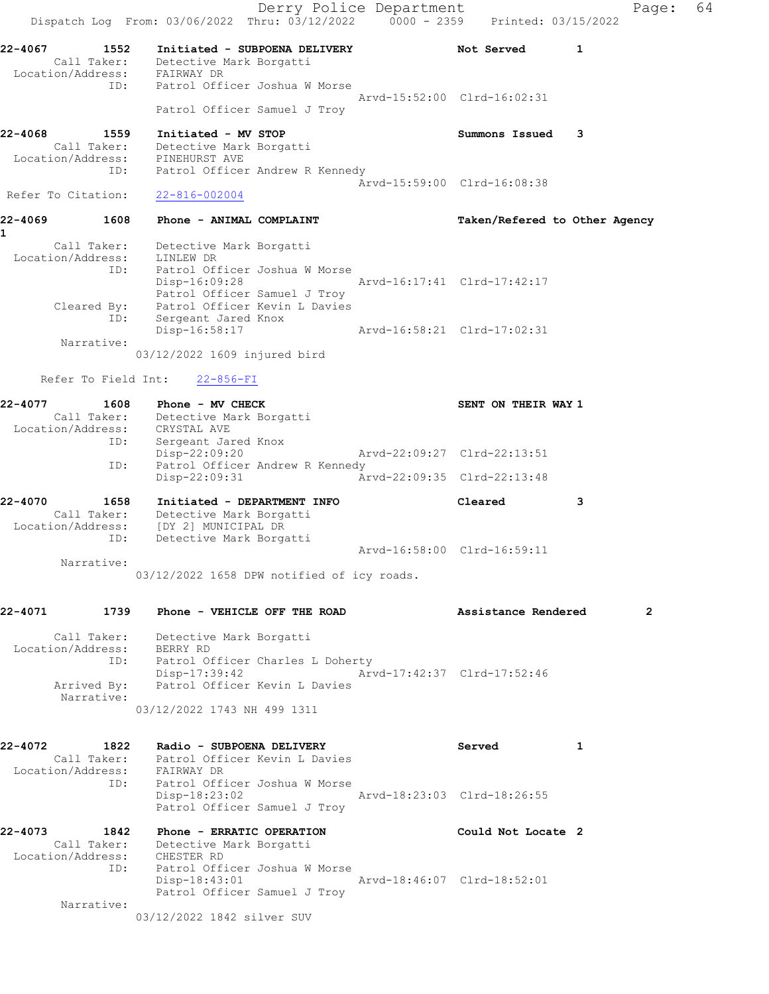Derry Police Department Fage: 64 Dispatch Log From: 03/06/2022 Thru: 03/12/2022 0000 - 2359 Printed: 03/15/2022 22-4067 1552 Initiated - SUBPOENA DELIVERY 1 Not Served 1 Call Taker: Detective Mark Borgatti Location/Address: FAIRWAY DR ID: Patrol Officer Joshua W Morse Arvd-15:52:00 Clrd-16:02:31 Patrol Officer Samuel J Troy 22-4068 1559 Initiated - MV STOP Summons Issued 3 Call Taker: Detective Mark Borgatti Location/Address: PINEHURST AVE ID: Patrol Officer Andrew R Kennedy Arvd-15:59:00 Clrd-16:08:38 Refer To Citation: 22-816-002004 22-4069 1608 Phone - ANIMAL COMPLAINT TAKen/Refered to Other Agency 1 Call Taker: Detective Mark Borgatti Location/Address: LINLEW DR ID: Patrol Officer Joshua W Morse Disp-16:09:28 Arvd-16:17:41 Clrd-17:42:17 Patrol Officer Samuel J Troy Cleared By: Patrol Officer Kevin L Davies ID: Sergeant Jared Knox Disp-16:58:17 Arvd-16:58:21 Clrd-17:02:31 Narrative: 03/12/2022 1609 injured bird Refer To Field Int: 22-856-FI 22-4077 1608 Phone - MV CHECK SENT ON THEIR WAY 1 Call Taker: Detective Mark Borgatti Location/Address: CRYSTAL AVE ID: Sergeant Jared Knox Disp-22:09:20 Arvd-22:09:27 Clrd-22:13:51 ID: Patrol Officer Andrew R Kennedy Disp-22:09:31 Arvd-22:09:35 Clrd-22:13:48 22-4070 1658 Initiated - DEPARTMENT INFO Cleared 3 Call Taker: Detective Mark Borgatti Location/Address: [DY 2] MUNICIPAL DR ID: Detective Mark Borgatti Arvd-16:58:00 Clrd-16:59:11 Narrative: 03/12/2022 1658 DPW notified of icy roads. 22-4071 1739 Phone - VEHICLE OFF THE ROAD **Assistance Rendered** 2 Call Taker: Detective Mark Borgatti Location/Address: BERRY RD ID: Patrol Officer Charles L Doherty Disp-17:39:42 Arvd-17:42:37 Clrd-17:52:46 Arrived By: Patrol Officer Kevin L Davies Narrative: 03/12/2022 1743 NH 499 1311 22-4072 1822 Radio - SUBPOENA DELIVERY 1922 Served 1 Call Taker: Patrol Officer Kevin L Davies Location/Address: FAIRWAY DR ID: Patrol Officer Joshua W Morse Disp-18:23:02 Arvd-18:23:03 Clrd-18:26:55 Patrol Officer Samuel J Troy 22-4073 1842 Phone - ERRATIC OPERATION Could Not Locate 2 Call Taker: Detective Mark Borgatti Location/Address: CHESTER RD ID: Patrol Officer Joshua W Morse Disp-18:43:01 Arvd-18:46:07 Clrd-18:52:01 Patrol Officer Samuel J Troy Narrative: 03/12/2022 1842 silver SUV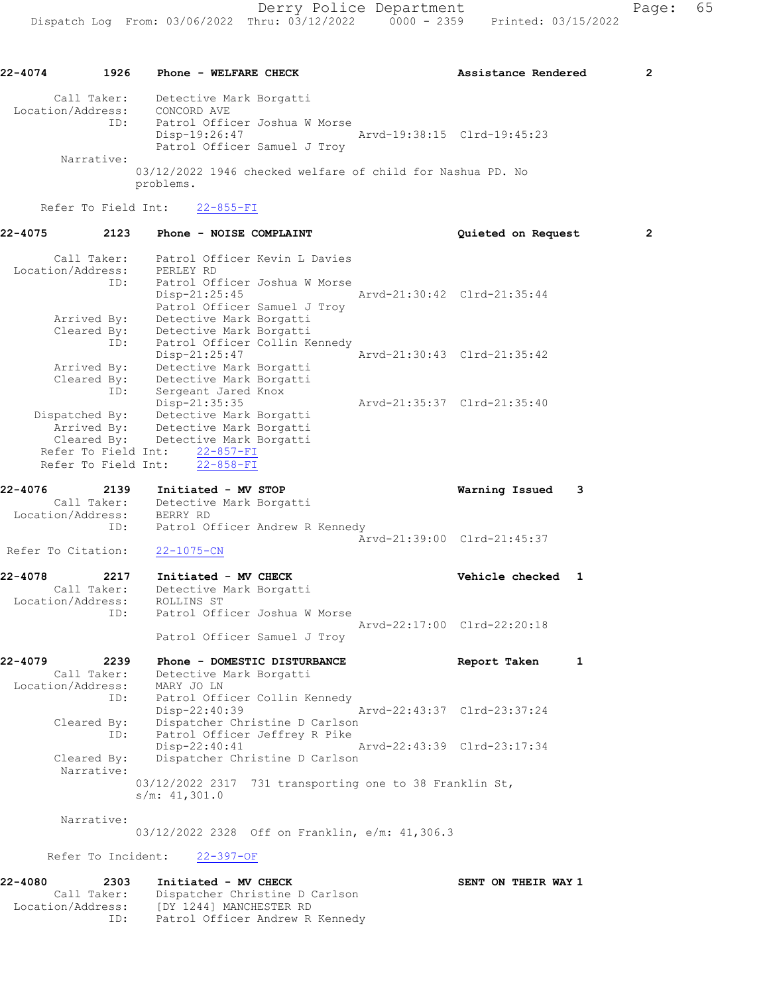22-4074 1926 Phone - WELFARE CHECK 2 Assistance Rendered 2 Call Taker: Detective Mark Borgatti Location/Address: CONCORD AVE ID: Patrol Officer Joshua W Morse Disp-19:26:47 Arvd-19:38:15 Clrd-19:45:23 Patrol Officer Samuel J Troy Narrative: 03/12/2022 1946 checked welfare of child for Nashua PD. No problems. Refer To Field Int: 22-855-FI 22-4075 2123 Phone - NOISE COMPLAINT Quieted on Request 2 Call Taker: Patrol Officer Kevin L Davies Location/Address: PERLEY RD ID: Patrol Officer Joshua W Morse Disp-21:25:45 Arvd-21:30:42 Clrd-21:35:44 Patrol Officer Samuel J Troy Arrived By: Detective Mark Borgatti Cleared By: Detective Mark Borgatti ID: Patrol Officer Collin Kennedy Disp-21:25:47 Arvd-21:30:43 Clrd-21:35:42 Arrived By: Detective Mark Borgatti Cleared By: Detective Mark Borgatti ID: Sergeant Jared Knox Disp-21:35:35 Arvd-21:35:37 Clrd-21:35:40 Dispatched By: Detective Mark Borgatti Arrived By: Detective Mark Borgatti Cleared By: Detective Mark Borgatti Refer To Field Int:  $\frac{22-857-FI}{22-858-FI}$ Refer To Field Int: 22-4076 2139 Initiated - MV STOP Warning Issued 3 Call Taker: Detective Mark Borgatti Location/Address: BERRY RD ID: Patrol Officer Andrew R Kennedy Arvd-21:39:00 Clrd-21:45:37 Refer To Citation: 22-1075-CN 22-4078 2217 Initiated - MV CHECK Vehicle checked 1 Call Taker: Detective Mark Borgatti Location/Address: ROLLINS ST ID: Patrol Officer Joshua W Morse Arvd-22:17:00 Clrd-22:20:18 Patrol Officer Samuel J Troy 22-4079 2239 Phone - DOMESTIC DISTURBANCE Report Taken 1 Call Taker: Detective Mark Borgatti Location/Address: MARY JO LN ID: Patrol Officer Collin Kennedy<br>Disp-22:40:39 Mrvd-22:43:37 Clrd-23:37:24 Disp-22:40:39 Arvd-22:43:37 Clrd-23:37:24 Cleared By: Dispatcher Christine D Carlson ID: Patrol Officer Jeffrey R Pike Disp-22:40:41 Arvd-22:43:39 Clrd-23:17:34<br>Cleared By: Dispatcher Christine D Carlson Dispatcher Christine D Carlson Narrative: 03/12/2022 2317 731 transporting one to 38 Franklin St, s/m: 41,301.0 Narrative: 03/12/2022 2328 Off on Franklin, e/m: 41,306.3 Refer To Incident: 22-397-OF 22-4080 2303 Initiated - MV CHECK NAME SENT ON THEIR WAY 1 Call Taker: Dispatcher Christine D Carlson Location/Address: [DY 1244] MANCHESTER RD ID: Patrol Officer Andrew R Kennedy